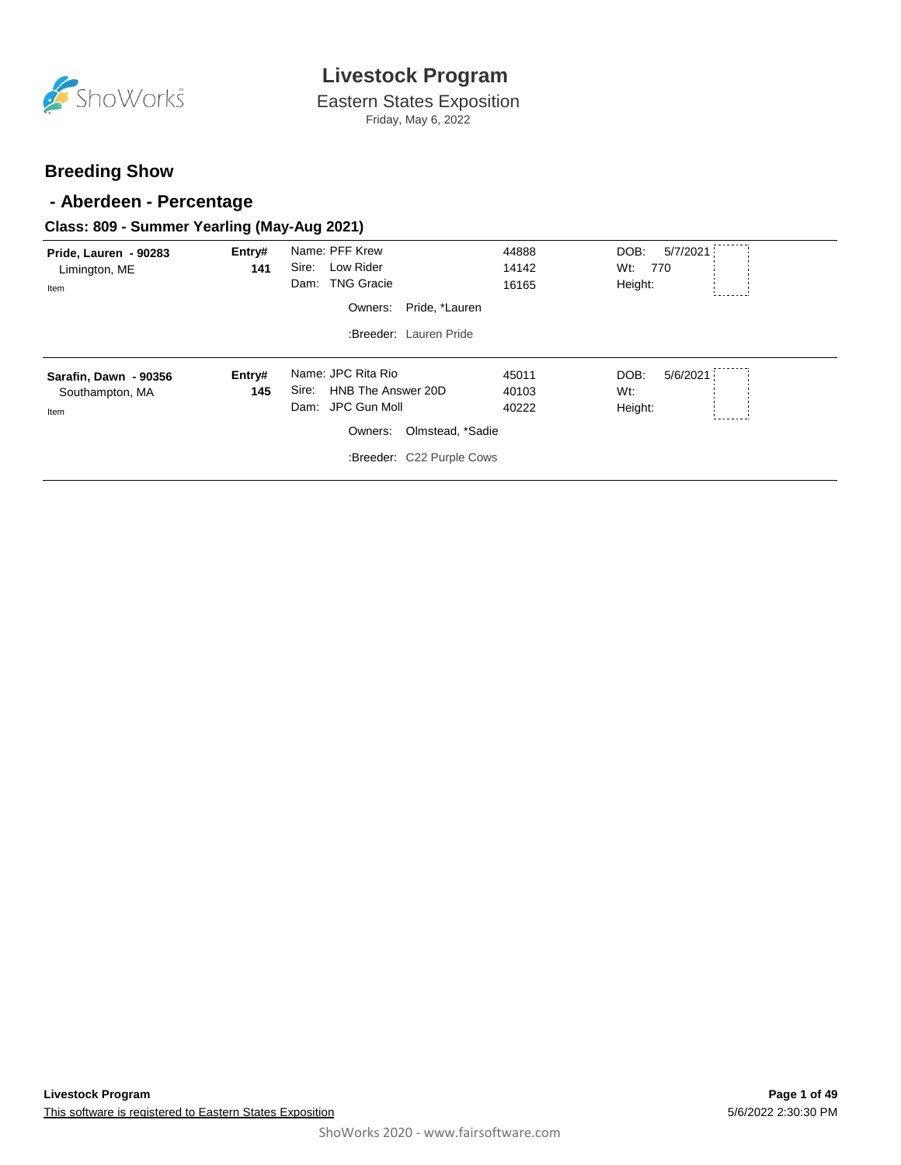

Eastern States Exposition Friday, May 6, 2022

#### **Breeding Show**

#### **- Aberdeen - Percentage**

#### **Class: 809 - Summer Yearling (May-Aug 2021)**

| Pride, Lauren - 90283<br>Limington, ME<br>Item   | Entry#<br>141 | Name: PFF Krew<br>Low Rider<br>Sire:<br>Dam: TNG Gracie<br>Pride, *Lauren<br>Owners:<br>:Breeder: Lauren Pride                     | 44888<br>14142<br>16165 | DOB:<br>5/7/2021<br>Wt:<br>770<br>Height: |
|--------------------------------------------------|---------------|------------------------------------------------------------------------------------------------------------------------------------|-------------------------|-------------------------------------------|
| Sarafin, Dawn - 90356<br>Southampton, MA<br>Item | Entry#<br>145 | Name: JPC Rita Rio<br>HNB The Answer 20D<br>Sire:<br>Dam: JPC Gun Moll<br>Owners:<br>Olmstead, *Sadie<br>:Breeder: C22 Purple Cows | 45011<br>40103<br>40222 | 5/6/2021<br>DOB:<br>$Wt$ :<br>Height:     |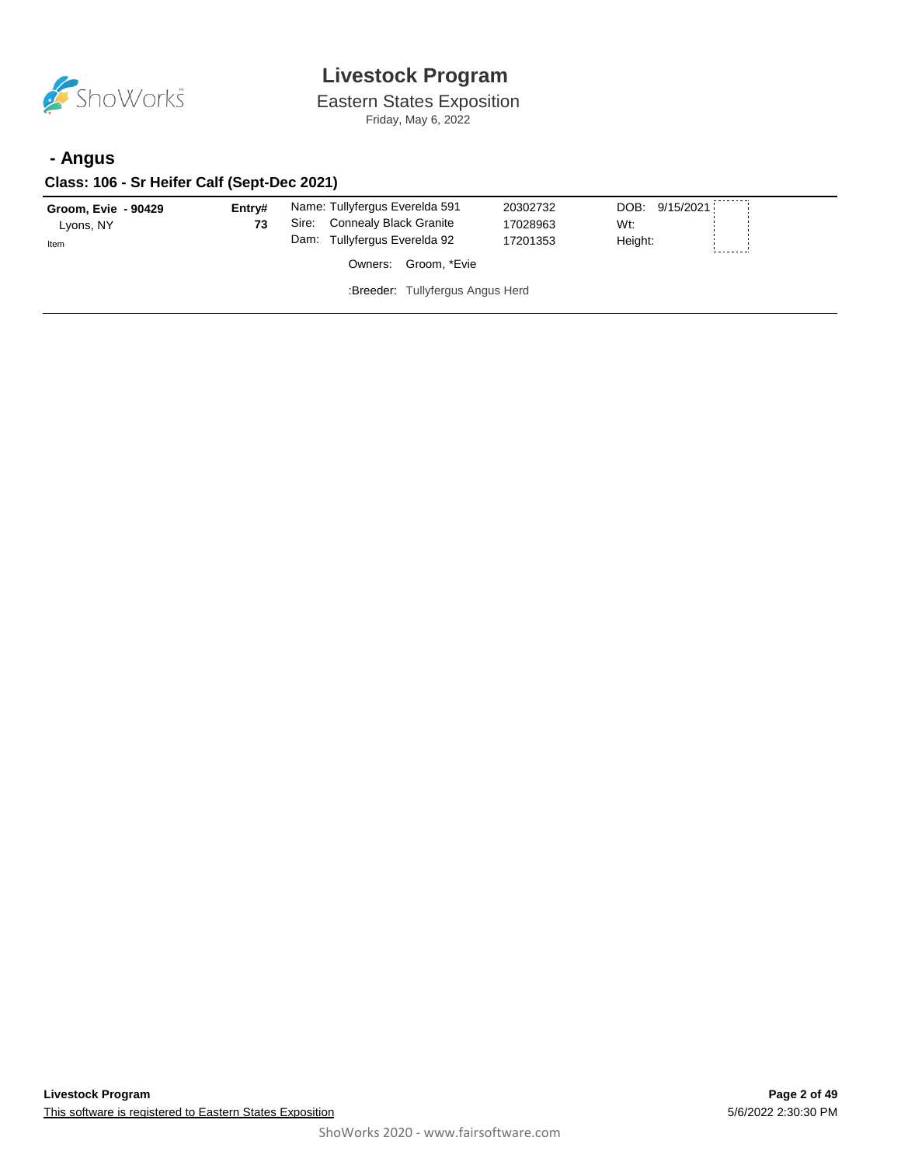

Eastern States Exposition Friday, May 6, 2022

### **- Angus**

#### **Class: 106 - Sr Heifer Calf (Sept-Dec 2021)**

| Groom, Evie - 90429<br>Lyons, NY<br>Item | Entrv#<br>73 | Name: Tullyfergus Everelda 591<br>Connealy Black Granite<br>Sire:<br>Dam: Tullyfergus Everelda 92 | 20302732<br>17028963<br>17201353 | DOB: 9/15/2021<br>Wt:<br>Height: |  |
|------------------------------------------|--------------|---------------------------------------------------------------------------------------------------|----------------------------------|----------------------------------|--|
|                                          |              | Owners: Groom, *Evie                                                                              |                                  |                                  |  |
|                                          |              | :Breeder: Tullyfergus Angus Herd                                                                  |                                  |                                  |  |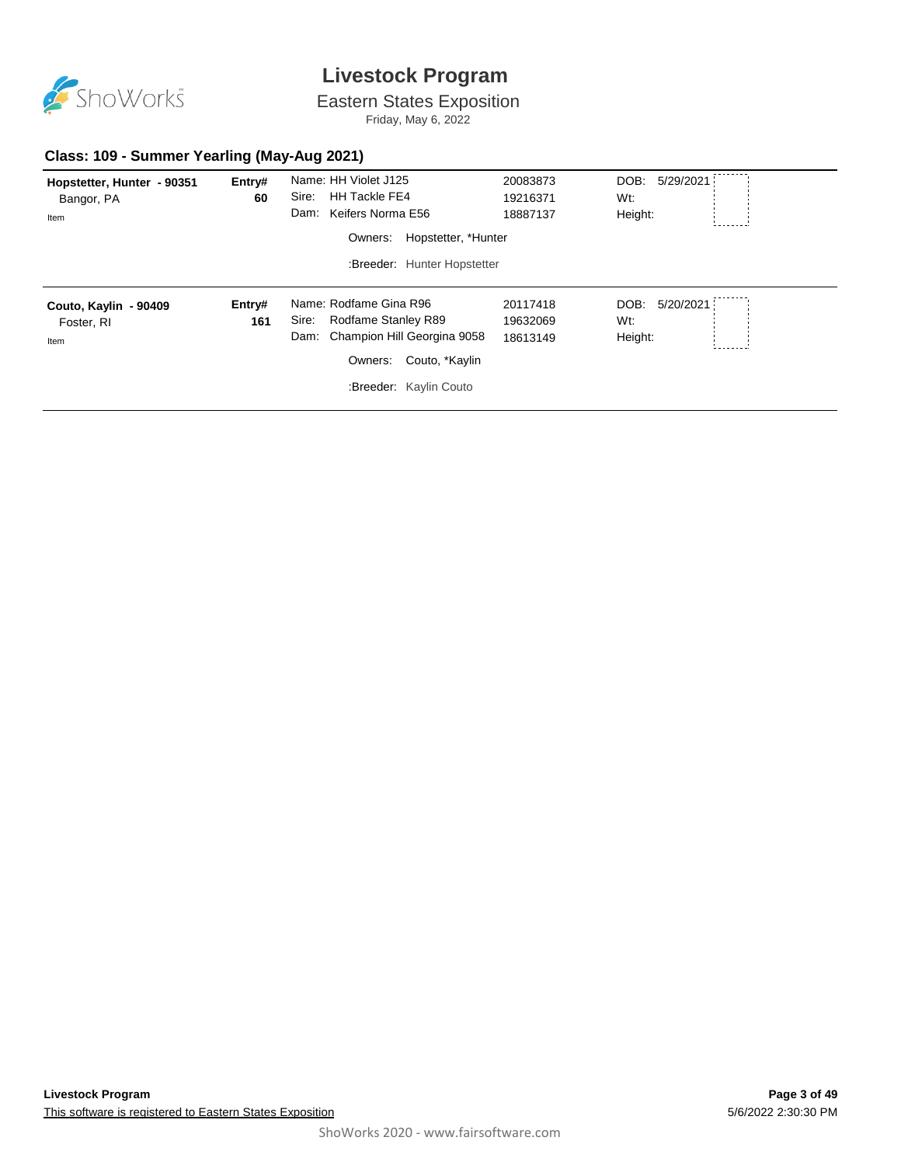

Eastern States Exposition

Friday, May 6, 2022

#### **Class: 109 - Summer Yearling (May-Aug 2021)**

| Hopstetter, Hunter - 90351<br>Bangor, PA<br>Item | Entry#<br>60  | Name: HH Violet J125<br>Sire:<br><b>HH Tackle FE4</b><br>Dam: Keifers Norma E56<br>Hopstetter, *Hunter<br>Owners:                                    | 20083873<br>19216371<br>18887137 | DOB: 5/29/2021<br>Wt:<br>Height:    |
|--------------------------------------------------|---------------|------------------------------------------------------------------------------------------------------------------------------------------------------|----------------------------------|-------------------------------------|
|                                                  |               | :Breeder: Hunter Hopstetter                                                                                                                          |                                  |                                     |
| Couto, Kaylin - 90409<br>Foster, RI<br>Item      | Entry#<br>161 | Name: Rodfame Gina R96<br>Rodfame Stanley R89<br>Sire:<br>Champion Hill Georgina 9058<br>Dam:<br>Couto, *Kaylin<br>Owners:<br>:Breeder: Kaylin Couto | 20117418<br>19632069<br>18613149 | DOB:<br>5/20/2021<br>Wt:<br>Height: |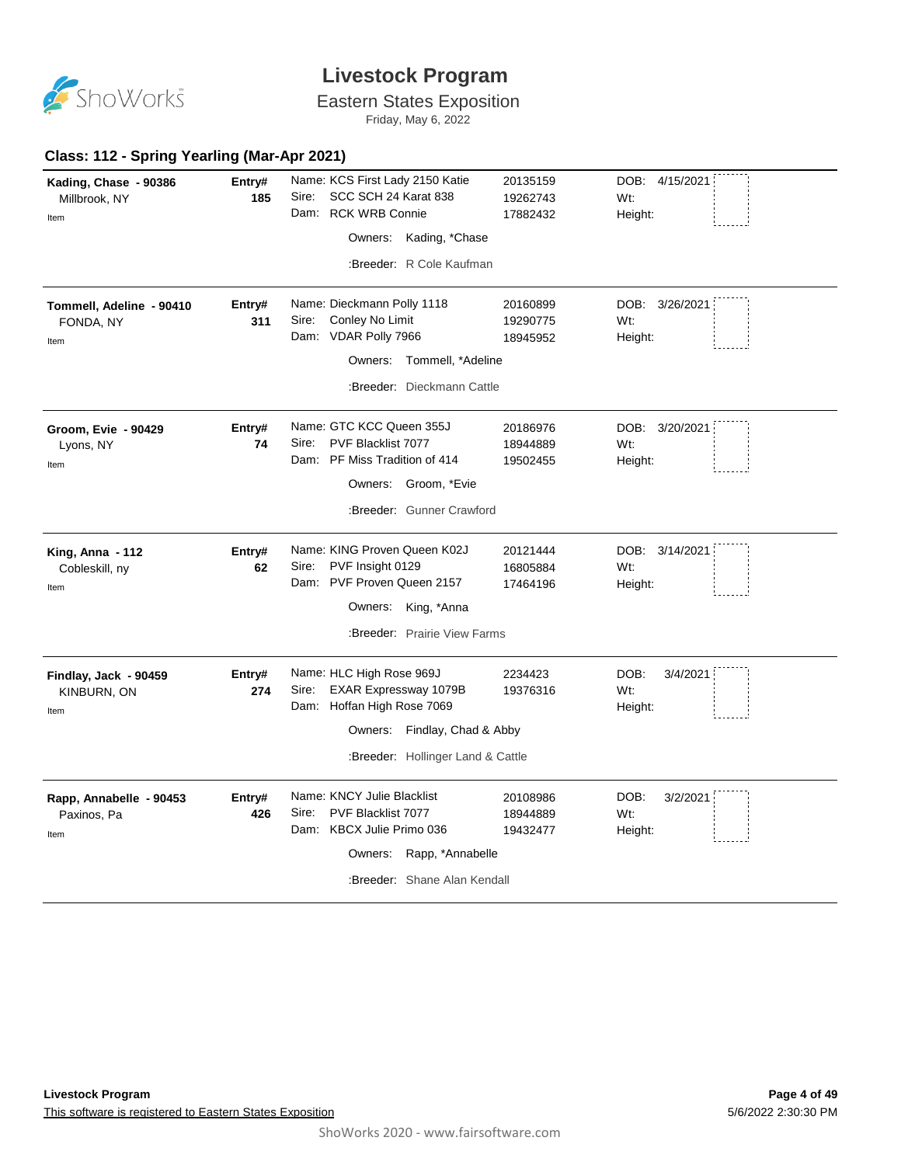

### Eastern States Exposition

Friday, May 6, 2022

#### **Class: 112 - Spring Yearling (Mar-Apr 2021)**

| Kading, Chase - 90386<br>Millbrook, NY<br>Item | Entry#<br>185 | Name: KCS First Lady 2150 Katie<br>SCC SCH 24 Karat 838<br>Sire:<br>Dam: RCK WRB Connie<br>Owners: Kading, *Chase<br>:Breeder: R Cole Kaufman              | 20135159<br>19262743<br>17882432 | DOB: 4/15/2021<br>Wt:<br>Height:   |
|------------------------------------------------|---------------|------------------------------------------------------------------------------------------------------------------------------------------------------------|----------------------------------|------------------------------------|
| Tommell, Adeline - 90410<br>FONDA, NY<br>Item  | Entry#<br>311 | Name: Dieckmann Polly 1118<br>Conley No Limit<br>Sire:<br>Dam: VDAR Polly 7966<br>Owners: Tommell, *Adeline<br>:Breeder: Dieckmann Cattle                  | 20160899<br>19290775<br>18945952 | DOB: 3/26/2021<br>Wt:<br>Height:   |
| Groom, Evie - 90429<br>Lyons, NY<br>Item       | Entry#<br>74  | Name: GTC KCC Queen 355J<br>PVF Blacklist 7077<br>Sire:<br>Dam: PF Miss Tradition of 414<br>Owners: Groom, *Evie<br>:Breeder: Gunner Crawford              | 20186976<br>18944889<br>19502455 | DOB: 3/20/2021<br>Wt:<br>Height:   |
| King, Anna - 112<br>Cobleskill, ny<br>Item     | Entry#<br>62  | Name: KING Proven Queen K02J<br>PVF Insight 0129<br>Sire:<br>Dam: PVF Proven Queen 2157<br>Owners: King, *Anna<br>:Breeder: Prairie View Farms             | 20121444<br>16805884<br>17464196 | DOB: 3/14/2021<br>Wt:<br>Height:   |
| Findlay, Jack - 90459<br>KINBURN, ON<br>Item   | Entry#<br>274 | Name: HLC High Rose 969J<br>Sire: EXAR Expressway 1079B<br>Dam: Hoffan High Rose 7069<br>Owners: Findlay, Chad & Abby<br>:Breeder: Hollinger Land & Cattle | 2234423<br>19376316              | DOB:<br>3/4/2021<br>Wt:<br>Height: |
| Rapp, Annabelle - 90453<br>Paxinos, Pa<br>Item | Entry#<br>426 | Name: KNCY Julie Blacklist<br>PVF Blacklist 7077<br>Sire:<br>Dam: KBCX Julie Primo 036<br>Owners: Rapp, *Annabelle<br>:Breeder: Shane Alan Kendall         | 20108986<br>18944889<br>19432477 | DOB:<br>3/2/2021<br>Wt:<br>Height: |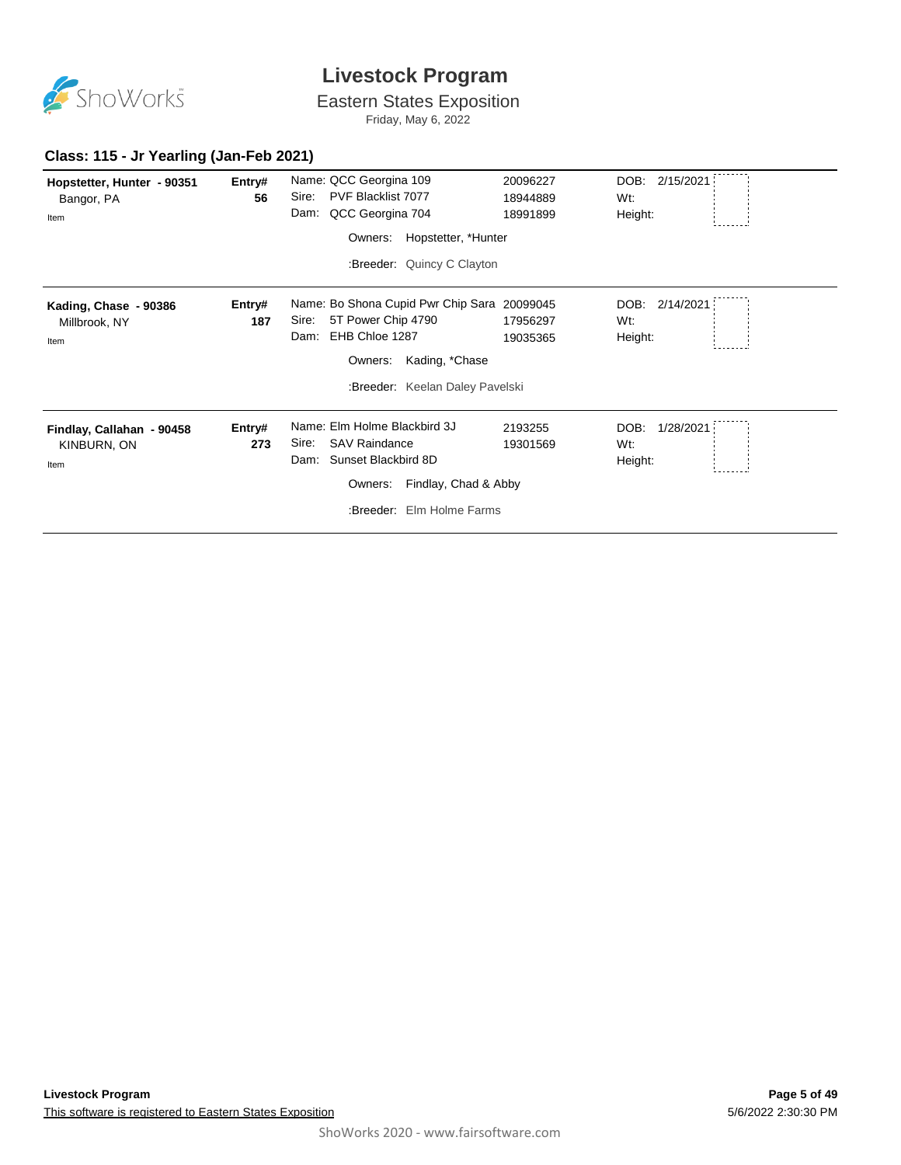

Eastern States Exposition

Friday, May 6, 2022

| Hopstetter, Hunter - 90351<br>Bangor, PA<br>Item | Entry#<br>56  | Name: QCC Georgina 109<br>PVF Blacklist 7077<br>Sire:<br>QCC Georgina 704<br>Dam:                                                                                    | 20096227<br>18944889<br>18991899 | DOB:<br>2/15/2021<br>Wt:<br>Height: |
|--------------------------------------------------|---------------|----------------------------------------------------------------------------------------------------------------------------------------------------------------------|----------------------------------|-------------------------------------|
|                                                  |               | Hopstetter, *Hunter<br>Owners:                                                                                                                                       |                                  |                                     |
|                                                  |               | :Breeder: Quincy C Clayton                                                                                                                                           |                                  |                                     |
| Kading, Chase - 90386<br>Millbrook, NY<br>Item   | Entry#<br>187 | Name: Bo Shona Cupid Pwr Chip Sara 20099045<br>5T Power Chip 4790<br>Sire:<br>EHB Chloe 1287<br>Dam:<br>Kading, *Chase<br>Owners:<br>:Breeder: Keelan Daley Pavelski | 17956297<br>19035365             | 2/14/2021<br>DOB:<br>Wt:<br>Height: |
| Findlay, Callahan - 90458<br>KINBURN, ON<br>Item | Entry#<br>273 | Name: Elm Holme Blackbird 3J<br><b>SAV Raindance</b><br>Sire:<br>Sunset Blackbird 8D<br>Dam:<br>Findlay, Chad & Abby<br>Owners:<br>:Breeder: Elm Holme Farms         | 2193255<br>19301569              | DOB:<br>1/28/2021<br>Wt:<br>Height: |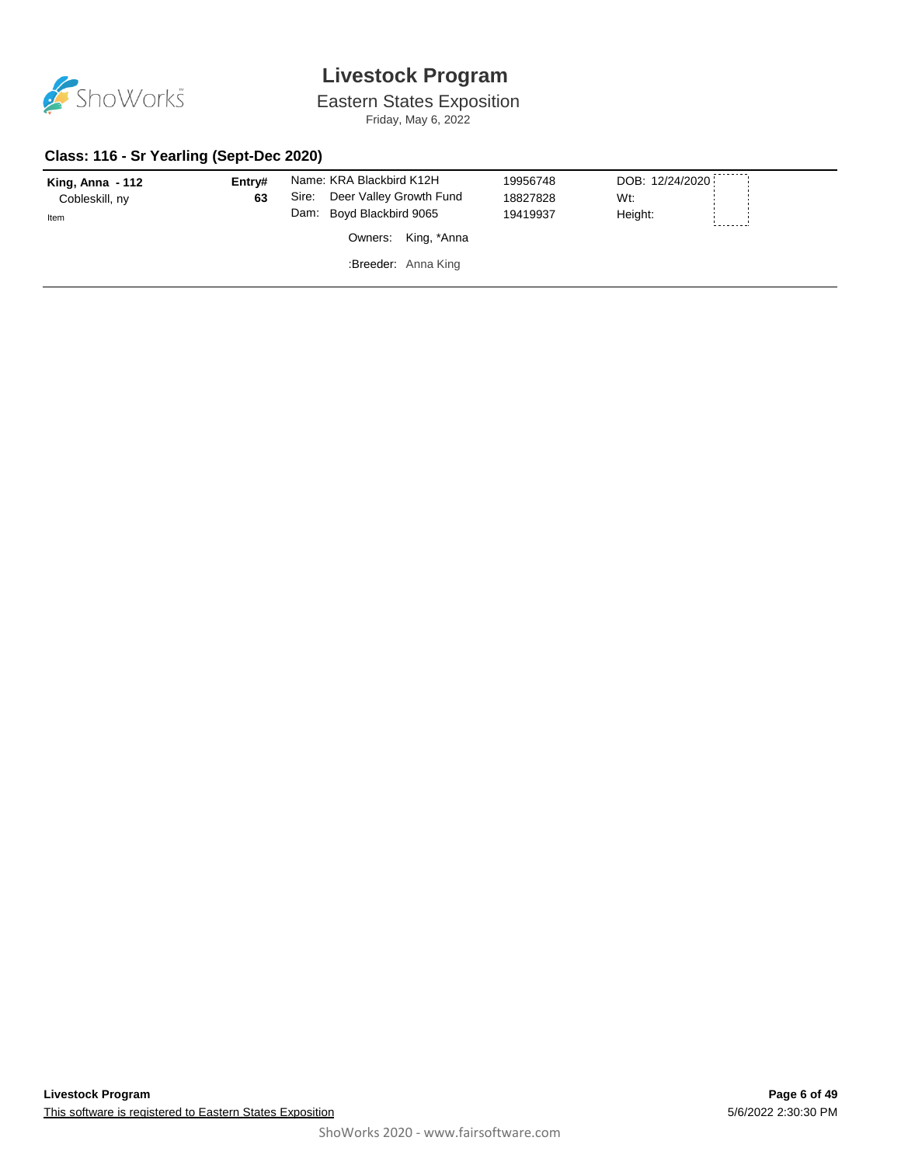

Eastern States Exposition

Friday, May 6, 2022

#### **Class: 116 - Sr Yearling (Sept-Dec 2020)**

| King, Anna $-112$<br>Cobleskill, ny<br>Item | Entry#<br>63 | Name: KRA Blackbird K12H<br>Deer Valley Growth Fund<br>Sire:<br>Dam: Boyd Blackbird 9065 | 19956748<br>18827828<br>19419937 | DOB: 12/24/2020<br>Wt:<br>Height: |
|---------------------------------------------|--------------|------------------------------------------------------------------------------------------|----------------------------------|-----------------------------------|
|                                             |              | Owners: King, *Anna                                                                      |                                  |                                   |
|                                             |              | :Breeder: Anna King                                                                      |                                  |                                   |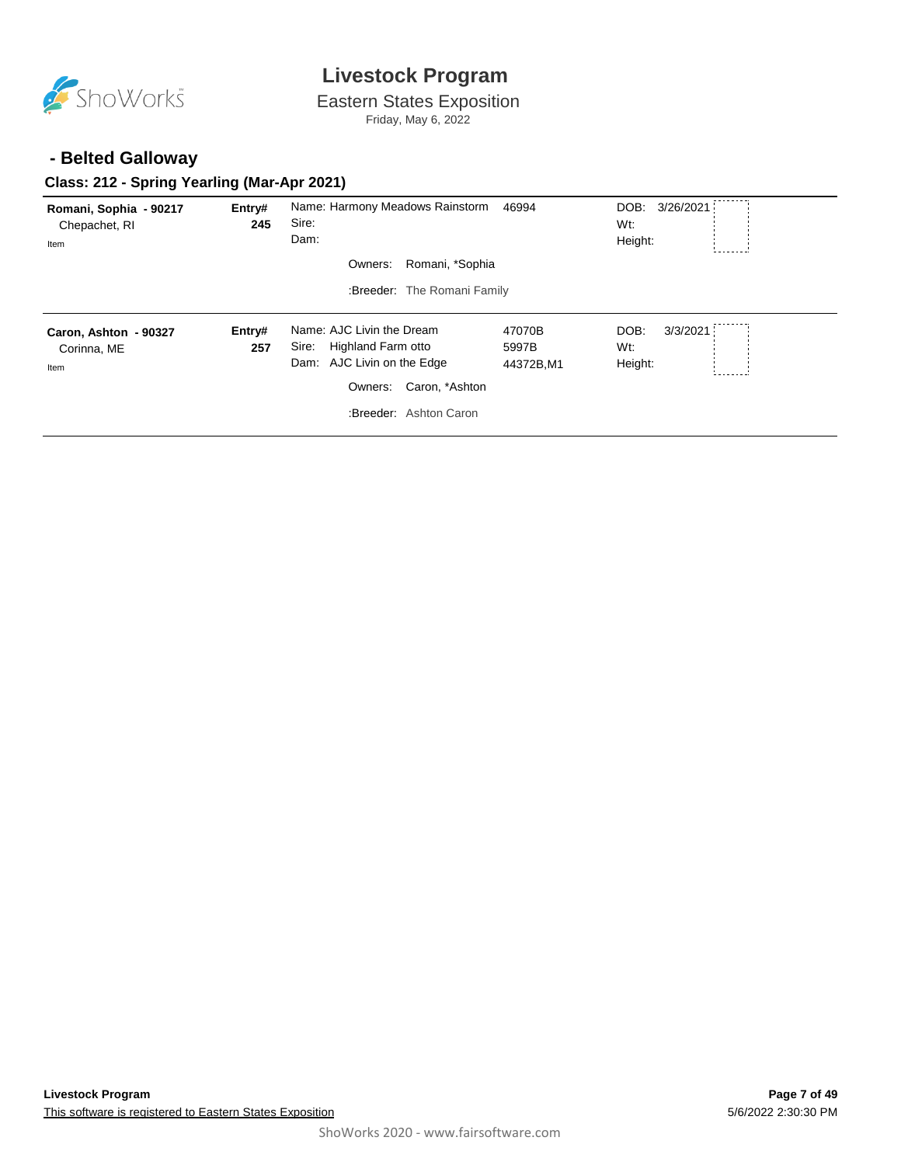

Eastern States Exposition

Friday, May 6, 2022

#### **- Belted Galloway**

#### **Class: 212 - Spring Yearling (Mar-Apr 2021)**

| Romani, Sophia - 90217<br>Chepachet, RI<br>Item | Entry#<br>245 | Name: Harmony Meadows Rainstorm<br>Sire:<br>Dam:          | 46994              | DOB:<br>3/26/2021<br>Wt:<br>Height: |
|-------------------------------------------------|---------------|-----------------------------------------------------------|--------------------|-------------------------------------|
|                                                 |               | Romani, *Sophia<br>Owners:<br>:Breeder: The Romani Family |                    |                                     |
| Caron, Ashton - 90327                           | Entry#        | Name: AJC Livin the Dream                                 | 47070B             | DOB:<br>3/3/2021                    |
| Corinna, ME<br>Item                             | 257           | Highland Farm otto<br>Sire:<br>Dam: AJC Livin on the Edge | 5997B<br>44372B,M1 | Wt:<br>Height:                      |
|                                                 |               | Caron, *Ashton<br>Owners:<br>:Breeder: Ashton Caron       |                    |                                     |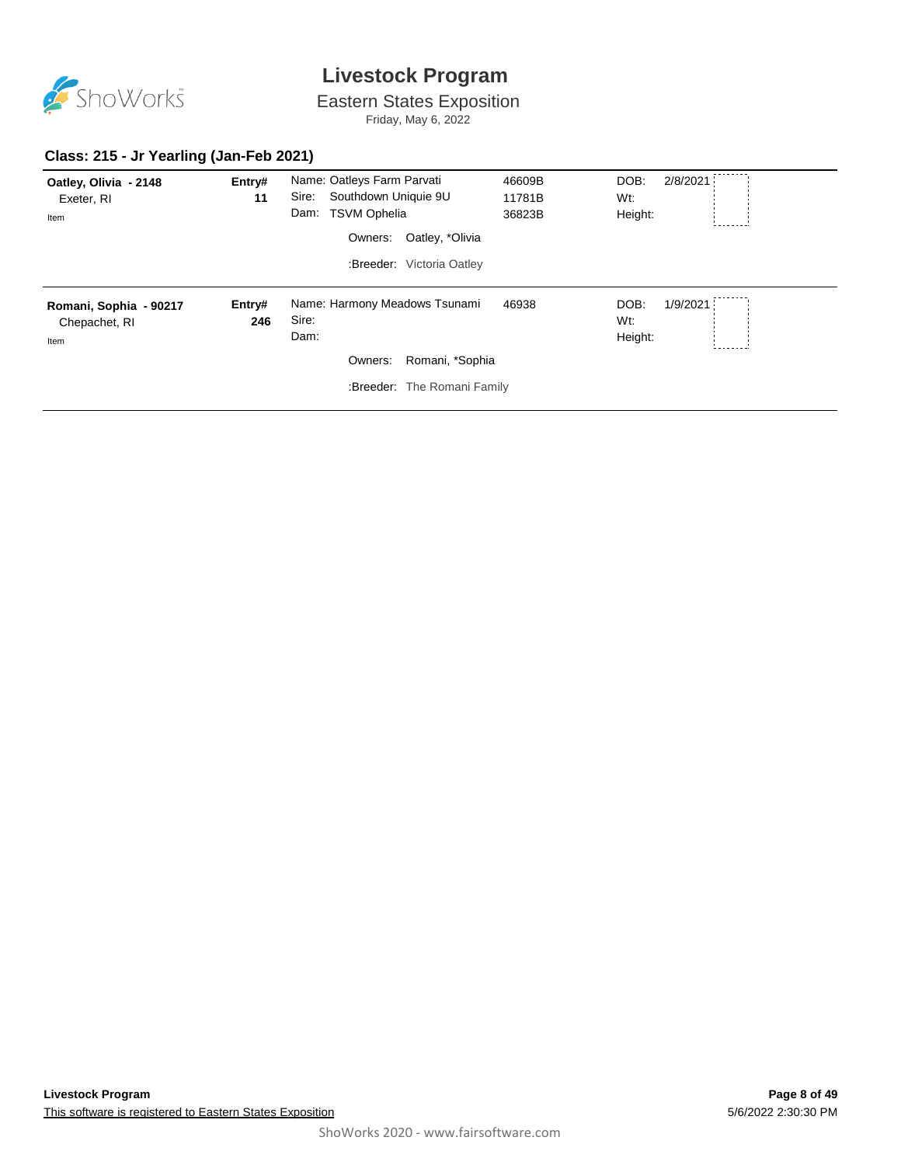

Eastern States Exposition

Friday, May 6, 2022

#### **Class: 215 - Jr Yearling (Jan-Feb 2021)**

| Oatley, Olivia - 2148<br>Exeter, RI<br>Item     | Entry#<br>11  | Name: Oatleys Farm Parvati<br>Southdown Uniquie 9U<br>Sire:<br>Dam: TSVM Ophelia<br>Owners:<br>Oatley, *Olivia<br>:Breeder: Victoria Oatley | 46609B<br>11781B<br>36823B | DOB:<br>2/8/2021<br>Wt:<br>Height: |
|-------------------------------------------------|---------------|---------------------------------------------------------------------------------------------------------------------------------------------|----------------------------|------------------------------------|
| Romani, Sophia - 90217<br>Chepachet, RI<br>Item | Entry#<br>246 | Name: Harmony Meadows Tsunami<br>Sire:<br>Dam:<br>Romani, *Sophia<br>Owners:<br>:Breeder: The Romani Family                                 | 46938                      | DOB:<br>1/9/2021<br>Wt:<br>Height: |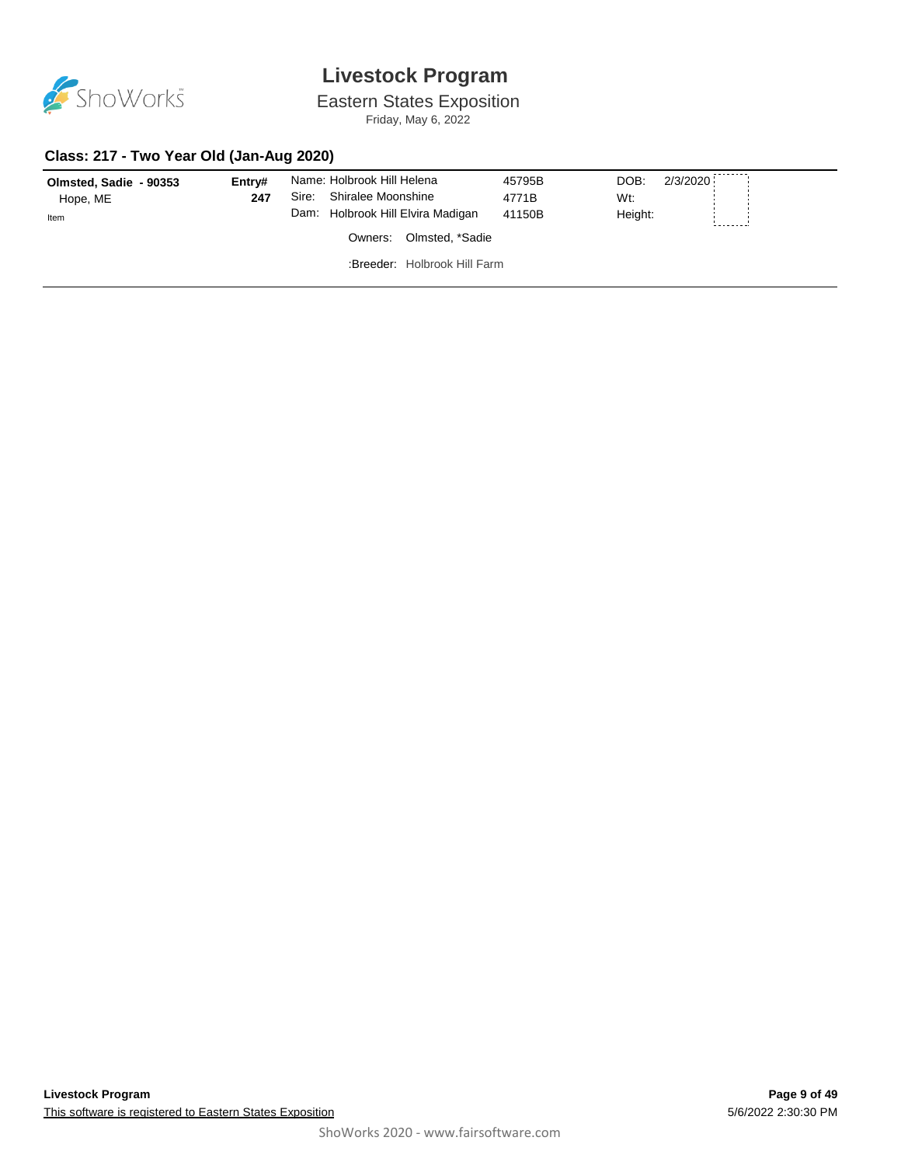

Eastern States Exposition

Friday, May 6, 2022

#### **Class: 217 - Two Year Old (Jan-Aug 2020)**

| Olmsted, Sadie - 90353 | Entrv# | Name: Holbrook Hill Helena        | 45795B | DOB:<br>2/3/2020 |  |  |  |
|------------------------|--------|-----------------------------------|--------|------------------|--|--|--|
| Hope, ME               | 247    | Shiralee Moonshine<br>Sire:       | 4771B  | Wt:              |  |  |  |
| Item                   |        | Dam: Holbrook Hill Elvira Madigan | 41150B | Height:          |  |  |  |
|                        |        | Olmsted, *Sadie<br>Owners:        |        |                  |  |  |  |
|                        |        | :Breeder: Holbrook Hill Farm      |        |                  |  |  |  |
|                        |        |                                   |        |                  |  |  |  |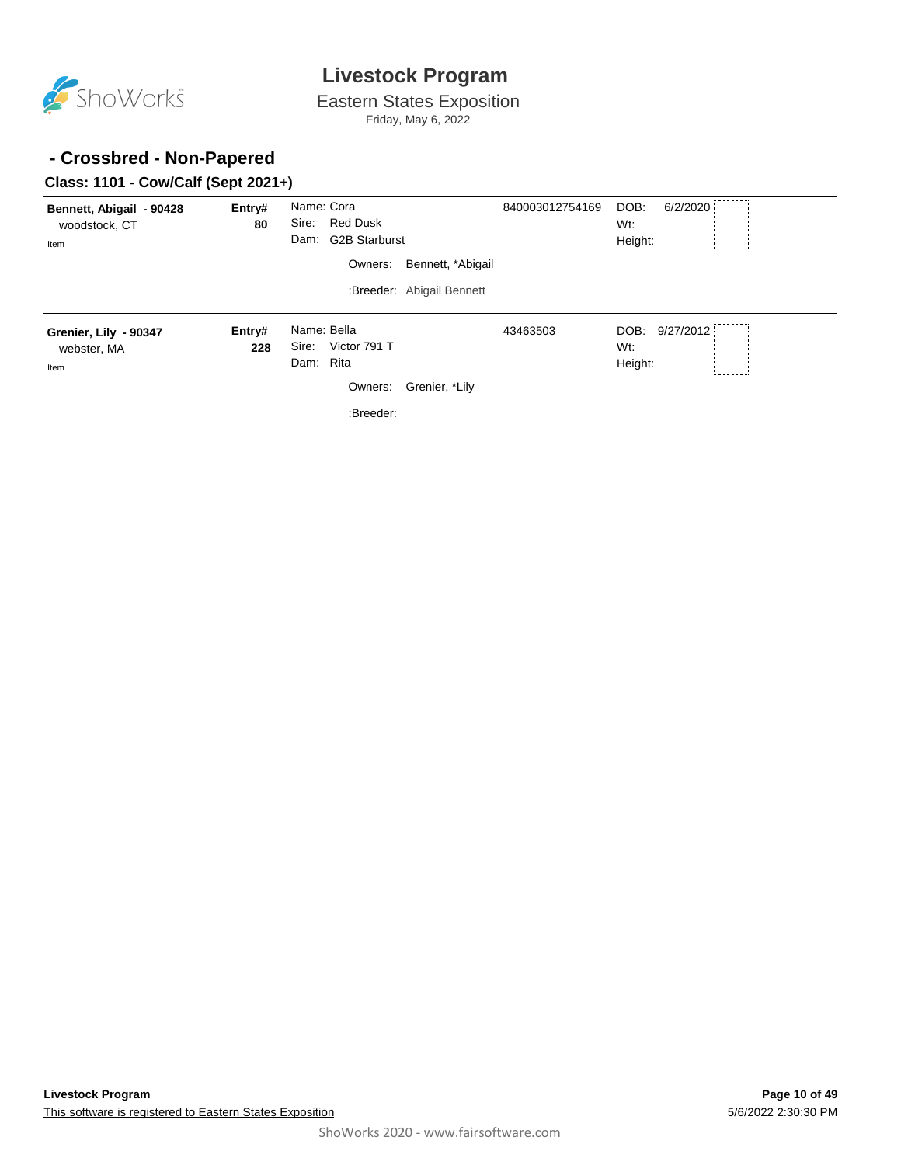

Eastern States Exposition Friday, May 6, 2022

#### **- Crossbred - Non-Papered**

#### **Class: 1101 - Cow/Calf (Sept 2021+)**

| Bennett, Abigail - 90428<br>woodstock, CT<br>Item | Entry#<br>80  | Name: Cora<br><b>Red Dusk</b><br>Sire:<br><b>G2B Starburst</b><br>Dam:<br>Owners: | Bennett, *Abigail         | 840003012754169 | DOB:<br>6/2/2020<br>Wt:<br>Height: |  |
|---------------------------------------------------|---------------|-----------------------------------------------------------------------------------|---------------------------|-----------------|------------------------------------|--|
|                                                   |               |                                                                                   | :Breeder: Abigail Bennett |                 |                                    |  |
| Grenier, Lily - 90347<br>webster, MA<br>Item      | Entry#<br>228 | Name: Bella<br>Victor 791 T<br>Sire:<br>Rita<br>Dam:<br>Owners:<br>:Breeder:      | Grenier, *Lily            | 43463503        | DOB: 9/27/2012<br>Wt:<br>Height:   |  |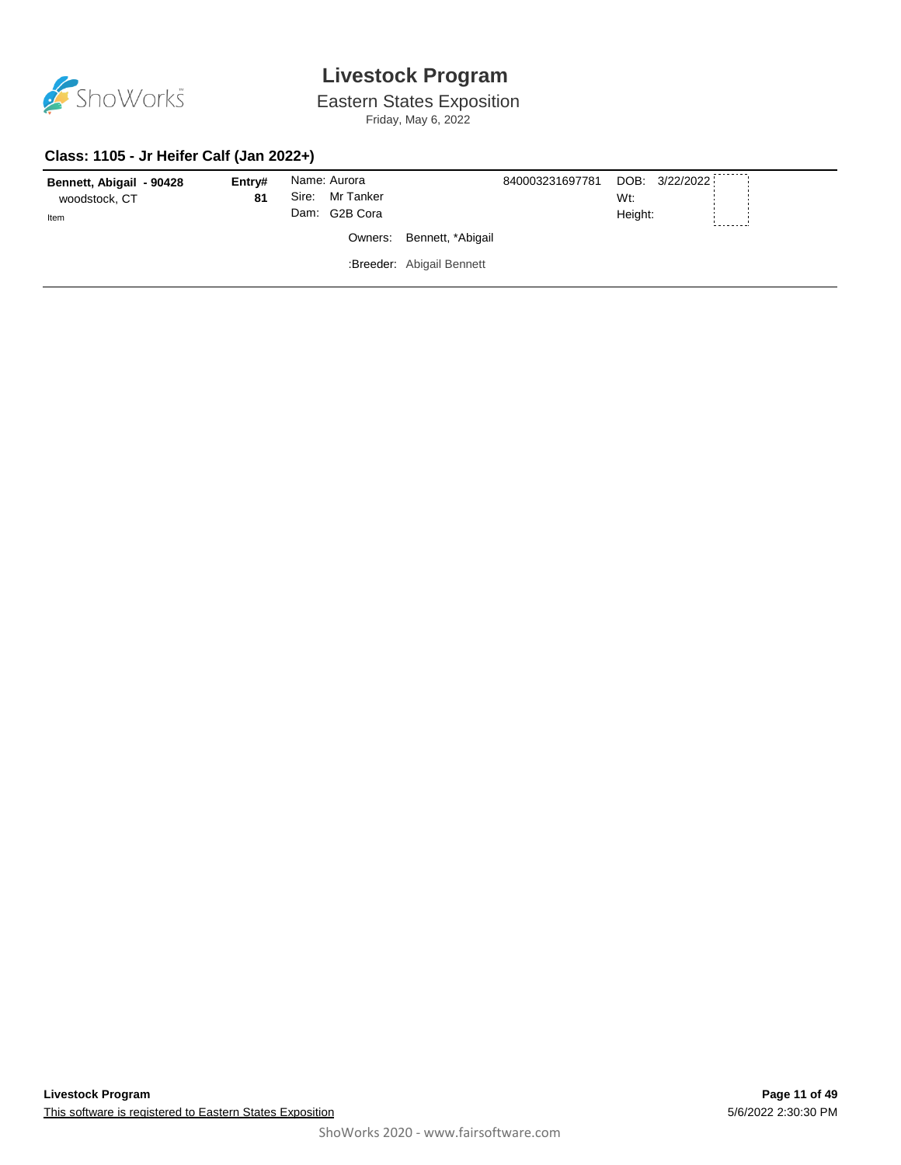

Eastern States Exposition

Friday, May 6, 2022

#### **Class: 1105 - Jr Heifer Calf (Jan 2022+)**

| Bennett, Abigail - 90428 | Entrv# | Name: Aurora    |                           | 840003231697781 |         | DOB: 3/22/2022 |  |
|--------------------------|--------|-----------------|---------------------------|-----------------|---------|----------------|--|
| woodstock, CT            | 81     | Sire: Mr Tanker |                           |                 | Wt:     |                |  |
| Item                     |        | Dam: G2B Cora   |                           |                 | Height: |                |  |
|                          |        |                 | Owners: Bennett, *Abigail |                 |         |                |  |
|                          |        |                 | :Breeder: Abigail Bennett |                 |         |                |  |
|                          |        |                 |                           |                 |         |                |  |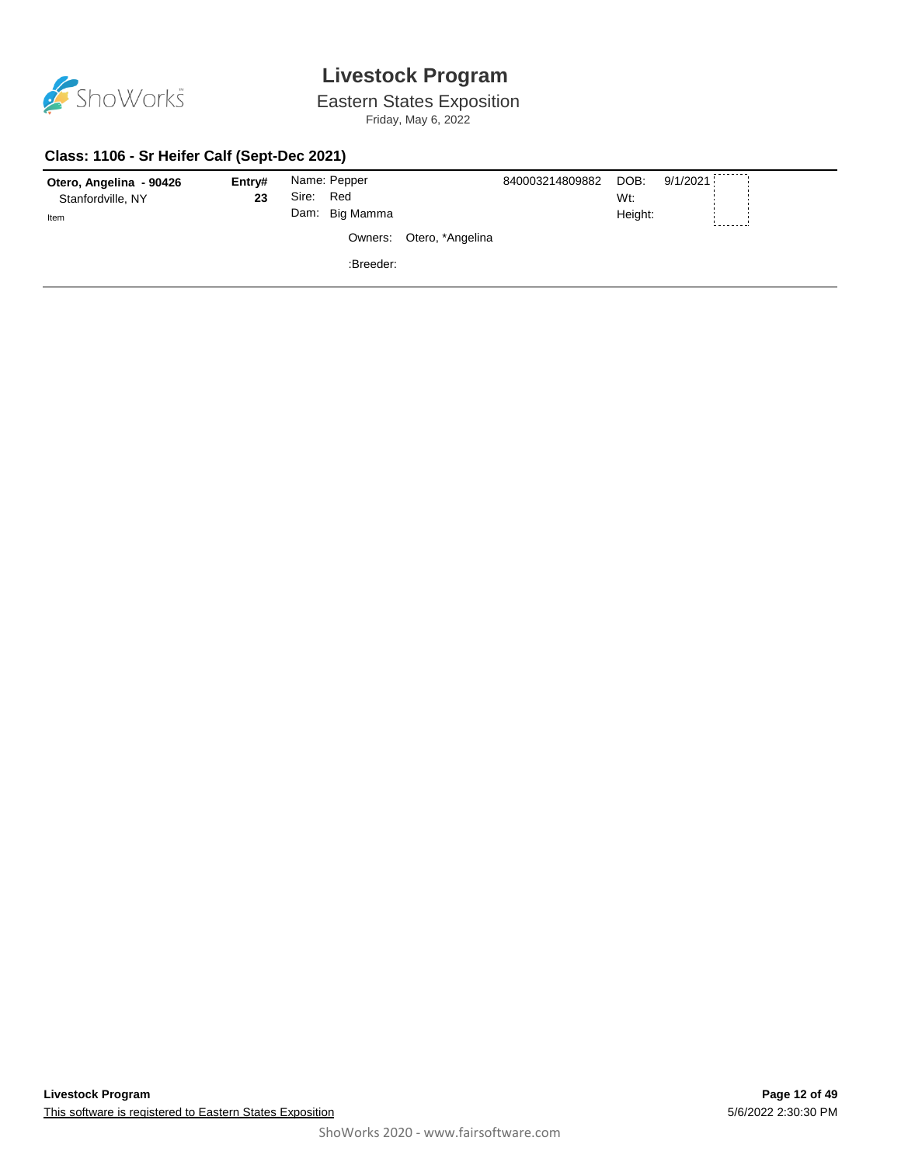

Eastern States Exposition

Friday, May 6, 2022

#### **Class: 1106 - Sr Heifer Calf (Sept-Dec 2021)**

| Otero, Angelina - 90426<br>Stanfordville, NY<br>Item | Entry#<br>23 | Sire: Red | Name: Pepper<br>Dam: Big Mamma |                          | 840003214809882 | DOB:<br>Wt:<br>Height: | 9/1/2021 |  |
|------------------------------------------------------|--------------|-----------|--------------------------------|--------------------------|-----------------|------------------------|----------|--|
|                                                      |              |           |                                | Owners: Otero, *Angelina |                 |                        |          |  |
|                                                      |              |           | :Breeder:                      |                          |                 |                        |          |  |
|                                                      |              |           |                                |                          |                 |                        |          |  |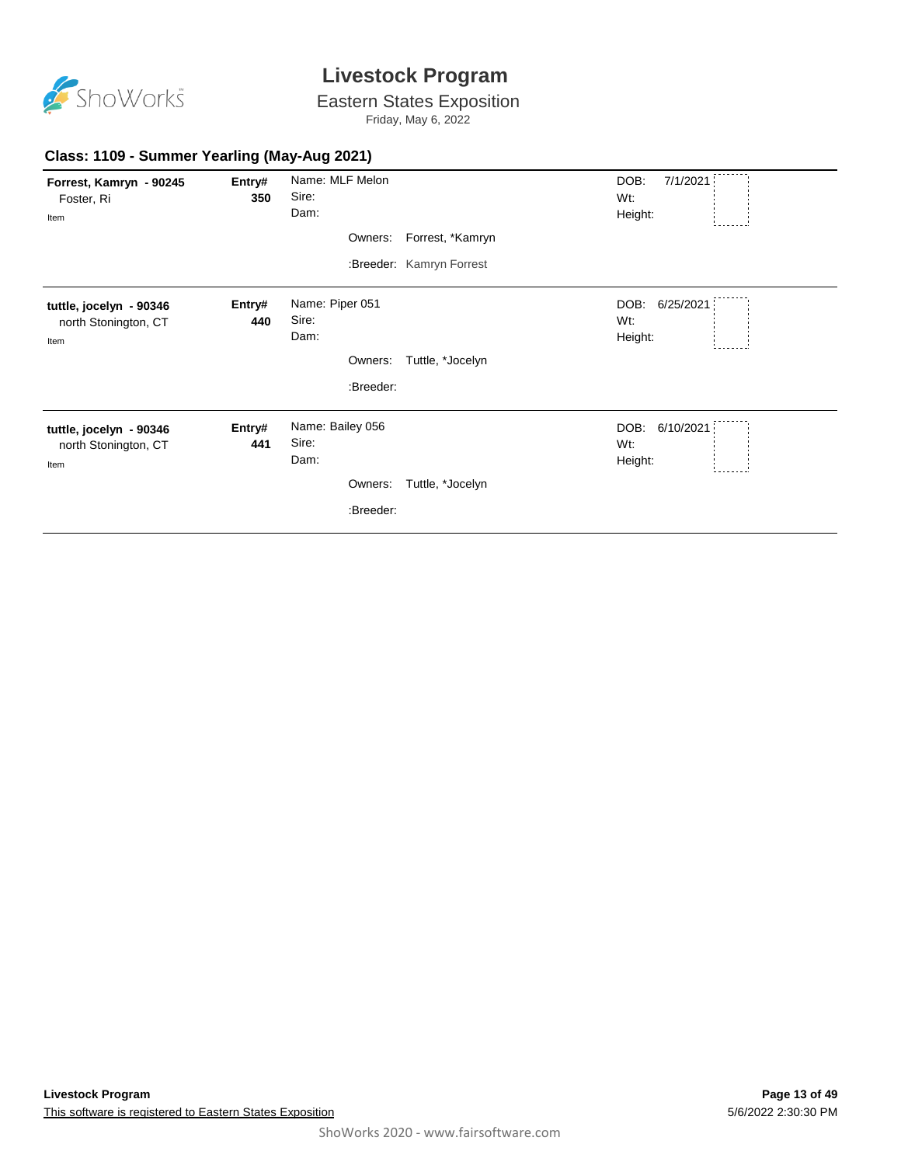

Eastern States Exposition

Friday, May 6, 2022

| Forrest, Kamryn - 90245 | Entry# | Name: MLF Melon  |                          | DOB:<br>7/1/2021  |
|-------------------------|--------|------------------|--------------------------|-------------------|
| Foster, Ri              | 350    | Sire:            |                          | Wt:               |
| Item                    |        | Dam:             |                          | Height:           |
|                         |        |                  | Owners: Forrest, *Kamryn |                   |
|                         |        |                  | :Breeder: Kamryn Forrest |                   |
| tuttle, jocelyn - 90346 | Entry# | Name: Piper 051  |                          | DOB:<br>6/25/2021 |
| north Stonington, CT    | 440    | Sire:            |                          | Wt:               |
| Item                    |        | Dam:             |                          | Height:           |
|                         |        | Owners:          | Tuttle, *Jocelyn         |                   |
|                         |        | :Breeder:        |                          |                   |
| tuttle, jocelyn - 90346 | Entry# | Name: Bailey 056 |                          | DOB: 6/10/2021    |
| north Stonington, CT    | 441    | Sire:            |                          | Wt:               |
| Item                    |        | Dam:             |                          | Height:           |
|                         |        | Owners:          | Tuttle, *Jocelyn         |                   |
|                         |        | :Breeder:        |                          |                   |
|                         |        |                  |                          |                   |

#### **Class: 1109 - Summer Yearling (May-Aug 2021)**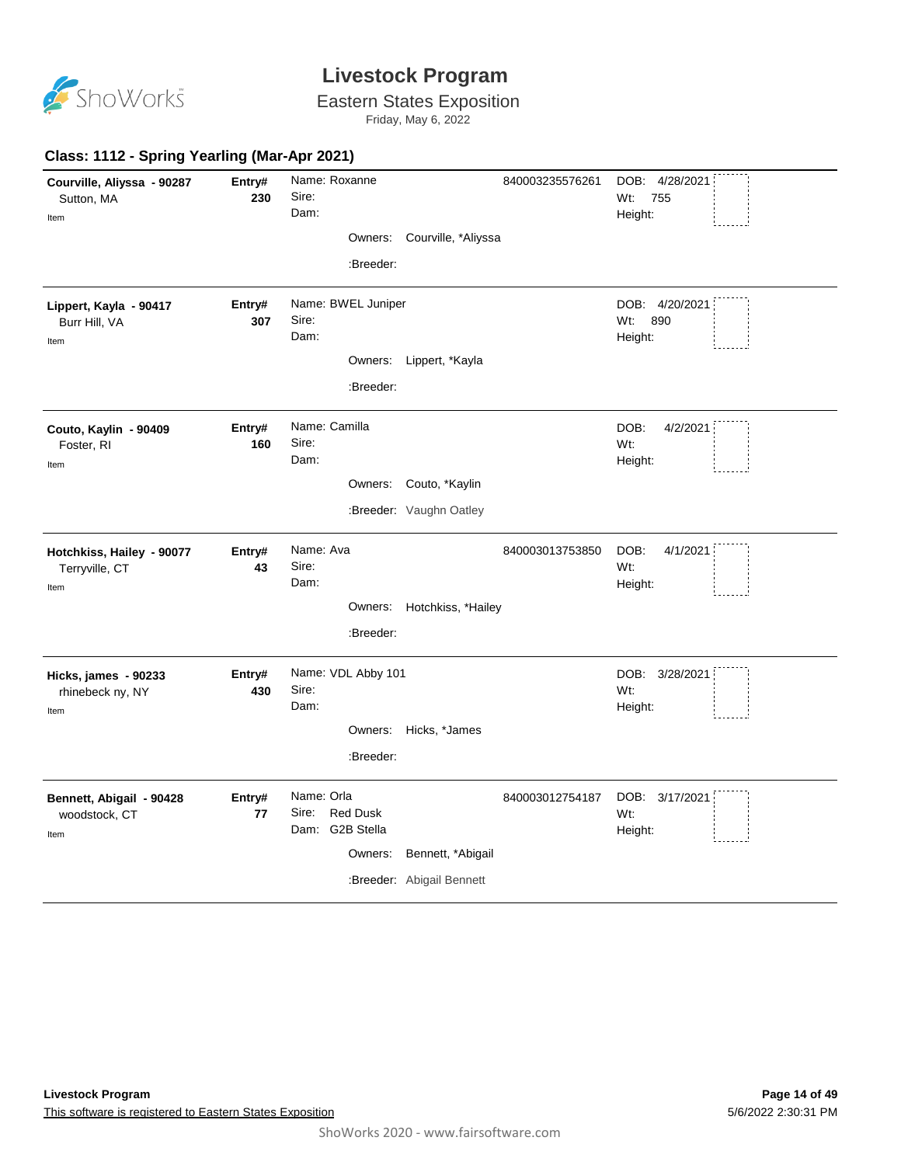

Eastern States Exposition

Friday, May 6, 2022

| Class: 1112 - Spring Yearling (Mar-Apr 2021)        |               |                                                           |                             |                 |                                         |
|-----------------------------------------------------|---------------|-----------------------------------------------------------|-----------------------------|-----------------|-----------------------------------------|
| Courville, Aliyssa - 90287<br>Sutton, MA            | Entry#<br>230 | Name: Roxanne<br>Sire:                                    |                             | 840003235576261 | DOB: 4/28/2021<br>Wt:<br>755            |
| Item                                                |               | Dam:                                                      |                             |                 | Height:                                 |
|                                                     |               |                                                           | Owners: Courville, *Aliyssa |                 |                                         |
|                                                     |               | :Breeder:                                                 |                             |                 |                                         |
| Lippert, Kayla - 90417<br>Burr Hill, VA             | Entry#<br>307 | Name: BWEL Juniper<br>Sire:<br>Dam:                       |                             |                 | DOB: 4/20/2021<br>890<br>Wt:<br>Height: |
| Item                                                |               |                                                           |                             |                 |                                         |
|                                                     |               |                                                           | Owners: Lippert, *Kayla     |                 |                                         |
|                                                     |               | :Breeder:                                                 |                             |                 |                                         |
| Couto, Kaylin - 90409<br>Foster, RI<br>Item         | Entry#<br>160 | Name: Camilla<br>Sire:<br>Dam:                            |                             |                 | DOB:<br>4/2/2021<br>Wt:<br>Height:      |
|                                                     |               |                                                           | Owners: Couto, *Kaylin      |                 |                                         |
|                                                     |               |                                                           |                             |                 |                                         |
|                                                     |               |                                                           | :Breeder: Vaughn Oatley     |                 |                                         |
| Hotchkiss, Hailey - 90077<br>Terryville, CT<br>Item | Entry#<br>43  | Name: Ava<br>Sire:<br>Dam:                                |                             | 840003013753850 | DOB:<br>4/1/2021<br>Wt:<br>Height:      |
|                                                     |               |                                                           | Owners: Hotchkiss, *Hailey  |                 |                                         |
|                                                     |               | :Breeder:                                                 |                             |                 |                                         |
| Hicks, james - 90233<br>rhinebeck ny, NY<br>Item    | Entry#<br>430 | Name: VDL Abby 101<br>Sire:<br>Dam:                       |                             |                 | DOB: 3/28/2021<br>Wt:<br>Height:        |
|                                                     |               |                                                           | Owners: Hicks, *James       |                 |                                         |
|                                                     |               | :Breeder:                                                 |                             |                 |                                         |
|                                                     |               |                                                           |                             |                 |                                         |
| Bennett, Abigail - 90428<br>woodstock, CT<br>Item   | Entry#<br>77  | Name: Orla<br><b>Red Dusk</b><br>Sire:<br>Dam: G2B Stella |                             | 840003012754187 | DOB: 3/17/2021<br>Wt:<br>Height:        |
|                                                     |               | Owners:                                                   | Bennett, *Abigail           |                 |                                         |
|                                                     |               |                                                           | :Breeder: Abigail Bennett   |                 |                                         |
|                                                     |               |                                                           |                             |                 |                                         |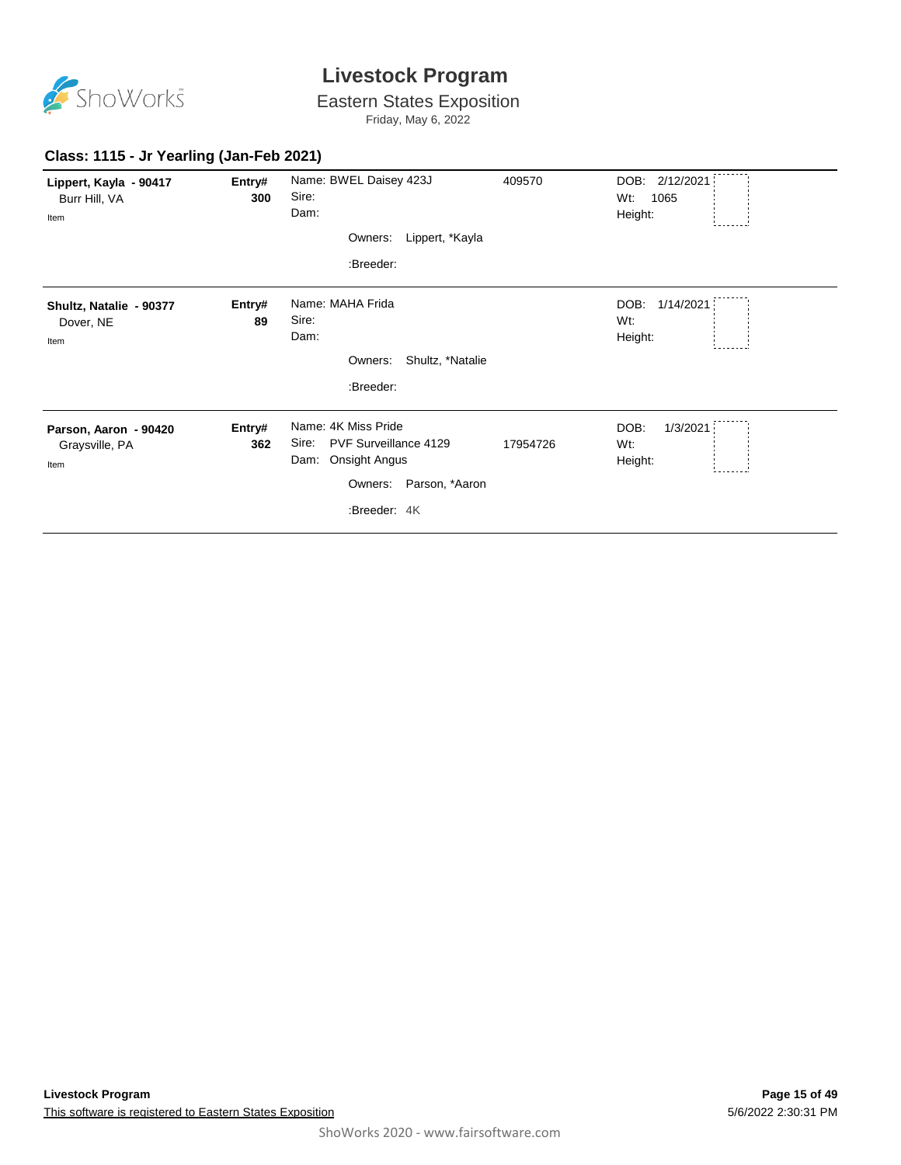

Eastern States Exposition

Friday, May 6, 2022

| Lippert, Kayla - 90417<br>Burr Hill, VA<br>Item | Entry#<br>300 | Name: BWEL Daisey 423J<br>Sire:<br>Dam:<br>Lippert, *Kayla<br>Owners:<br>:Breeder:                                       | 409570   | DOB: 2/12/2021<br>Wt:<br>1065<br>Height: |
|-------------------------------------------------|---------------|--------------------------------------------------------------------------------------------------------------------------|----------|------------------------------------------|
| Shultz, Natalie - 90377<br>Dover, NE<br>Item    | Entry#<br>89  | Name: MAHA Frida<br>Sire:<br>Dam:<br>Shultz, *Natalie<br>Owners:<br>:Breeder:                                            |          | DOB:<br>1/14/2021<br>Wt:<br>Height:      |
| Parson, Aaron - 90420<br>Graysville, PA<br>Item | Entry#<br>362 | Name: 4K Miss Pride<br>PVF Surveillance 4129<br>Sire:<br>Onsight Angus<br>Dam:<br>Owners: Parson, *Aaron<br>:Breeder: 4K | 17954726 | DOB:<br>1/3/2021<br>Wt:<br>Height:       |

#### **Class: 1115 - Jr Yearling (Jan-Feb 2021)**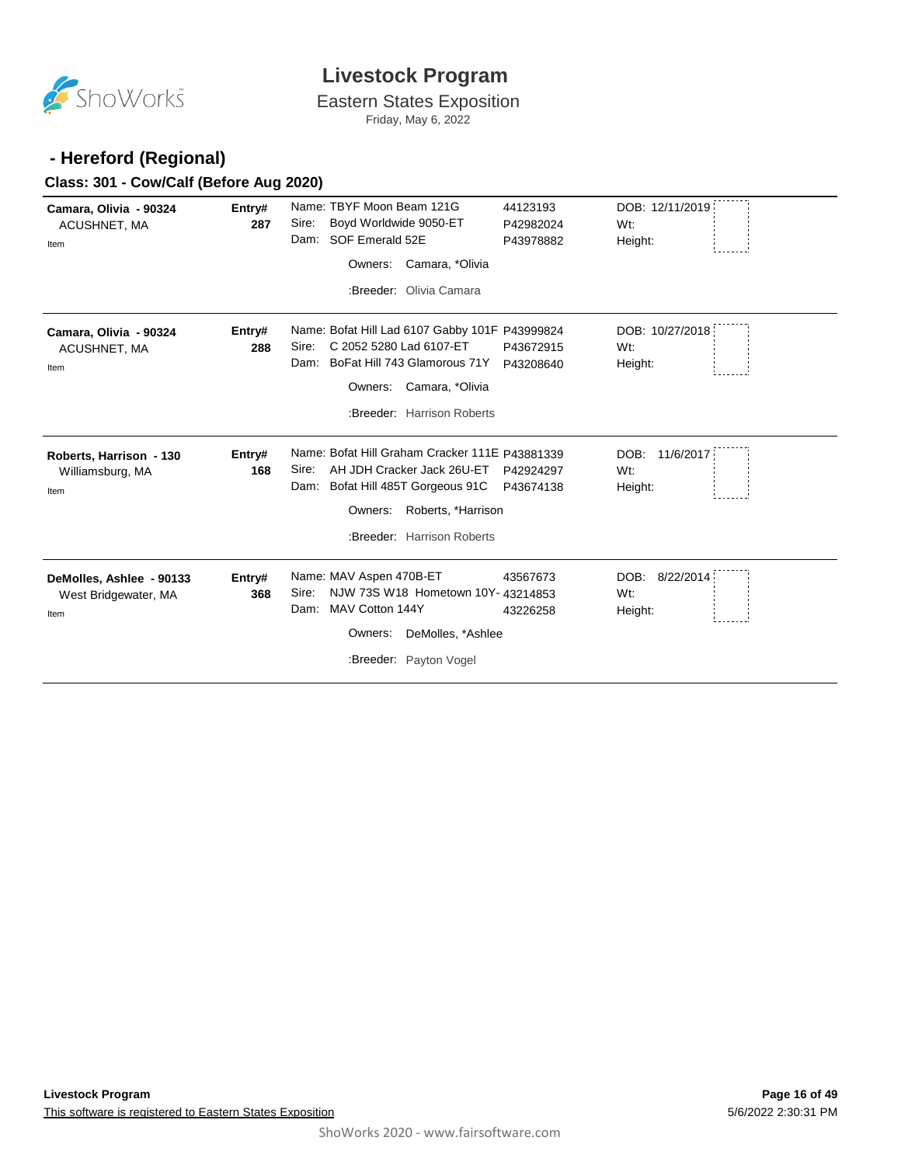

Eastern States Exposition Friday, May 6, 2022

#### **- Hereford (Regional)**

#### **Class: 301 - Cow/Calf (Before Aug 2020)**

| Camara, Olivia - 90324<br>ACUSHNET, MA<br>Item           | Entry#<br>287 | Name: TBYF Moon Beam 121G<br>Boyd Worldwide 9050-ET<br>Sire:<br>Dam: SOF Emerald 52E<br>Camara, *Olivia<br>Owners:<br>:Breeder: Olivia Camara                                                | 44123193<br>P42982024<br>P43978882 | DOB: 12/11/2019<br>Wt:<br>Height:                |
|----------------------------------------------------------|---------------|----------------------------------------------------------------------------------------------------------------------------------------------------------------------------------------------|------------------------------------|--------------------------------------------------|
| Camara, Olivia - 90324<br>ACUSHNET, MA<br>Item           | Entry#<br>288 | Name: Bofat Hill Lad 6107 Gabby 101F P43999824<br>C 2052 5280 Lad 6107-ET<br>Sire:<br>Dam: BoFat Hill 743 Glamorous 71Y<br>Camara, *Olivia<br>Owners:<br>:Breeder: Harrison Roberts          | P43672915<br>P43208640             | DOB: 10/27/2018<br>W <sub>t</sub> :<br>Height:   |
| Roberts, Harrison - 130<br>Williamsburg, MA<br>Item      | Entry#<br>168 | Name: Bofat Hill Graham Cracker 111E P43881339<br>AH JDH Cracker Jack 26U-ET<br>Sire:<br>Bofat Hill 485T Gorgeous 91C<br>Dam:<br>Roberts, *Harrison<br>Owners:<br>:Breeder: Harrison Roberts | P42924297<br>P43674138             | DOB:<br>11/6/2017<br>W <sub>t</sub> :<br>Height: |
| DeMolles, Ashlee - 90133<br>West Bridgewater, MA<br>Item | Entry#<br>368 | Name: MAV Aspen 470B-ET<br>NJW 73S W18 Hometown 10Y- 43214853<br>Sire:<br>MAV Cotton 144Y<br>Dam:<br>DeMolles, *Ashlee<br>Owners:<br>:Breeder: Payton Vogel                                  | 43567673<br>43226258               | DOB: 8/22/2014<br>Wt:<br>Height:                 |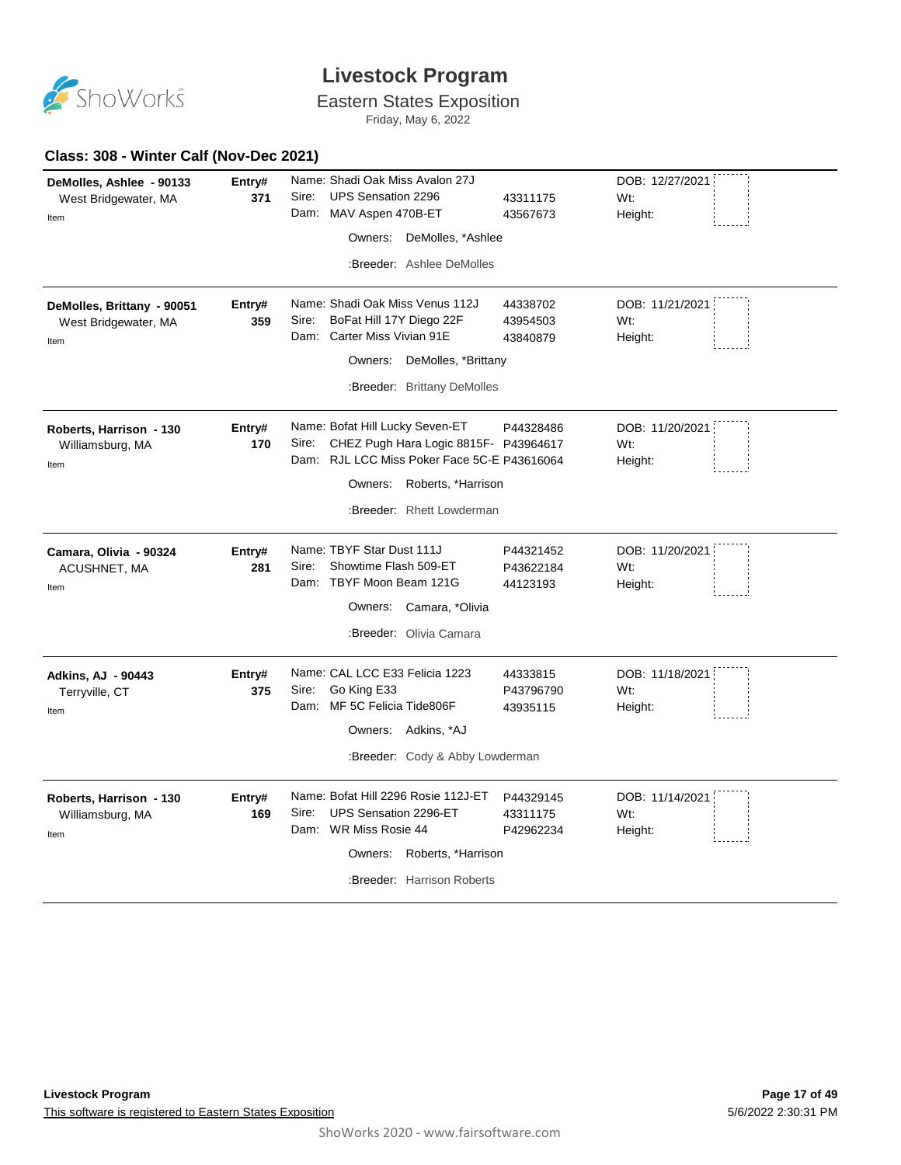

# Eastern States Exposition

Friday, May 6, 2022

| DeMolles, Ashlee - 90133   | Entry# | Name: Shadi Oak Miss Avalon 27J                |           | DOB: 12/27/2021  |
|----------------------------|--------|------------------------------------------------|-----------|------------------|
| West Bridgewater, MA       | 371    | Sire:<br><b>UPS Sensation 2296</b>             | 43311175  | W <sub>t</sub> : |
| Item                       |        | Dam:<br>MAV Aspen 470B-ET                      | 43567673  | Height:          |
|                            |        | Owners: DeMolles, *Ashlee                      |           |                  |
|                            |        | :Breeder: Ashlee DeMolles                      |           |                  |
|                            |        |                                                |           |                  |
| DeMolles, Brittany - 90051 | Entry# | Name: Shadi Oak Miss Venus 112J                | 44338702  | DOB: 11/21/2021  |
| West Bridgewater, MA       | 359    | BoFat Hill 17Y Diego 22F<br>Sire:              | 43954503  | Wt:              |
| Item                       |        | Dam: Carter Miss Vivian 91E                    | 43840879  | Height:          |
|                            |        | Owners: DeMolles, *Brittany                    |           |                  |
|                            |        | :Breeder: Brittany DeMolles                    |           |                  |
| Roberts, Harrison - 130    | Entry# | Name: Bofat Hill Lucky Seven-ET                | P44328486 | DOB: 11/20/2021  |
| Williamsburg, MA           | 170    | CHEZ Pugh Hara Logic 8815F- P43964617<br>Sire: |           | Wt:              |
| Item                       |        | Dam: RJL LCC Miss Poker Face 5C-E P43616064    |           | Height:          |
|                            |        | Owners: Roberts, *Harrison                     |           |                  |
|                            |        | :Breeder: Rhett Lowderman                      |           |                  |
| Camara, Olivia - 90324     | Entry# | Name: TBYF Star Dust 111J                      | P44321452 | DOB: 11/20/2021  |
| ACUSHNET, MA               | 281    | Showtime Flash 509-ET<br>Sire:                 | P43622184 | Wt:              |
| Item                       |        | Dam: TBYF Moon Beam 121G                       | 44123193  | Height:          |
|                            |        | Owners: Camara, *Olivia                        |           |                  |
|                            |        | :Breeder: Olivia Camara                        |           |                  |
| <b>Adkins, AJ - 90443</b>  | Entry# | Name: CAL LCC E33 Felicia 1223                 | 44333815  | DOB: 11/18/2021  |
| Terryville, CT             | 375    | Go King E33<br>Sire:                           | P43796790 | Wt:              |
| Item                       |        | Dam: MF 5C Felicia Tide806F                    | 43935115  | Height:          |
|                            |        | Owners: Adkins, *AJ                            |           |                  |
|                            |        | :Breeder: Cody & Abby Lowderman                |           |                  |
| Roberts, Harrison - 130    | Entry# | Name: Bofat Hill 2296 Rosie 112J-ET            | P44329145 | DOB: 11/14/2021  |
| Williamsburg, MA           | 169    | UPS Sensation 2296-ET<br>Sire:                 | 43311175  | Wt:              |
| Item                       |        | Dam: WR Miss Rosie 44                          | P42962234 | Height:          |
|                            |        | Owners: Roberts, *Harrison                     |           |                  |
|                            |        | :Breeder: Harrison Roberts                     |           |                  |
|                            |        |                                                |           |                  |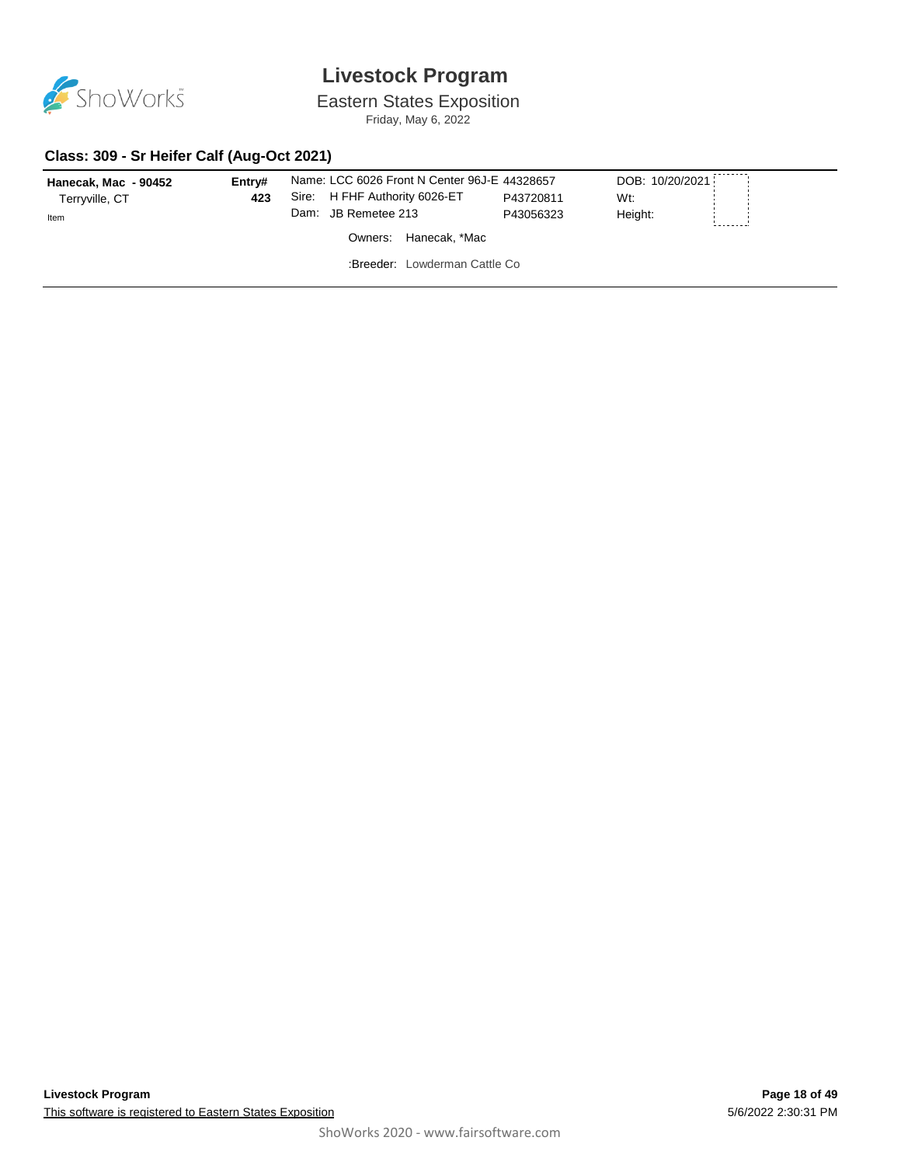

Eastern States Exposition

Friday, May 6, 2022

#### **Class: 309 - Sr Heifer Calf (Aug-Oct 2021)**

| 423<br>Terryville, CT | Sire: H FHF Authority 6026-ET<br>Dam: JB Remetee 213   | P43720811 | Wt:     |  |
|-----------------------|--------------------------------------------------------|-----------|---------|--|
| Item                  | Owners: Hanecak, *Mac<br>:Breeder: Lowderman Cattle Co | P43056323 | Height: |  |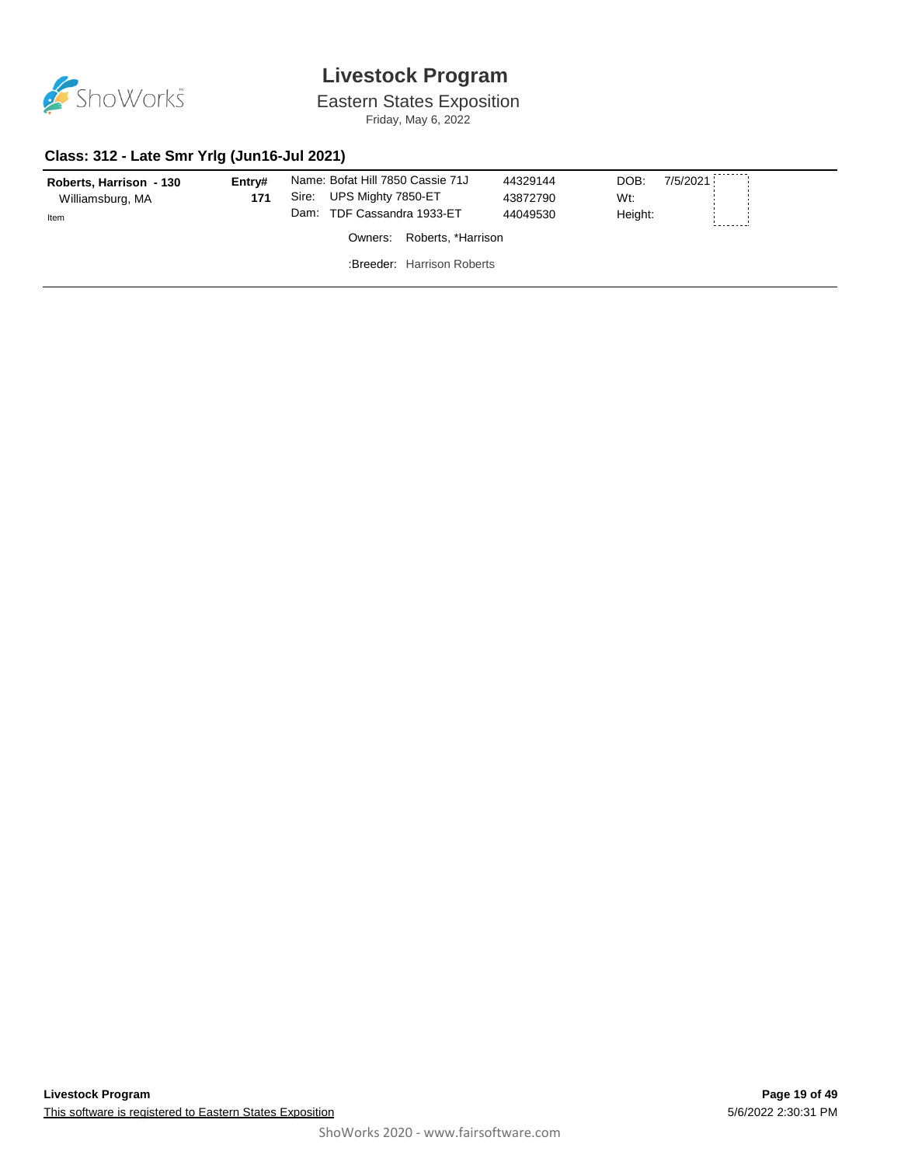

Eastern States Exposition Friday, May 6, 2022

#### **Class: 312 - Late Smr Yrlg (Jun16-Jul 2021)**

| Roberts, Harrison - 130<br>Williamsburg, MA<br>Item | Entrv#<br>171 | Name: Bofat Hill 7850 Cassie 71J<br>UPS Mighty 7850-ET<br>Sire:<br>Dam: TDF Cassandra 1933-ET | 44329144<br>43872790<br>44049530 | DOB:<br>7/5/2021<br>Wt:<br>Height: |  |
|-----------------------------------------------------|---------------|-----------------------------------------------------------------------------------------------|----------------------------------|------------------------------------|--|
|                                                     |               | Owners: Roberts, *Harrison                                                                    |                                  |                                    |  |
|                                                     |               | <b>Breeder</b> Harrison Roberts                                                               |                                  |                                    |  |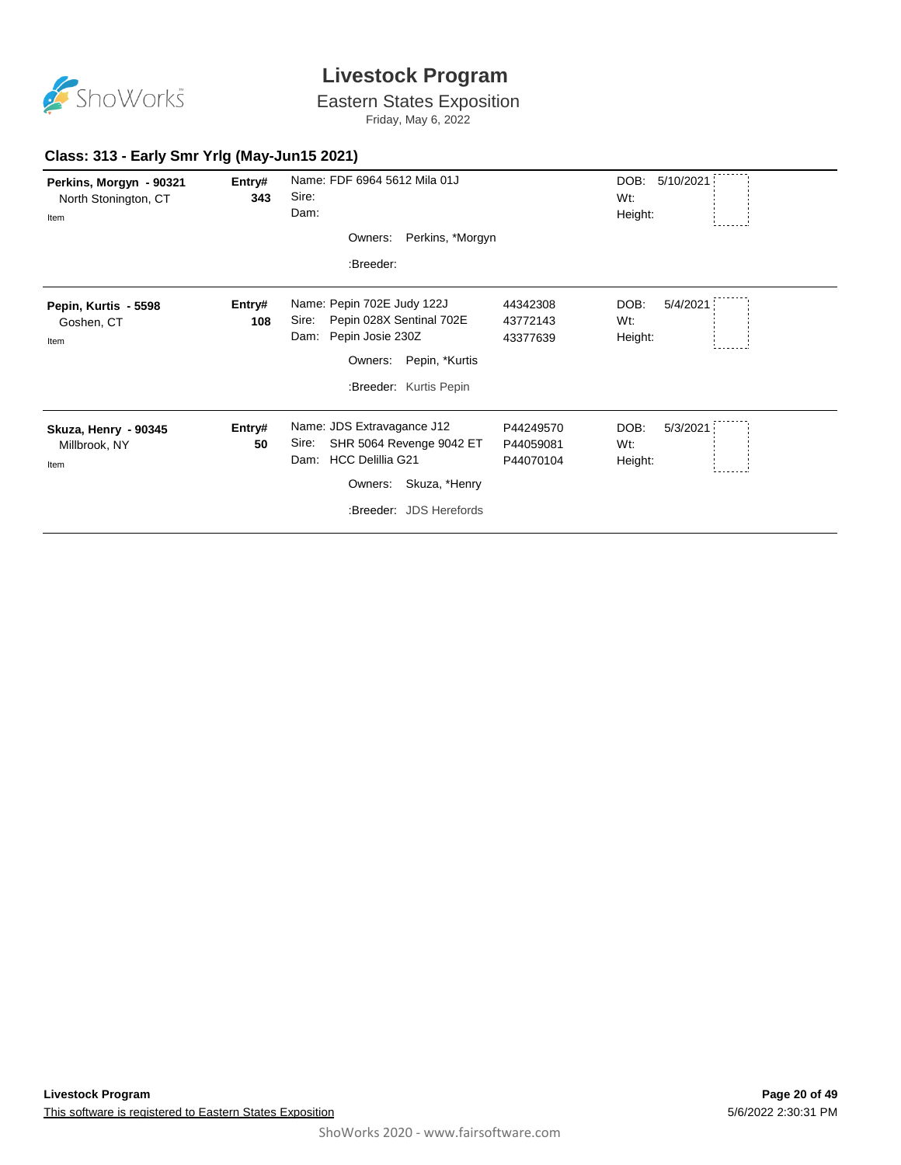

Eastern States Exposition

Friday, May 6, 2022

#### **Class: 313 - Early Smr Yrlg (May-Jun15 2021)**

| Perkins, Morgyn - 90321<br>North Stonington, CT<br>Item | Entry#<br>343 | Name: FDF 6964 5612 Mila 01J<br>Sire:<br>Dam:<br>Perkins, *Morgyn<br>Owners:<br>:Breeder:                                                              |                                     | DOB.<br>5/10/2021<br>Wt:<br>Height: |
|---------------------------------------------------------|---------------|--------------------------------------------------------------------------------------------------------------------------------------------------------|-------------------------------------|-------------------------------------|
| Pepin, Kurtis - 5598<br>Goshen, CT<br>Item              | Entry#<br>108 | Name: Pepin 702E Judy 122J<br>Pepin 028X Sentinal 702E<br>Sire:<br>Pepin Josie 230Z<br>Dam:<br>Pepin, *Kurtis<br>Owners:<br>:Breeder: Kurtis Pepin     | 44342308<br>43772143<br>43377639    | DOB:<br>5/4/2021<br>Wt:<br>Height:  |
| Skuza, Henry - 90345<br>Millbrook, NY<br>Item           | Entry#<br>50  | Name: JDS Extravagance J12<br>SHR 5064 Revenge 9042 ET<br>Sire:<br><b>HCC Delillia G21</b><br>Dam:<br>Owners: Skuza, *Henry<br>:Breeder: JDS Herefords | P44249570<br>P44059081<br>P44070104 | DOB:<br>5/3/2021<br>Wt:<br>Height:  |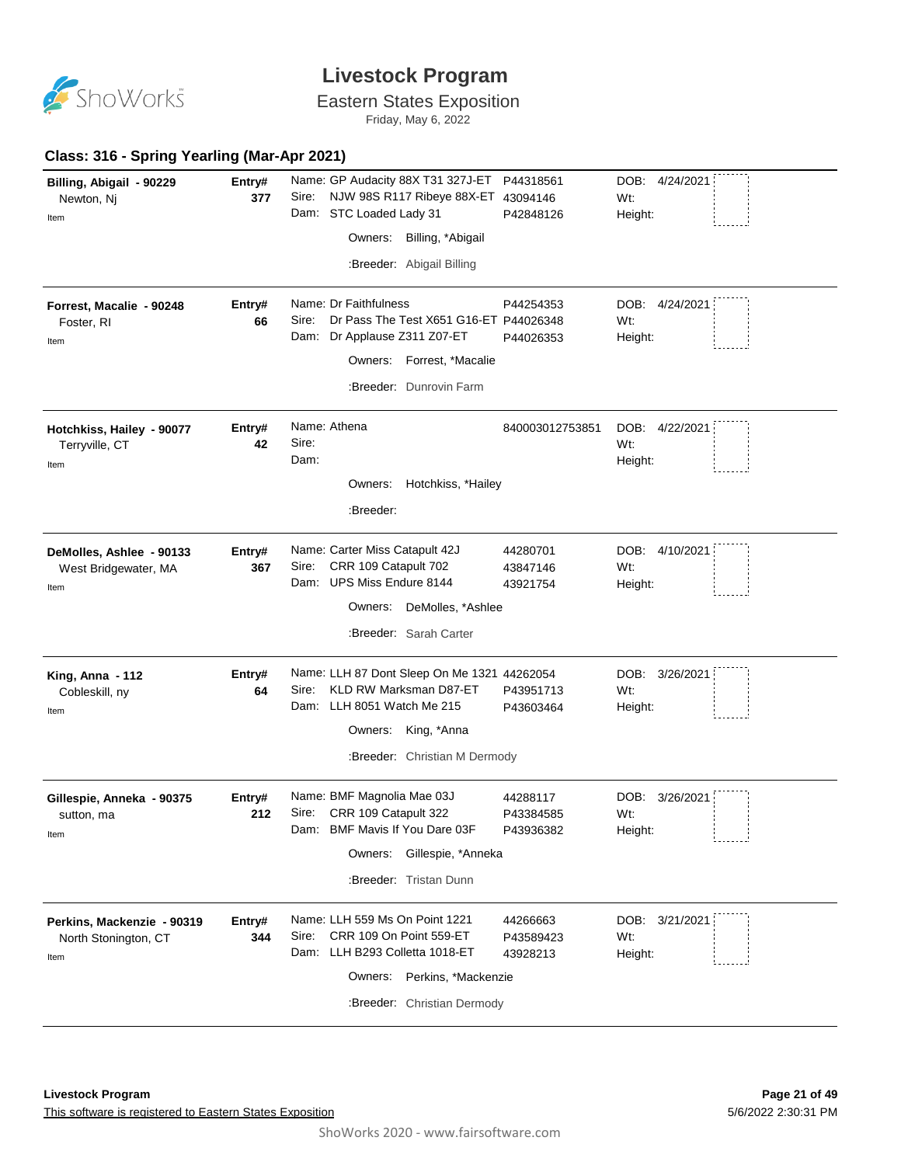

Eastern States Exposition

Friday, May 6, 2022

#### **Class: 316 - Spring Yearling (Mar-Apr 2021)**

| Billing, Abigail - 90229   | Entry# | Name: GP Audacity 88X T31 327J-ET                             |                                        | P44318561       | DOB: 4/24/2021    |  |
|----------------------------|--------|---------------------------------------------------------------|----------------------------------------|-----------------|-------------------|--|
| Newton, Nj                 | 377    | Sire:                                                         | NJW 98S R117 Ribeye 88X-ET 43094146    |                 | Wt:               |  |
| Item                       |        | Dam: STC Loaded Lady 31                                       |                                        | P42848126       | Height:           |  |
|                            |        | Owners:                                                       | Billing, *Abigail                      |                 |                   |  |
|                            |        |                                                               | :Breeder: Abigail Billing              |                 |                   |  |
| Forrest, Macalie - 90248   | Entry# | Name: Dr Faithfulness                                         |                                        | P44254353       | DOB: 4/24/2021    |  |
| Foster, RI                 | 66     | Sire:                                                         | Dr Pass The Test X651 G16-ET P44026348 |                 | Wt:               |  |
| Item                       |        | Dam: Dr Applause Z311 Z07-ET                                  |                                        | P44026353       | Height:           |  |
|                            |        |                                                               | Owners: Forrest, *Macalie              |                 |                   |  |
|                            |        |                                                               | :Breeder: Dunrovin Farm                |                 |                   |  |
| Hotchkiss, Hailey - 90077  | Entry# | Name: Athena                                                  |                                        | 840003012753851 | DOB: 4/22/2021    |  |
| Terryville, CT             | 42     | Sire:                                                         |                                        |                 | Wt:               |  |
| Item                       |        | Dam:                                                          |                                        |                 | Height:           |  |
|                            |        |                                                               | Owners: Hotchkiss, *Hailey             |                 |                   |  |
|                            |        |                                                               |                                        |                 |                   |  |
|                            |        | :Breeder:                                                     |                                        |                 |                   |  |
| DeMolles, Ashlee - 90133   | Entry# | Name: Carter Miss Catapult 42J                                |                                        | 44280701        | DOB: 4/10/2021    |  |
| West Bridgewater, MA       | 367    | CRR 109 Catapult 702<br>Sire:                                 |                                        | 43847146        | Wt:               |  |
| Item                       |        | Dam: UPS Miss Endure 8144                                     |                                        | 43921754        | Height:           |  |
|                            |        | Owners:                                                       | DeMolles, *Ashlee                      |                 |                   |  |
|                            |        |                                                               | :Breeder: Sarah Carter                 |                 |                   |  |
|                            |        |                                                               |                                        |                 |                   |  |
| King, Anna - 112           | Entry# | Name: LLH 87 Dont Sleep On Me 1321 44262054                   |                                        |                 | DOB:<br>3/26/2021 |  |
| Cobleskill, ny             | 64     | KLD RW Marksman D87-ET<br>Sire:<br>Dam: LLH 8051 Watch Me 215 |                                        | P43951713       | W <sub>t</sub> :  |  |
| Item                       |        |                                                               |                                        | P43603464       | Height:           |  |
|                            |        | Owners: King, *Anna                                           |                                        |                 |                   |  |
|                            |        |                                                               | :Breeder: Christian M Dermody          |                 |                   |  |
| Gillespie, Anneka - 90375  | Entry# | Name: BMF Magnolia Mae 03J                                    |                                        | 44288117        | DOB:<br>3/26/2021 |  |
| sutton, ma                 | 212    | CRR 109 Catapult 322<br>Sire:                                 |                                        | P43384585       | Wt:               |  |
| Item                       |        | Dam: BMF Mavis If You Dare 03F                                |                                        | P43936382       | Height:           |  |
|                            |        |                                                               | Owners: Gillespie, *Anneka             |                 |                   |  |
|                            |        |                                                               | :Breeder: Tristan Dunn                 |                 |                   |  |
| Perkins, Mackenzie - 90319 | Entry# | Name: LLH 559 Ms On Point 1221                                |                                        | 44266663        | DOB: 3/21/2021    |  |
| North Stonington, CT       | 344    | CRR 109 On Point 559-ET<br>Sire:                              |                                        | P43589423       | Wt:               |  |
| Item                       |        | Dam: LLH B293 Colletta 1018-ET                                |                                        | 43928213        | Height:           |  |
|                            |        |                                                               | Owners: Perkins, *Mackenzie            |                 |                   |  |
|                            |        |                                                               | :Breeder: Christian Dermody            |                 |                   |  |
|                            |        |                                                               |                                        |                 |                   |  |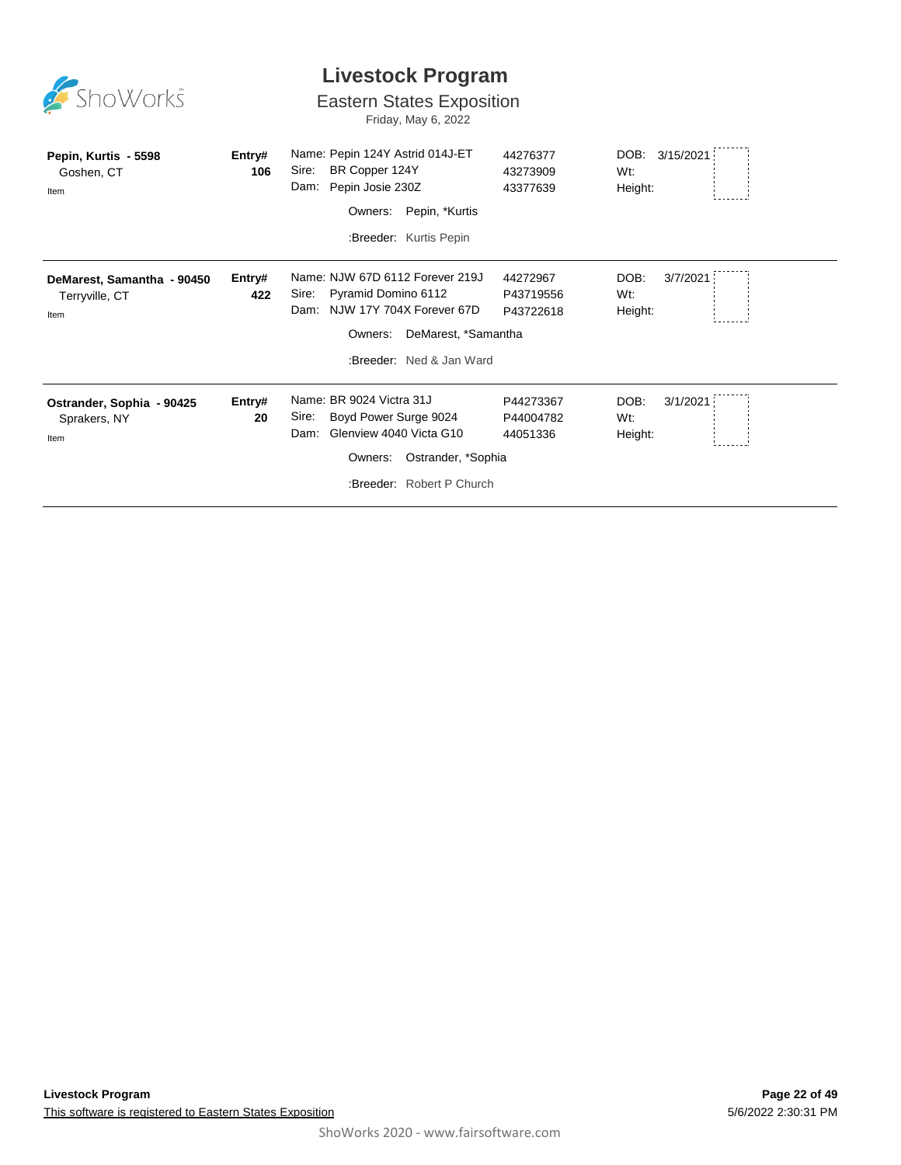| ShoWorks                                             |               | <b>Livestock Program</b><br><b>Eastern States Exposition</b><br>Friday, May 6, 2022                                                                            |                                    |                                     |
|------------------------------------------------------|---------------|----------------------------------------------------------------------------------------------------------------------------------------------------------------|------------------------------------|-------------------------------------|
| Pepin, Kurtis - 5598<br>Goshen, CT<br>Item           | Entry#<br>106 | Name: Pepin 124Y Astrid 014J-ET<br>BR Copper 124Y<br>Sire:<br>Pepin Josie 230Z<br>Dam:<br>Owners:<br>Pepin, *Kurtis<br>:Breeder: Kurtis Pepin                  | 44276377<br>43273909<br>43377639   | 3/15/2021<br>DOB:<br>Wt:<br>Height: |
| DeMarest, Samantha - 90450<br>Terryville, CT<br>Item | Entry#<br>422 | Name: NJW 67D 6112 Forever 219J<br>Pyramid Domino 6112<br>Sire:<br>Dam: NJW 17Y 704X Forever 67D<br>DeMarest, *Samantha<br>Owners:<br>:Breeder: Ned & Jan Ward | 44272967<br>P43719556<br>P43722618 | DOB:<br>3/7/2021<br>Wt:<br>Height:  |
| Ostrander, Sophia - 90425<br>Sprakers, NY<br>Item    | Entry#<br>20  | Name: BR 9024 Victra 31J<br>Boyd Power Surge 9024<br>Sire:<br>Glenview 4040 Victa G10<br>Dam:<br>Ostrander, *Sophia<br>Owners:<br>:Breeder: Robert P Church    | P44273367<br>P44004782<br>44051336 | DOB:<br>3/1/2021<br>Wt:<br>Height:  |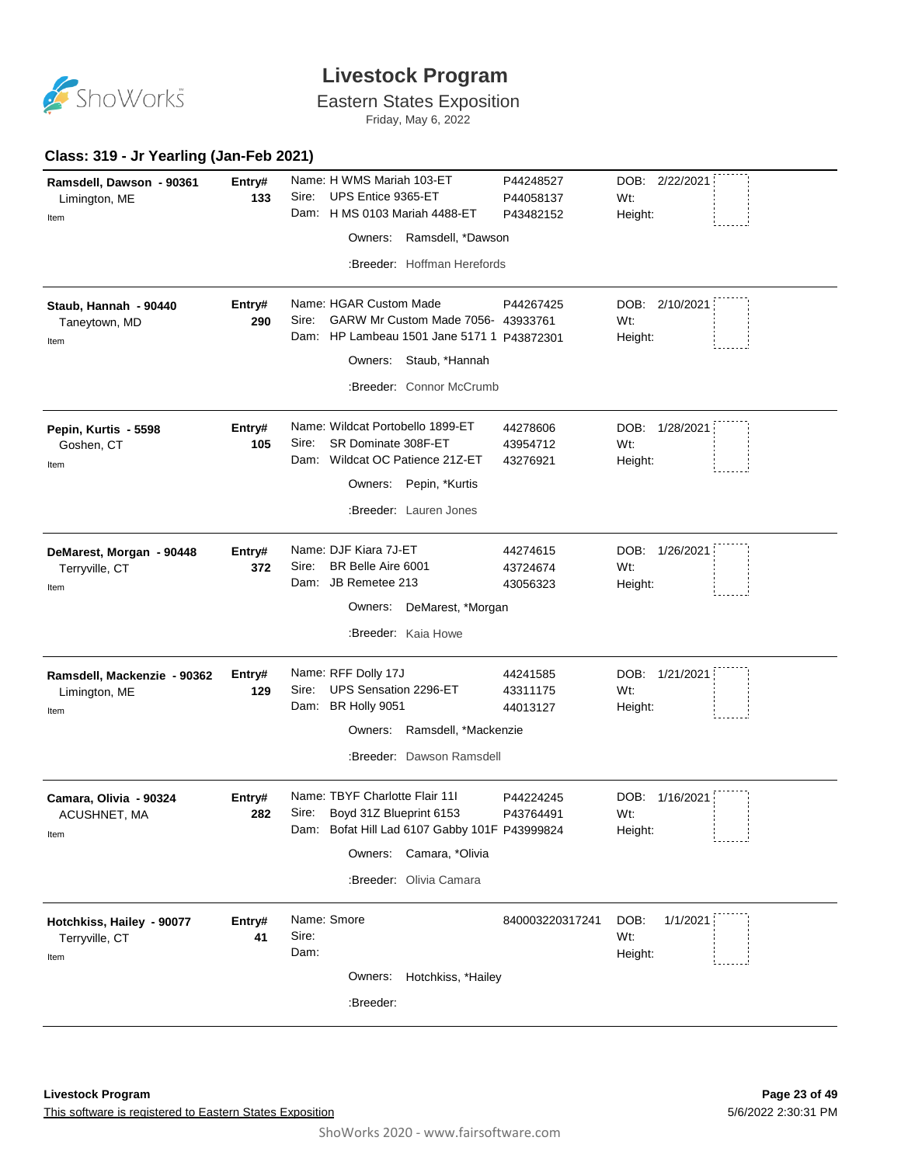

# Eastern States Exposition

Friday, May 6, 2022

#### **Class: 319 - Jr Yearling (Jan-Feb 2021)**

|                             |        | Name: H WMS Mariah 103-ET                     |                        |                       |
|-----------------------------|--------|-----------------------------------------------|------------------------|-----------------------|
| Ramsdell, Dawson - 90361    | Entry# | UPS Entice 9365-ET<br>Sire:                   | P44248527              | DOB: 2/22/2021<br>Wt: |
| Limington, ME               | 133    | Dam: H MS 0103 Mariah 4488-ET                 | P44058137<br>P43482152 | Height:               |
| Item                        |        |                                               |                        |                       |
|                             |        | Owners: Ramsdell, *Dawson                     |                        |                       |
|                             |        | :Breeder: Hoffman Herefords                   |                        |                       |
| Staub, Hannah - 90440       | Entry# | Name: HGAR Custom Made                        | P44267425              | DOB: 2/10/2021        |
| Taneytown, MD               | 290    | GARW Mr Custom Made 7056- 43933761<br>Sire:   |                        | Wt:                   |
| Item                        |        | Dam: HP Lambeau 1501 Jane 5171 1 P43872301    |                        | Height:               |
|                             |        | Owners: Staub, *Hannah                        |                        |                       |
|                             |        | :Breeder: Connor McCrumb                      |                        |                       |
| Pepin, Kurtis - 5598        | Entry# | Name: Wildcat Portobello 1899-ET              | 44278606               | DOB: 1/28/2021        |
| Goshen, CT                  | 105    | Sire:<br>SR Dominate 308F-ET                  | 43954712               | Wt:                   |
| Item                        |        | Dam: Wildcat OC Patience 21Z-ET               | 43276921               | Height:               |
|                             |        | Owners: Pepin, *Kurtis                        |                        |                       |
|                             |        | :Breeder: Lauren Jones                        |                        |                       |
| DeMarest, Morgan - 90448    | Entry# | Name: DJF Kiara 7J-ET                         | 44274615               | DOB: 1/26/2021        |
| Terryville, CT              | 372    | BR Belle Aire 6001<br>Sire:                   | 43724674               | Wt:                   |
| Item                        |        | Dam: JB Remetee 213                           | 43056323               | Height:               |
|                             |        | DeMarest, *Morgan<br>Owners:                  |                        |                       |
|                             |        | :Breeder: Kaia Howe                           |                        |                       |
| Ramsdell, Mackenzie - 90362 | Entry# | Name: RFF Dolly 17J                           | 44241585               | DOB: 1/21/2021        |
| Limington, ME               | 129    | UPS Sensation 2296-ET<br>Sire:                | 43311175               | Wt:                   |
| Item                        |        | Dam: BR Holly 9051                            | 44013127               | Height:               |
|                             |        | Ramsdell, *Mackenzie<br>Owners:               |                        |                       |
|                             |        | :Breeder: Dawson Ramsdell                     |                        |                       |
| Camara, Olivia - 90324      | Entry# | Name: TBYF Charlotte Flair 111                | P44224245              | DOB:<br>1/16/2021     |
| ACUSHNET, MA                | 282    | Boyd 31Z Blueprint 6153<br>Sire:              | P43764491              | Wt:                   |
| Item                        |        | Dam: Bofat Hill Lad 6107 Gabby 101F P43999824 |                        | Height:               |
|                             |        | Owners: Camara, *Olivia                       |                        |                       |
|                             |        |                                               |                        |                       |
|                             |        | :Breeder: Olivia Camara                       |                        |                       |
| Hotchkiss, Hailey - 90077   | Entry# | Name: Smore                                   | 840003220317241        | 1/1/2021<br>DOB:      |
| Terryville, CT              | 41     | Sire:                                         |                        | Wt:                   |
| Item                        |        | Dam:                                          |                        | Height:               |
|                             |        | Hotchkiss, *Hailey<br>Owners:                 |                        |                       |
|                             |        | :Breeder:                                     |                        |                       |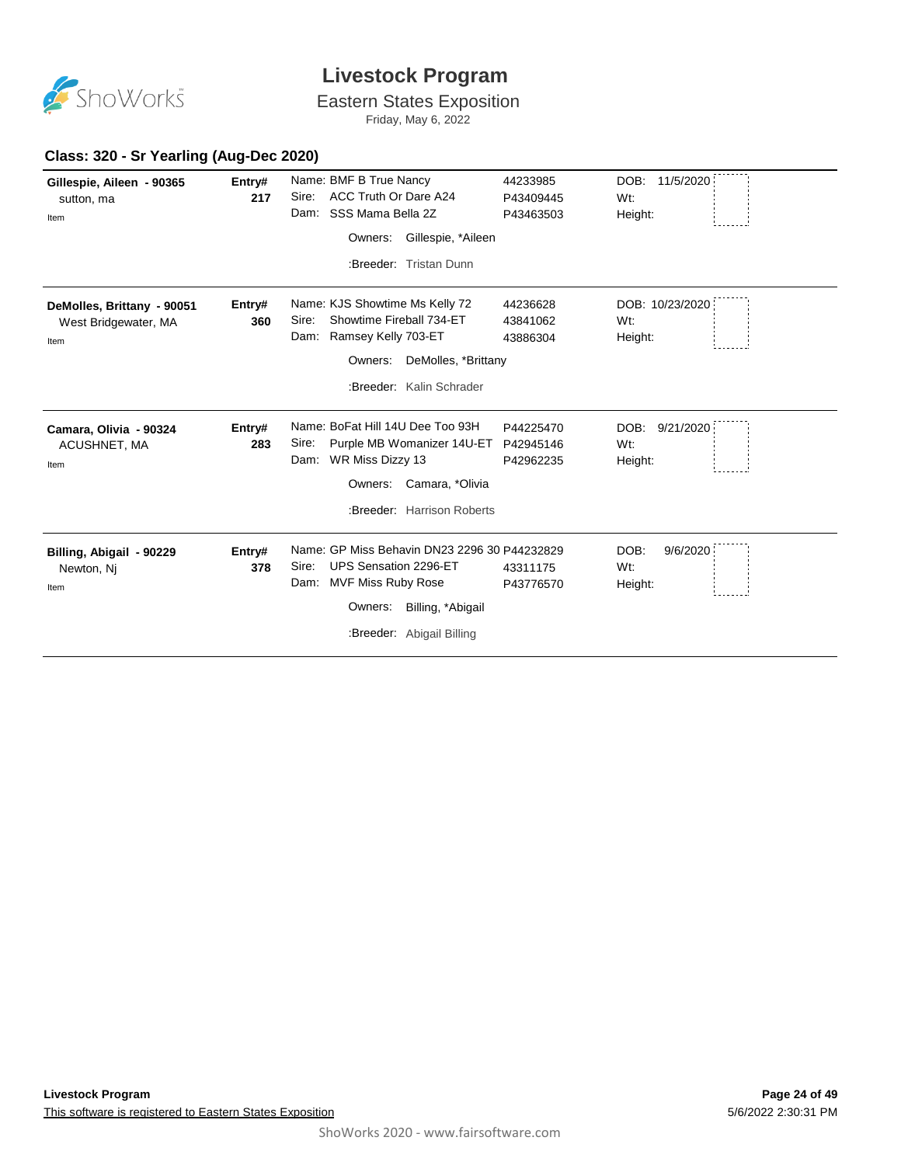

# Eastern States Exposition

Friday, May 6, 2022

#### **Class: 320 - Sr Yearling (Aug-Dec 2020)**

| Gillespie, Aileen - 90365<br>sutton, ma<br>Item            | Entry#<br>217 | Name: BMF B True Nancy<br>ACC Truth Or Dare A24<br>Sire:<br>SSS Mama Bella 2Z<br>Dam:<br>Gillespie, *Aileen<br>Owners:<br>:Breeder: Tristan Dunn                       | 44233985<br>P43409445<br>P43463503  | DOB:<br>11/5/2020<br>Wt:<br>Height: |
|------------------------------------------------------------|---------------|------------------------------------------------------------------------------------------------------------------------------------------------------------------------|-------------------------------------|-------------------------------------|
| DeMolles, Brittany - 90051<br>West Bridgewater, MA<br>Item | Entry#<br>360 | Name: KJS Showtime Ms Kelly 72<br>Showtime Fireball 734-ET<br>Sire:<br>Ramsey Kelly 703-ET<br>Dam:<br>Owners: DeMolles, *Brittany<br>:Breeder: Kalin Schrader          | 44236628<br>43841062<br>43886304    | DOB: 10/23/2020<br>Wt:<br>Height:   |
| Camara, Olivia - 90324<br>ACUSHNET, MA<br>Item             | Entry#<br>283 | Name: BoFat Hill 14U Dee Too 93H<br>Purple MB Womanizer 14U-ET<br>Sire:<br>Dam: WR Miss Dizzy 13<br>Camara, *Olivia<br>Owners:<br>:Breeder: Harrison Roberts           | P44225470<br>P42945146<br>P42962235 | DOB:<br>9/21/2020<br>Wt:<br>Height: |
| Billing, Abigail - 90229<br>Newton, Ni<br>Item             | Entry#<br>378 | Name: GP Miss Behavin DN23 2296 30 P44232829<br>Sire:<br>UPS Sensation 2296-ET<br>Dam: MVF Miss Ruby Rose<br>Billing, *Abigail<br>Owners:<br>:Breeder: Abigail Billing | 43311175<br>P43776570               | DOB:<br>9/6/2020<br>Wt:<br>Height:  |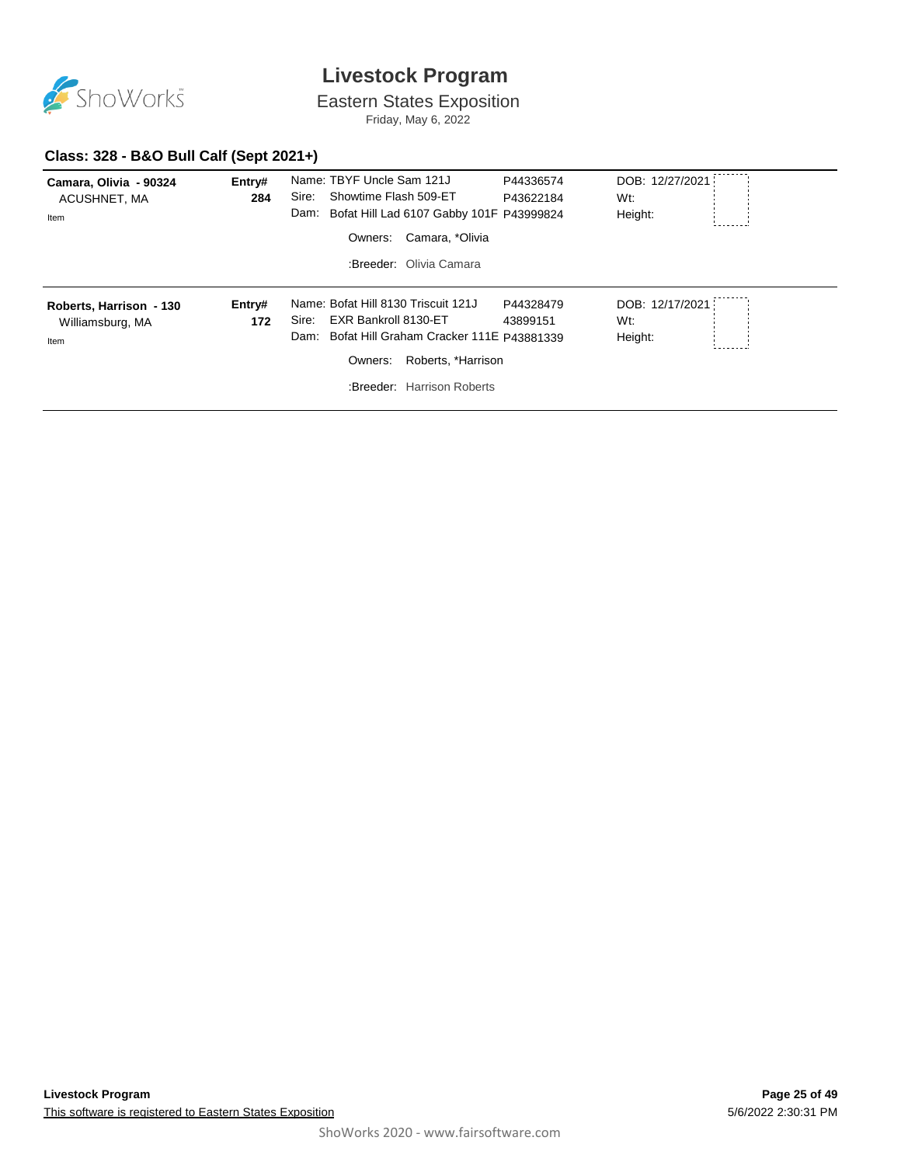

Eastern States Exposition

Friday, May 6, 2022

#### **Class: 328 - B&O Bull Calf (Sept 2021+)**

| Camara, Olivia - 90324<br>ACUSHNET, MA<br>Item      | Entry#<br>284 | Name: TBYF Uncle Sam 121J<br>Sire:<br>Showtime Flash 509-ET<br>Dam: Bofat Hill Lad 6107 Gabby 101F P43999824<br>Camara, *Olivia<br>Owners:<br>:Breeder: Olivia Camara                   | P44336574<br>P43622184 | DOB: 12/27/2021<br>Wt:<br>Height: |
|-----------------------------------------------------|---------------|-----------------------------------------------------------------------------------------------------------------------------------------------------------------------------------------|------------------------|-----------------------------------|
| Roberts, Harrison - 130<br>Williamsburg, MA<br>Item | Entry#<br>172 | Name: Bofat Hill 8130 Triscuit 121J<br>EXR Bankroll 8130-ET<br>Sire:<br>Bofat Hill Graham Cracker 111E P43881339<br>Dam:<br>Roberts, *Harrison<br>Owners:<br>:Breeder: Harrison Roberts | P44328479<br>43899151  | DOB: 12/17/2021<br>Wt:<br>Height: |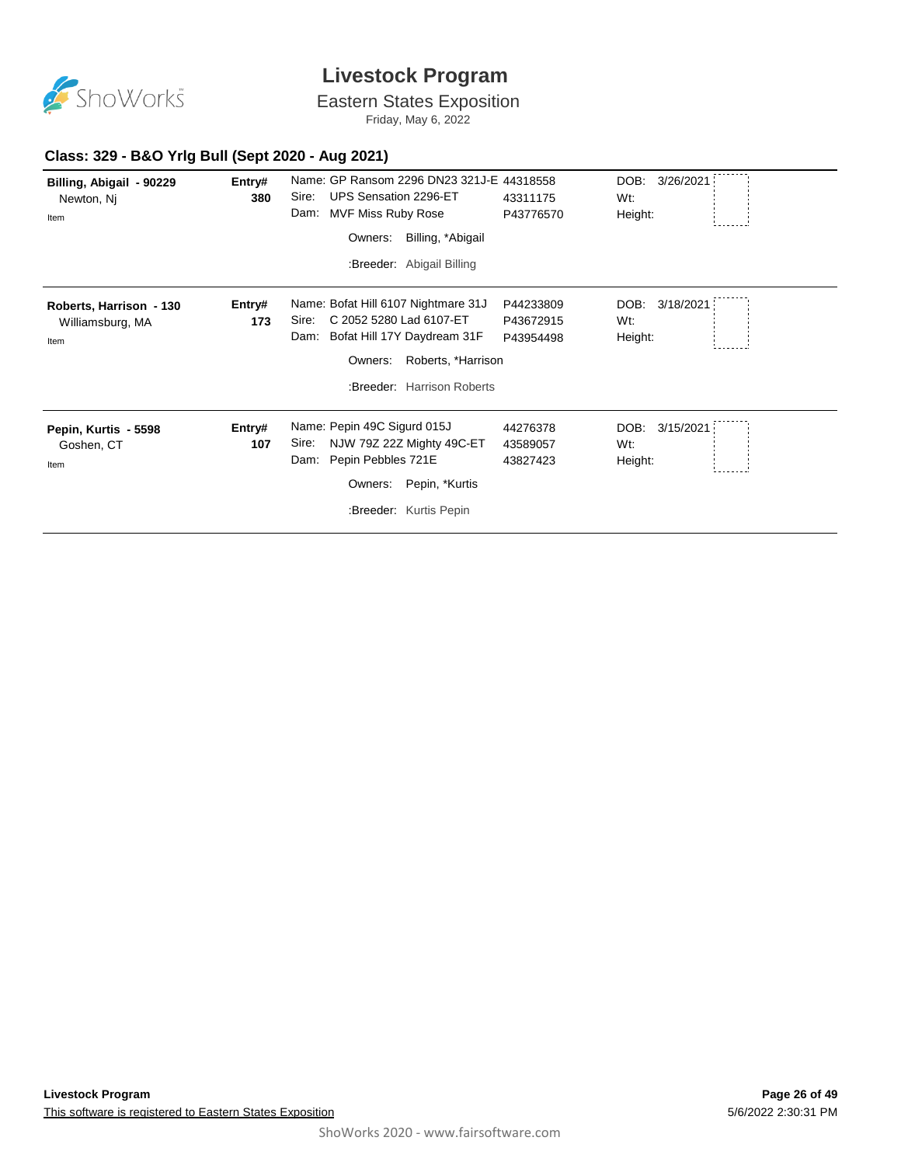

Eastern States Exposition

Friday, May 6, 2022

#### **Class: 329 - B&O Yrlg Bull (Sept 2020 - Aug 2021)**

| Billing, Abigail - 90229<br>Newton, Nj<br>Item      | Entry#<br>380 | Name: GP Ransom 2296 DN23 321J-E 44318558<br>Sire:<br>UPS Sensation 2296-ET<br>Dam:<br>MVF Miss Ruby Rose<br>Billing, *Abigail<br>Owners:                                     | 43311175<br>P43776570               | DOB: 3/26/2021<br>Wt:<br>Height:    |
|-----------------------------------------------------|---------------|-------------------------------------------------------------------------------------------------------------------------------------------------------------------------------|-------------------------------------|-------------------------------------|
|                                                     |               | :Breeder: Abigail Billing                                                                                                                                                     |                                     |                                     |
| Roberts, Harrison - 130<br>Williamsburg, MA<br>Item | Entry#<br>173 | Name: Bofat Hill 6107 Nightmare 31J<br>C 2052 5280 Lad 6107-ET<br>Sire:<br>Bofat Hill 17Y Daydream 31F<br>Dam:<br>Roberts, *Harrison<br>Owners:<br>:Breeder: Harrison Roberts | P44233809<br>P43672915<br>P43954498 | DOB:<br>3/18/2021<br>Wt:<br>Height: |
| Pepin, Kurtis - 5598<br>Goshen, CT<br>Item          | Entry#<br>107 | Name: Pepin 49C Sigurd 015J<br>Sire:<br>NJW 79Z 22Z Mighty 49C-ET<br>Pepin Pebbles 721E<br>Dam:<br>Pepin, *Kurtis<br>Owners:<br>:Breeder: Kurtis Pepin                        | 44276378<br>43589057<br>43827423    | DOB:<br>3/15/2021<br>Wt:<br>Height: |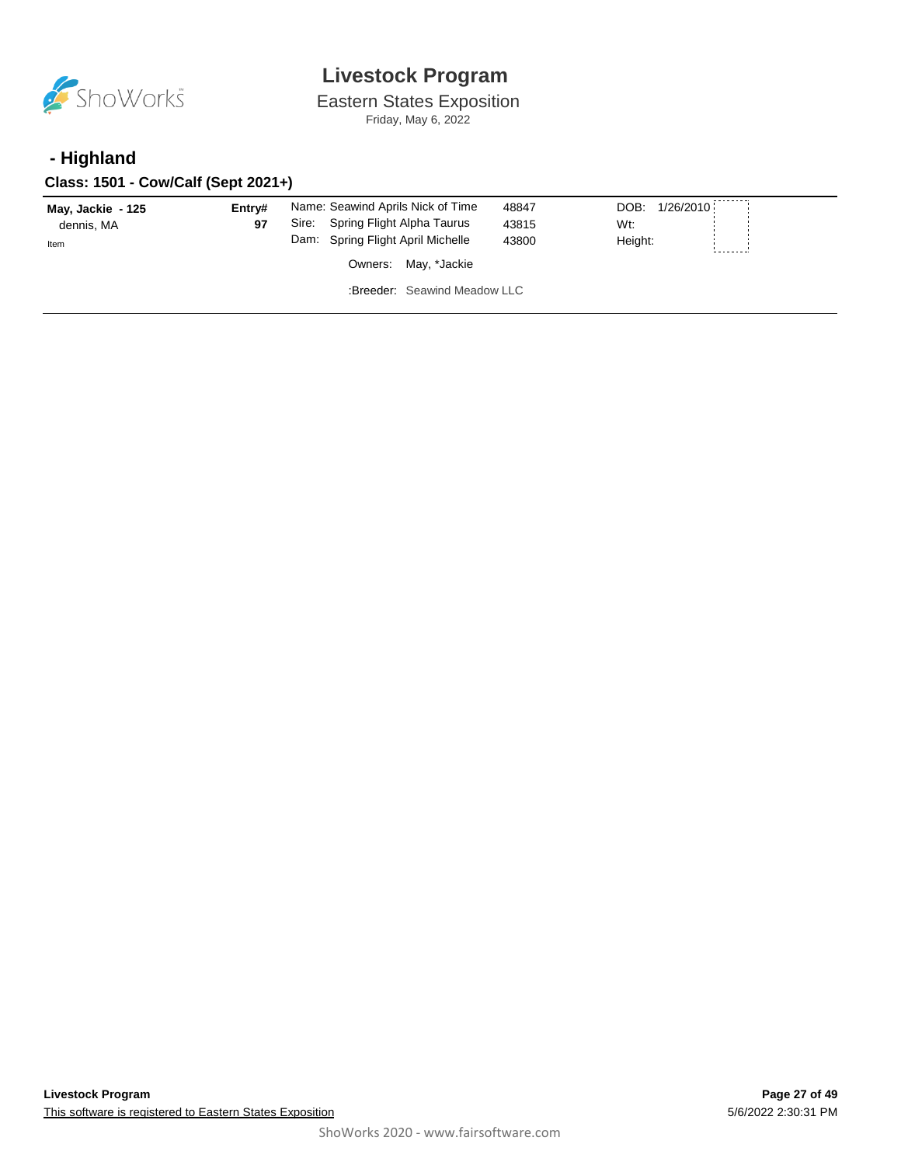

Eastern States Exposition Friday, May 6, 2022

### **- Highland**

**Class: 1501 - Cow/Calf (Sept 2021+)**

| May, Jackie - 125<br>dennis, MA<br>Item | Entrv#<br>97 | Name: Seawind Aprils Nick of Time<br>Spring Flight Alpha Taurus<br>Sire:<br>Dam: Spring Flight April Michelle | 48847<br>43815<br>43800 | DOB:<br>1/26/2010<br>Wt:<br>Height: |
|-----------------------------------------|--------------|---------------------------------------------------------------------------------------------------------------|-------------------------|-------------------------------------|
|                                         |              | Owners: May, *Jackie                                                                                          |                         |                                     |
|                                         |              | :Breeder: Seawind Meadow LLC                                                                                  |                         |                                     |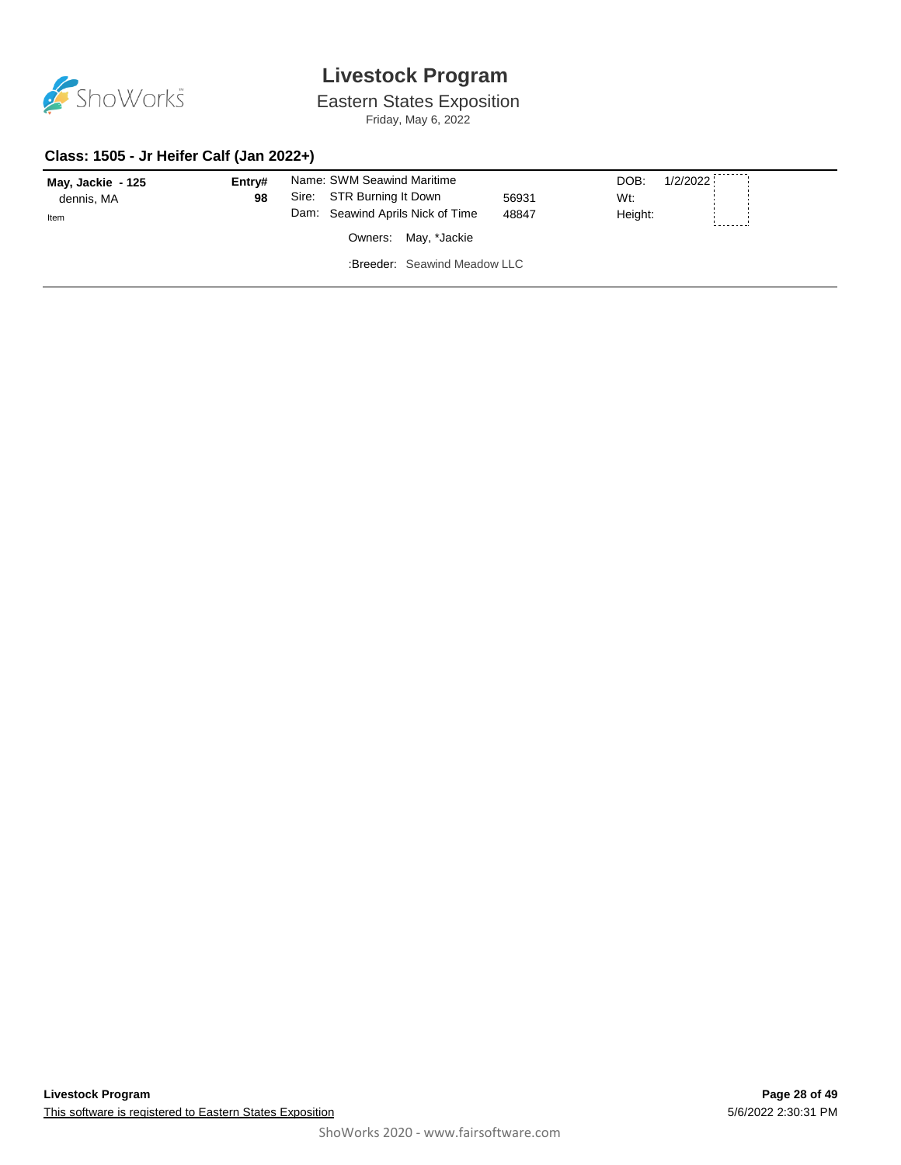

Eastern States Exposition

Friday, May 6, 2022

#### **Class: 1505 - Jr Heifer Calf (Jan 2022+)**

| May, Jackie - 125<br>dennis, MA<br>Item | Entry#<br>98 | Name: SWM Seawind Maritime<br>Sire: STR Burning It Down<br>56931<br>Dam: Seawind Aprils Nick of Time<br>48847 | 1/2/2022<br>DOB:<br>Wt:<br>Height: |
|-----------------------------------------|--------------|---------------------------------------------------------------------------------------------------------------|------------------------------------|
|                                         |              | Owners: May, *Jackie<br>:Breeder: Seawind Meadow LLC                                                          |                                    |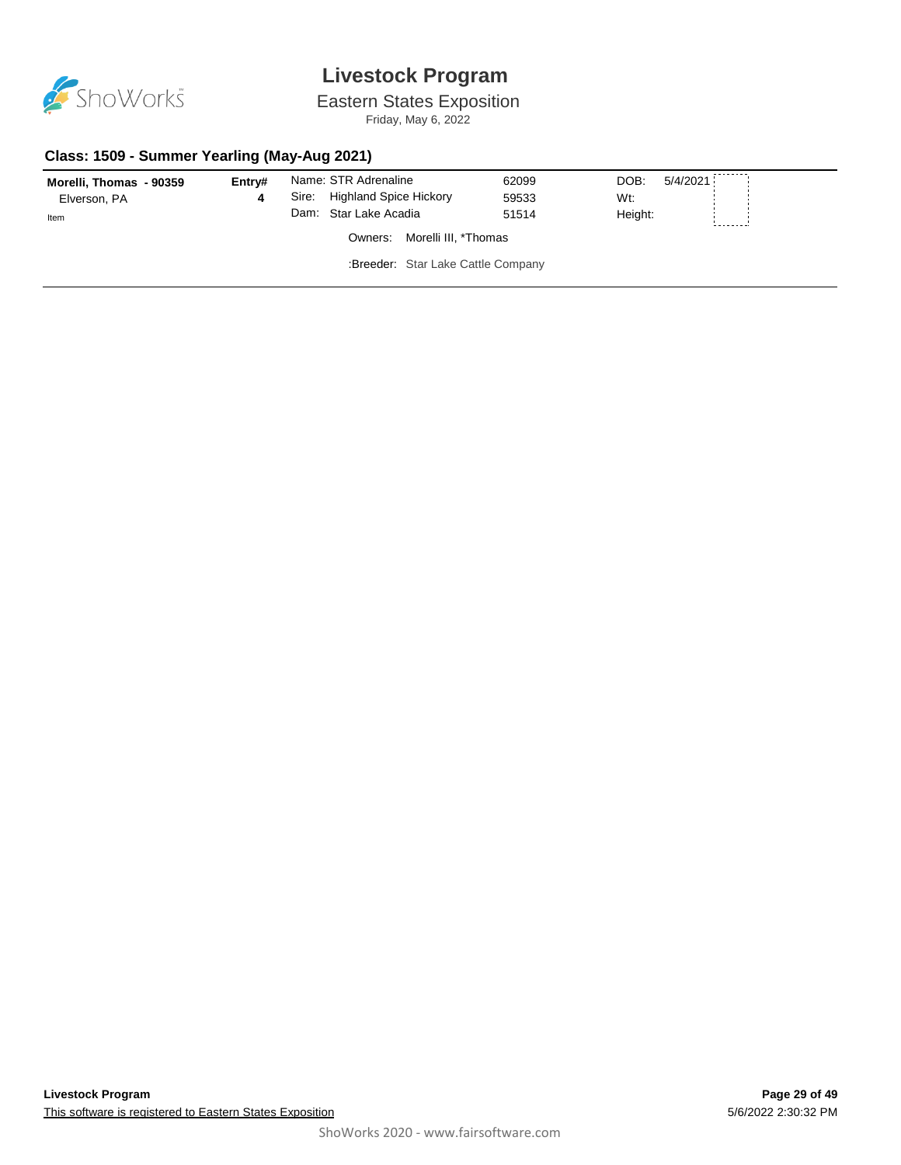

# Eastern States Exposition

Friday, May 6, 2022

#### **Class: 1509 - Summer Yearling (May-Aug 2021)**

| Morelli, Thomas - 90359 | Entry# |       | Name: STR Adrenaline               | 62099 | DOB:<br>5/4/2021 |  |
|-------------------------|--------|-------|------------------------------------|-------|------------------|--|
| Elverson, PA            |        | Sire: | <b>Highland Spice Hickory</b>      | 59533 | Wt:              |  |
| Item                    |        |       | Dam: Star Lake Acadia              | 51514 | Height:          |  |
|                         |        |       | Morelli III, *Thomas<br>Owners:    |       |                  |  |
|                         |        |       | :Breeder: Star Lake Cattle Company |       |                  |  |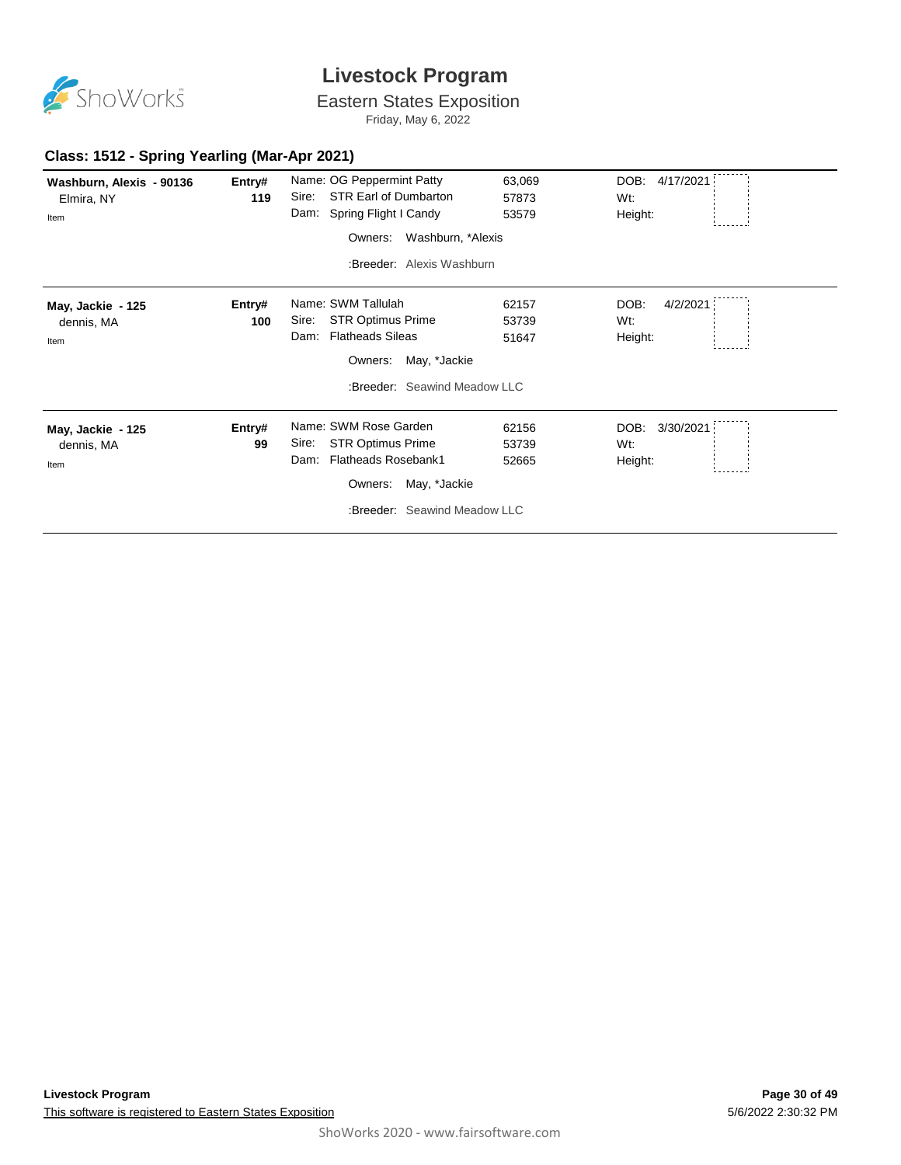

Eastern States Exposition

Friday, May 6, 2022

#### **Class: 1512 - Spring Yearling (Mar-Apr 2021)**

| Washburn, Alexis - 90136<br>Elmira, NY | Entry#<br>119 | Name: OG Peppermint Patty<br>STR Earl of Dumbarton<br>Sire: | 63,069<br>57873 | DOB: 4/17/2021<br>Wt: |
|----------------------------------------|---------------|-------------------------------------------------------------|-----------------|-----------------------|
| Item                                   |               | Dam: Spring Flight I Candy                                  | 53579           | Height:               |
|                                        |               | Washburn, *Alexis<br>Owners:                                |                 |                       |
|                                        |               | :Breeder: Alexis Washburn                                   |                 |                       |
| May, Jackie - 125                      | Entry#        | Name: SWM Tallulah                                          | 62157           | DOB:<br>4/2/2021      |
| dennis, MA                             | 100           | <b>STR Optimus Prime</b><br>Sire:                           | 53739           | Wt:                   |
| Item                                   |               | <b>Flatheads Sileas</b><br>Dam:                             | 51647           | Height:               |
|                                        |               | May, *Jackie<br>Owners:                                     |                 |                       |
|                                        |               | :Breeder: Seawind Meadow LLC                                |                 |                       |
| May, Jackie - 125                      | Entry#        | Name: SWM Rose Garden                                       | 62156           | DOB:<br>3/30/2021     |
| dennis, MA                             | 99            | <b>STR Optimus Prime</b><br>Sire:                           | 53739           | Wt:                   |
| Item                                   |               | <b>Flatheads Rosebank1</b><br>Dam:                          | 52665           | Height:               |
|                                        |               | May, *Jackie<br>Owners:                                     |                 |                       |
|                                        |               | :Breeder: Seawind Meadow LLC                                |                 |                       |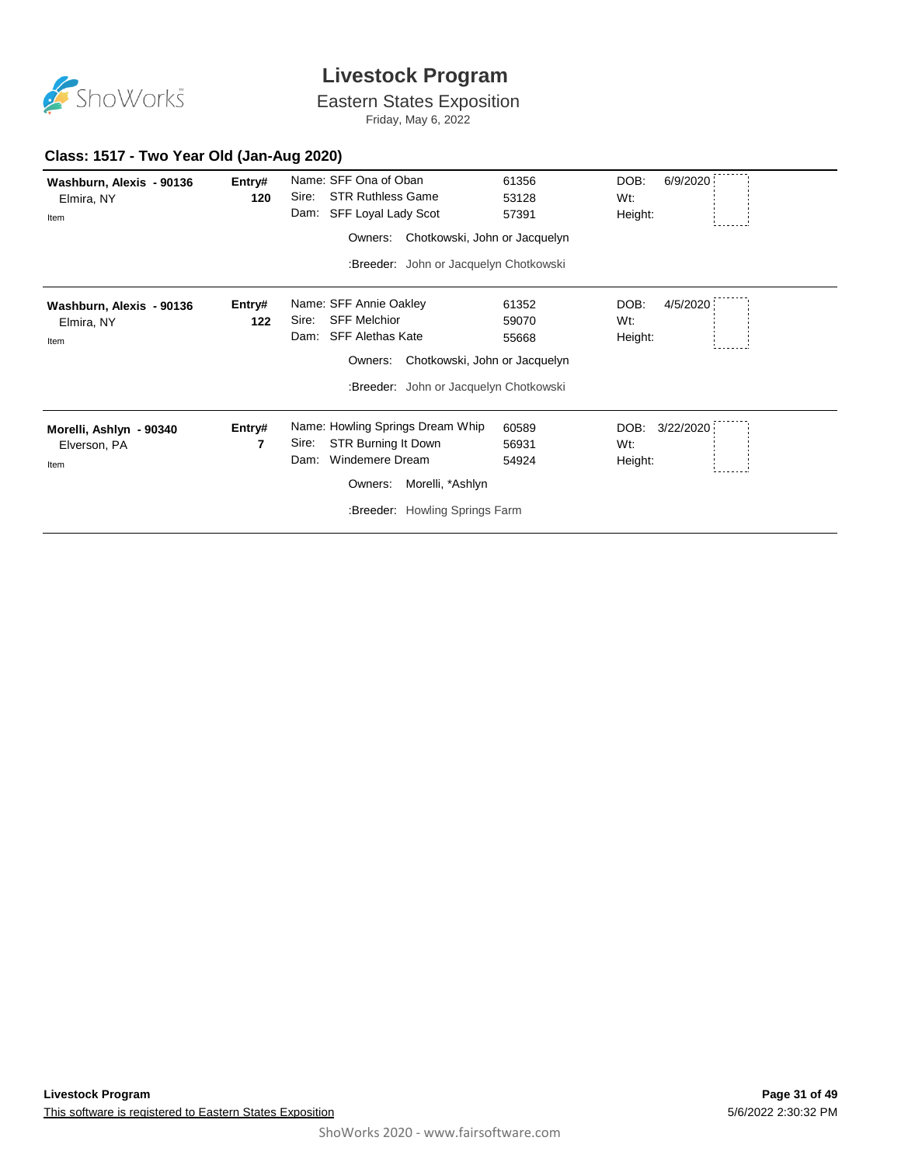

Eastern States Exposition

Friday, May 6, 2022

#### **Class: 1517 - Two Year Old (Jan-Aug 2020)**

| Washburn, Alexis - 90136<br>Elmira, NY<br>Item | Entry#<br>120 | Name: SFF Ona of Oban<br><b>STR Ruthless Game</b><br>Sire:<br>Dam:<br>SFF Loyal Lady Scot | 61356<br>53128<br>57391 | DOB:<br>6/9/2020<br>Wt:<br>Height: |
|------------------------------------------------|---------------|-------------------------------------------------------------------------------------------|-------------------------|------------------------------------|
|                                                |               | Chotkowski, John or Jacquelyn<br>Owners:                                                  |                         |                                    |
|                                                |               | :Breeder: John or Jacquelyn Chotkowski                                                    |                         |                                    |
| Washburn, Alexis - 90136                       | Entry#        | Name: SFF Annie Oakley                                                                    | 61352                   | DOB:<br>4/5/2020                   |
| Elmira, NY                                     | 122           | <b>SFF Melchior</b><br>Sire:                                                              | 59070                   | Wt:                                |
| Item                                           |               | <b>SFF Alethas Kate</b><br>Dam:                                                           | 55668                   | Height:                            |
|                                                |               | Chotkowski, John or Jacquelyn<br>Owners:                                                  |                         |                                    |
|                                                |               | :Breeder: John or Jacquelyn Chotkowski                                                    |                         |                                    |
| Morelli, Ashlyn - 90340                        | Entry#        | Name: Howling Springs Dream Whip                                                          | 60589                   | DOB:<br>3/22/2020                  |
| Elverson, PA                                   | 7             | Sire:<br>STR Burning It Down                                                              | 56931                   | Wt:                                |
| Item                                           |               | <b>Windemere Dream</b><br>Dam:                                                            | 54924                   | Height:                            |
|                                                |               | Morelli, *Ashlyn<br>Owners:                                                               |                         |                                    |
|                                                |               | :Breeder: Howling Springs Farm                                                            |                         |                                    |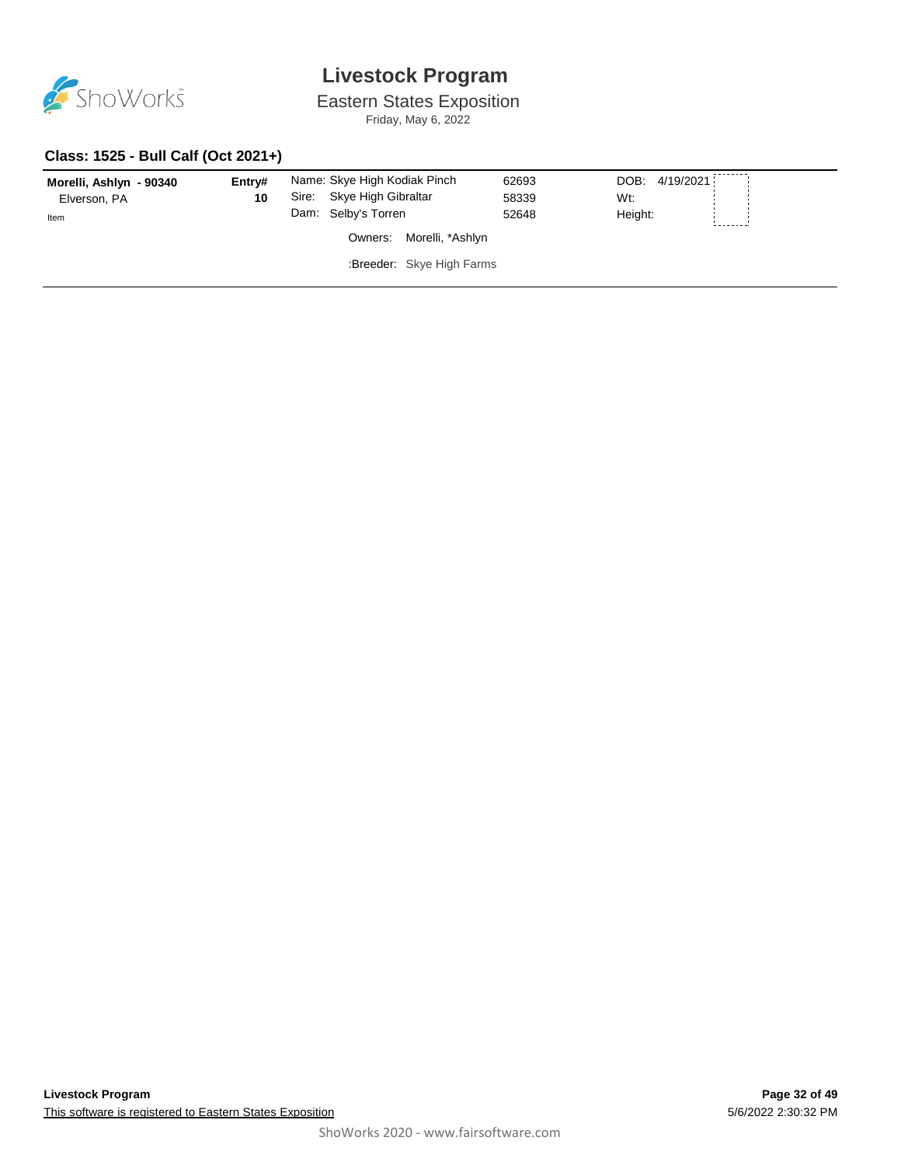

Eastern States Exposition

Friday, May 6, 2022

#### **Class: 1525 - Bull Calf (Oct 2021+)**

| Morelli, Ashlyn - 90340 | Entry# | Name: Skye High Kodiak Pinch | 62693 | DOB: 4/19/2021 |          |
|-------------------------|--------|------------------------------|-------|----------------|----------|
| Elverson, PA            | 10     | Sire: Skye High Gibraltar    | 58339 | Wt:            |          |
| Item                    |        | Dam: Selby's Torren          | 52648 | Height:        |          |
|                         |        | Owners: Morelli, *Ashlyn     |       |                | -------- |
|                         |        | :Breeder: Skye High Farms    |       |                |          |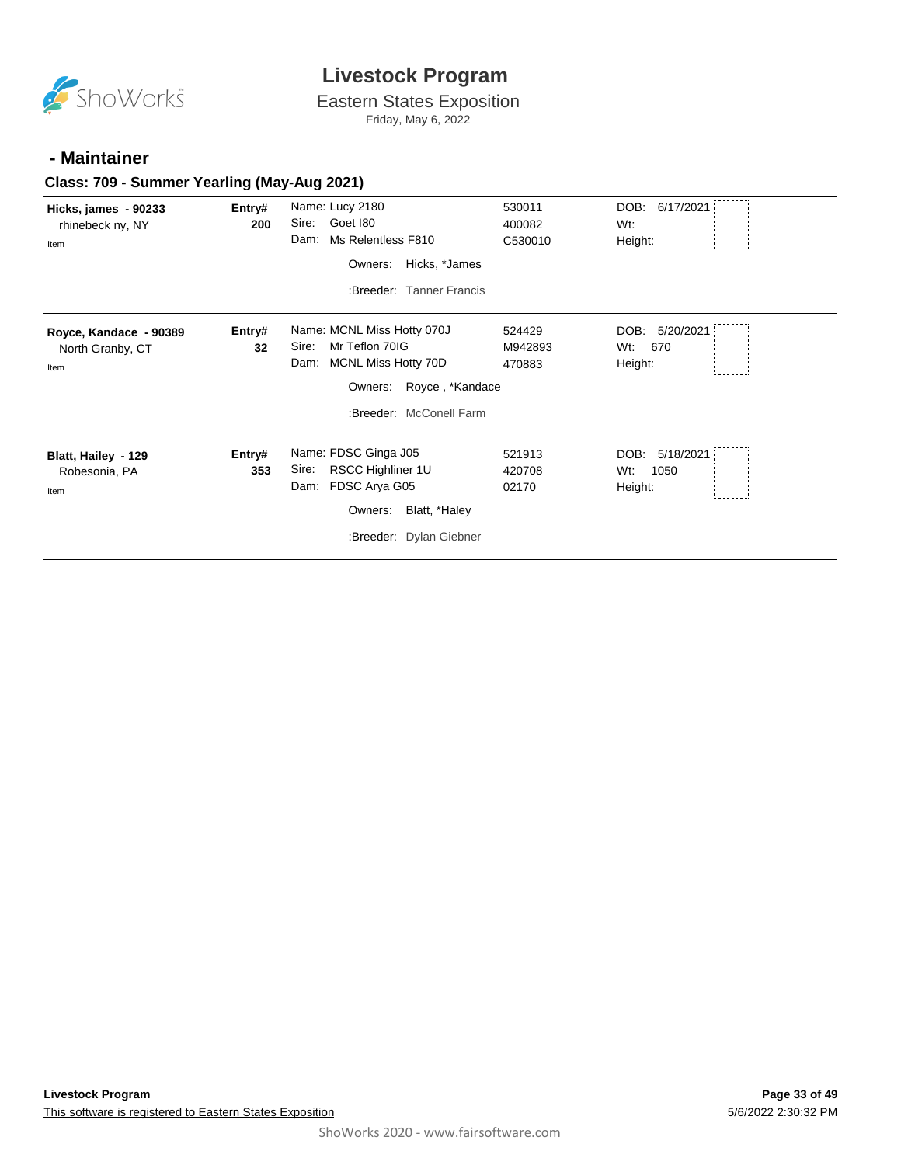

Eastern States Exposition Friday, May 6, 2022

#### **- Maintainer**

#### **Class: 709 - Summer Yearling (May-Aug 2021)**

| Hicks, james - 90233<br>rhinebeck ny, NY<br>Item   | Entry#<br>200 | Name: Lucy 2180<br>Goet 180<br>Sire:<br>Ms Relentless F810<br>Dam:<br>Hicks, *James<br>Owners:<br>:Breeder: Tanner Francis                 | 530011<br>400082<br>C530010 | DOB:<br>6/17/2021<br>Wt:<br>Height:         |
|----------------------------------------------------|---------------|--------------------------------------------------------------------------------------------------------------------------------------------|-----------------------------|---------------------------------------------|
| Royce, Kandace - 90389<br>North Granby, CT<br>Item | Entry#<br>32  | Name: MCNL Miss Hotty 070J<br>Mr Teflon 70IG<br>Sire:<br>MCNL Miss Hotty 70D<br>Dam:<br>Owners: Royce, *Kandace<br>:Breeder: McConell Farm | 524429<br>M942893<br>470883 | 5/20/2021<br>DOB:<br>670<br>Wt:<br>Height:  |
| Blatt, Hailey - 129<br>Robesonia, PA<br>Item       | Entry#<br>353 | Name: FDSC Ginga J05<br>RSCC Highliner 1U<br>Sire:<br>FDSC Arya G05<br>Dam:<br>Blatt, *Haley<br>Owners:<br>:Breeder: Dylan Giebner         | 521913<br>420708<br>02170   | DOB:<br>5/18/2021<br>1050<br>Wt:<br>Height: |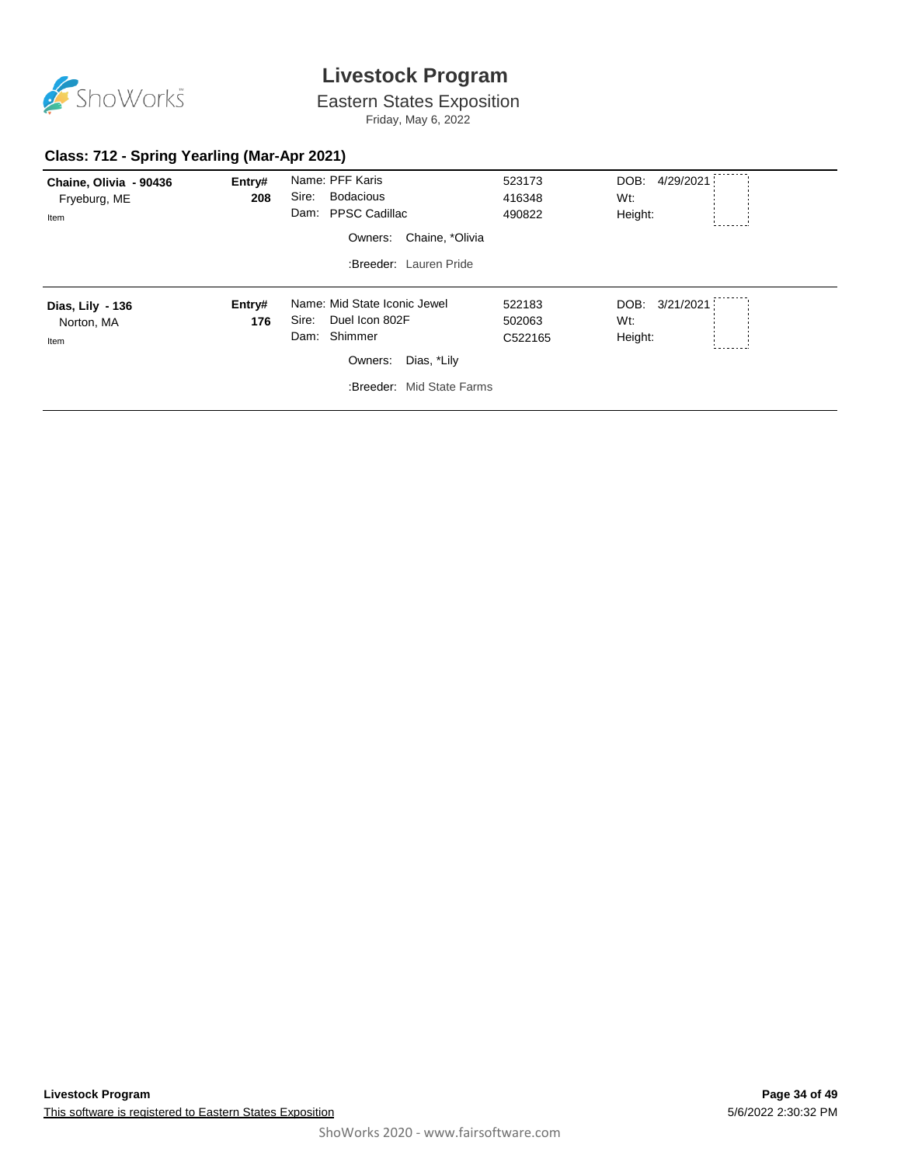

Eastern States Exposition

Friday, May 6, 2022

#### **Class: 712 - Spring Yearling (Mar-Apr 2021)**

| Chaine, Olivia - 90436<br>Fryeburg, ME<br>Item | Entry#<br>208 | Name: PFF Karis<br>Sire:<br><b>Bodacious</b><br>Dam: PPSC Cadillac<br>Chaine, *Olivia<br>Owners:<br>:Breeder: Lauren Pride     | 523173<br>416348<br>490822  | DOB:<br>4/29/2021<br>Wt:<br>Height: |
|------------------------------------------------|---------------|--------------------------------------------------------------------------------------------------------------------------------|-----------------------------|-------------------------------------|
| Dias, Lily - 136<br>Norton, MA<br>Item         | Entry#<br>176 | Name: Mid State Iconic Jewel<br>Duel Icon 802F<br>Sire:<br>Dam: Shimmer<br>Dias, *Lily<br>Owners:<br>:Breeder: Mid State Farms | 522183<br>502063<br>C522165 | DOB: 3/21/2021<br>Wt:<br>Height:    |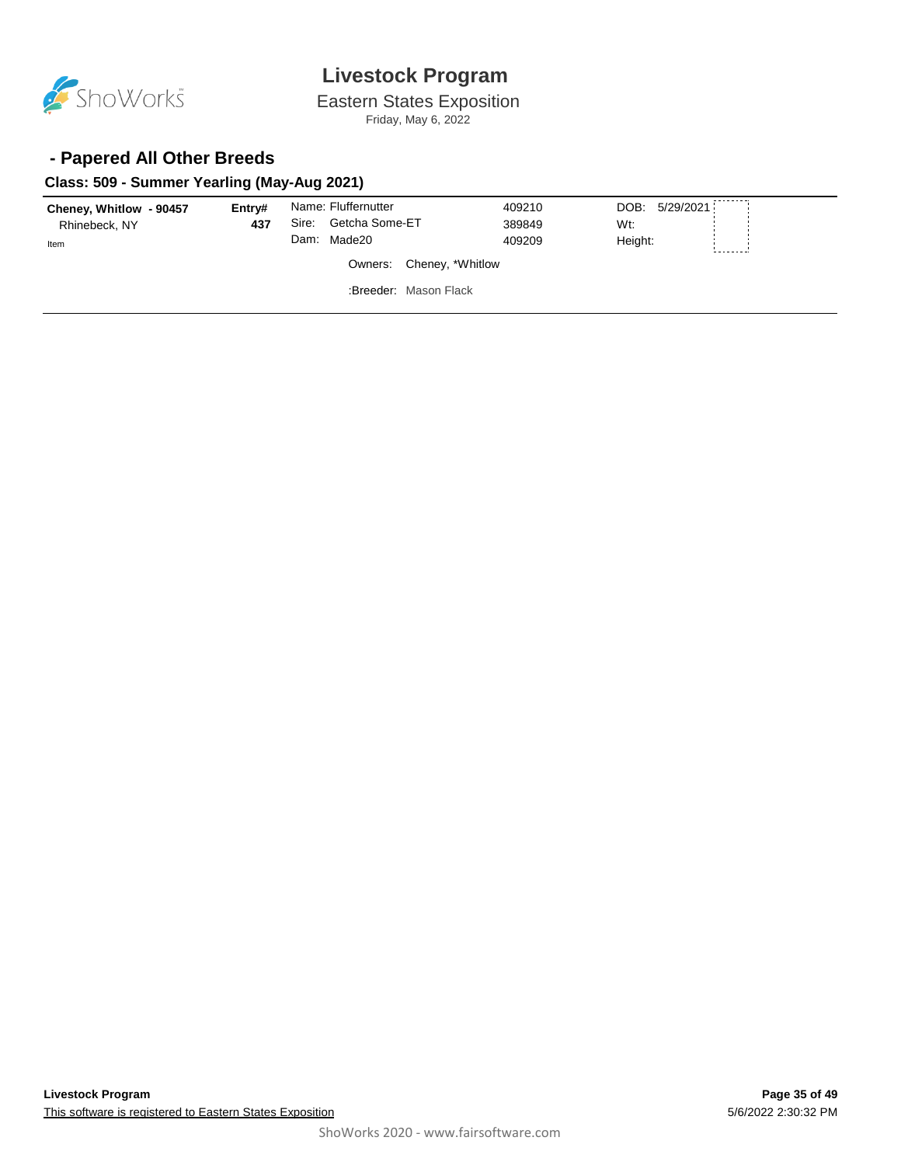

Eastern States Exposition Friday, May 6, 2022

#### **- Papered All Other Breeds**

#### **Class: 509 - Summer Yearling (May-Aug 2021)**

| Cheney, Whitlow - 90457  | Entrv# |       | Name: Fluffernutter   | 409210 | DOB: 5/29/2021 |  |
|--------------------------|--------|-------|-----------------------|--------|----------------|--|
| Rhinebeck, NY            | 437    | Sire: | Getcha Some-ET        | 389849 | Wt:            |  |
| Item                     |        | Dam:  | Made20                | 409209 | Height:        |  |
| Owners: Cheney, *Whitlow |        |       |                       |        |                |  |
|                          |        |       | :Breeder: Mason Flack |        |                |  |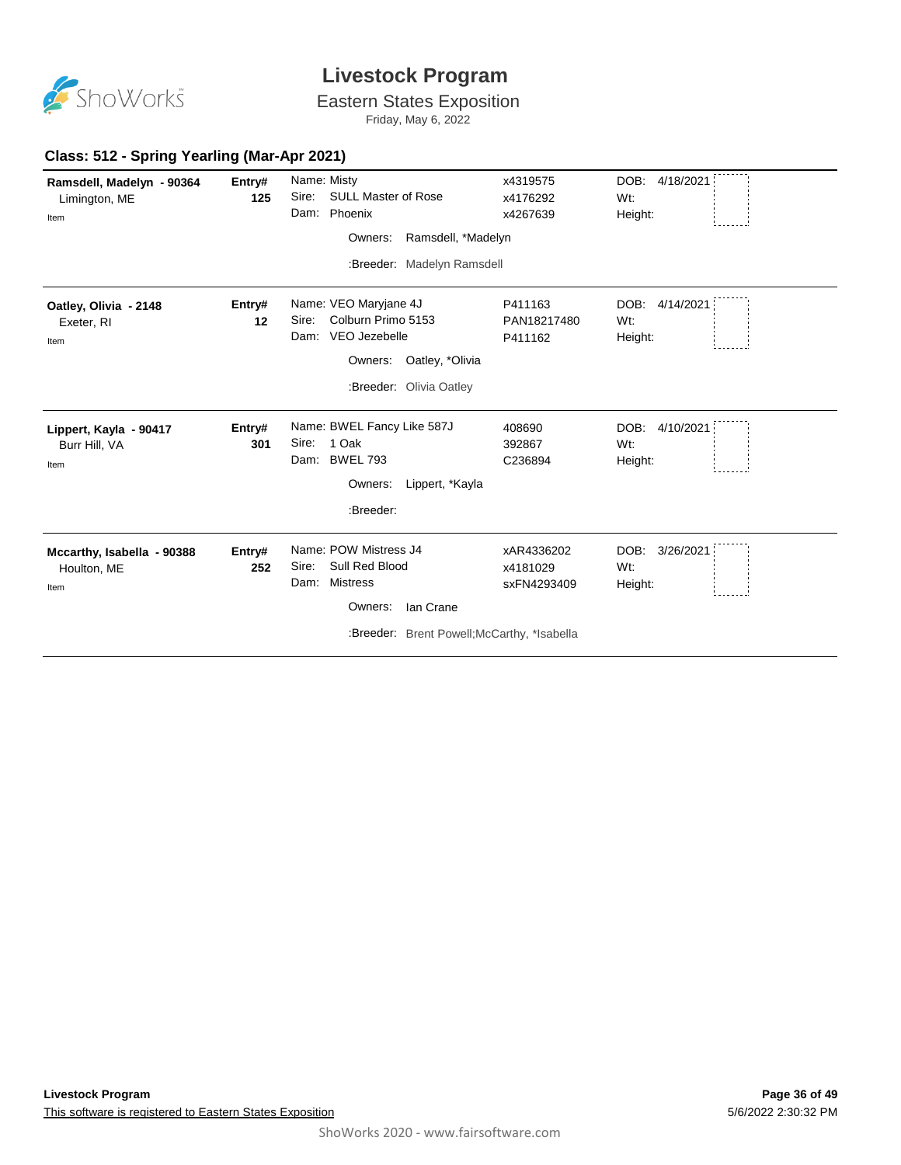

# Eastern States Exposition

Friday, May 6, 2022

#### **Class: 512 - Spring Yearling (Mar-Apr 2021)**

| Ramsdell, Madelyn - 90364<br>Limington, ME<br>Item | Entry#<br>125 | Name: Misty<br>Sire:<br><b>SULL Master of Rose</b><br>Phoenix<br>Dam:<br>Owners:<br>Ramsdell, *Madelyn<br>:Breeder: Madelyn Ramsdell               | x4319575<br>x4176292<br>x4267639      | DOB: 4/18/2021<br>Wt:<br>Height:    |
|----------------------------------------------------|---------------|----------------------------------------------------------------------------------------------------------------------------------------------------|---------------------------------------|-------------------------------------|
| Oatley, Olivia - 2148<br>Exeter, RI<br>Item        | Entry#<br>12  | Name: VEO Maryjane 4J<br>Colburn Primo 5153<br>Sire:<br>VEO Jezebelle<br>Dam:<br>Owners: Oatley, *Olivia<br>:Breeder: Olivia Oatley                | P411163<br>PAN18217480<br>P411162     | 4/14/2021<br>DOB:<br>Wt:<br>Height: |
| Lippert, Kayla - 90417<br>Burr Hill, VA<br>Item    | Entry#<br>301 | Name: BWEL Fancy Like 587J<br>1 Oak<br>Sire:<br>Dam: BWEL 793<br>Owners:<br>Lippert, *Kayla<br>:Breeder:                                           | 408690<br>392867<br>C236894           | DOB: 4/10/2021<br>Wt:<br>Height:    |
| Mccarthy, Isabella - 90388<br>Houlton, ME<br>Item  | Entry#<br>252 | Name: POW Mistress J4<br>Sull Red Blood<br>Sire:<br><b>Mistress</b><br>Dam:<br>Ian Crane<br>Owners:<br>:Breeder: Brent Powell; McCarthy, *Isabella | xAR4336202<br>x4181029<br>sxFN4293409 | DOB:<br>3/26/2021<br>Wt:<br>Height: |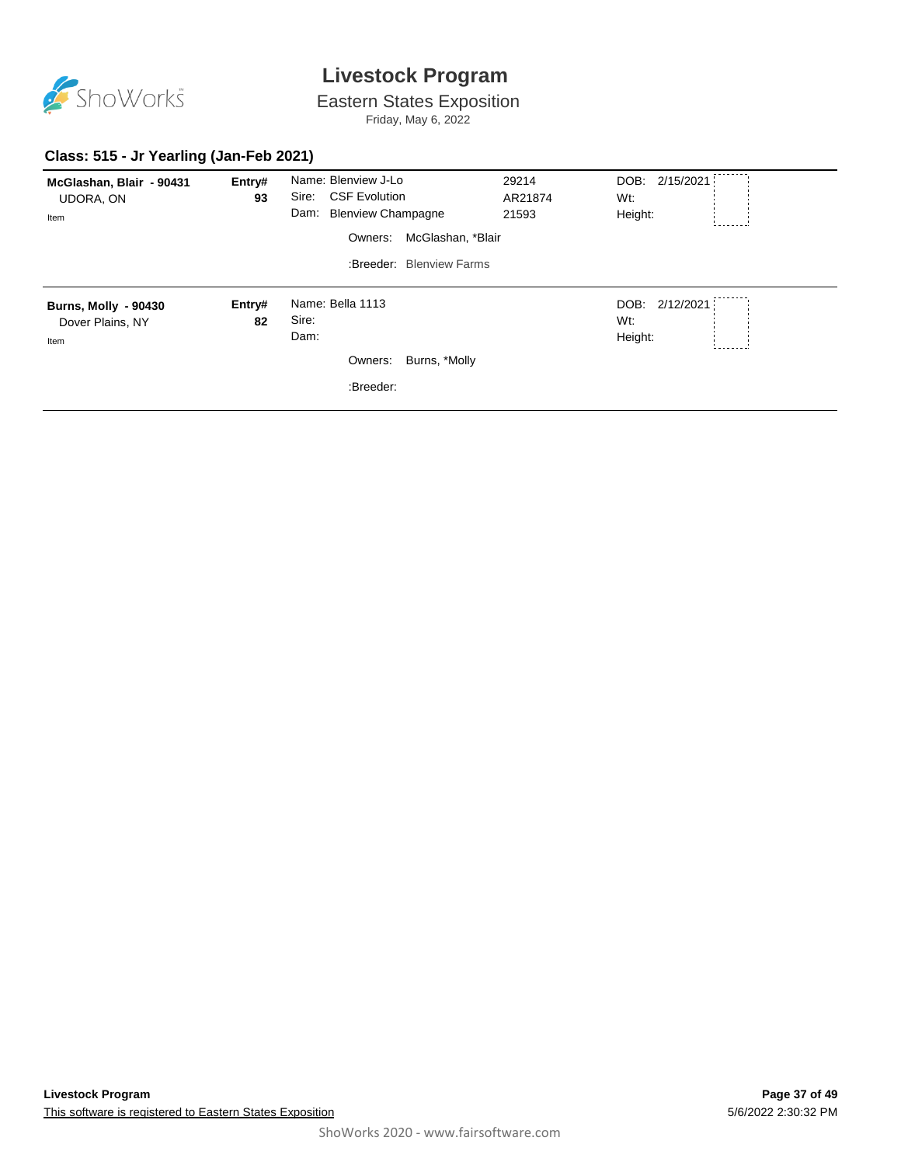

Eastern States Exposition Friday, May 6, 2022

#### **Class: 515 - Jr Yearling (Jan-Feb 2021)**

| McGlashan, Blair - 90431<br><b>UDORA, ON</b><br>Item    | Entry#<br>93 | Name: Blenview J-Lo<br><b>CSF Evolution</b><br>Sire:<br>Dam: Blenview Champagne<br>McGlashan, *Blair<br>Owners:<br>:Breeder: Blenview Farms | 29214<br>AR21874<br>21593 | --------<br>DOB: 2/15/2021<br>Wt:<br>Height: |
|---------------------------------------------------------|--------------|---------------------------------------------------------------------------------------------------------------------------------------------|---------------------------|----------------------------------------------|
| <b>Burns, Molly - 90430</b><br>Dover Plains, NY<br>Item | Entry#<br>82 | Name: Bella 1113<br>Sire:<br>Dam:<br>Burns, *Molly<br>Owners:<br>:Breeder:                                                                  |                           | DOB: 2/12/2021<br>Wt:<br>Height:             |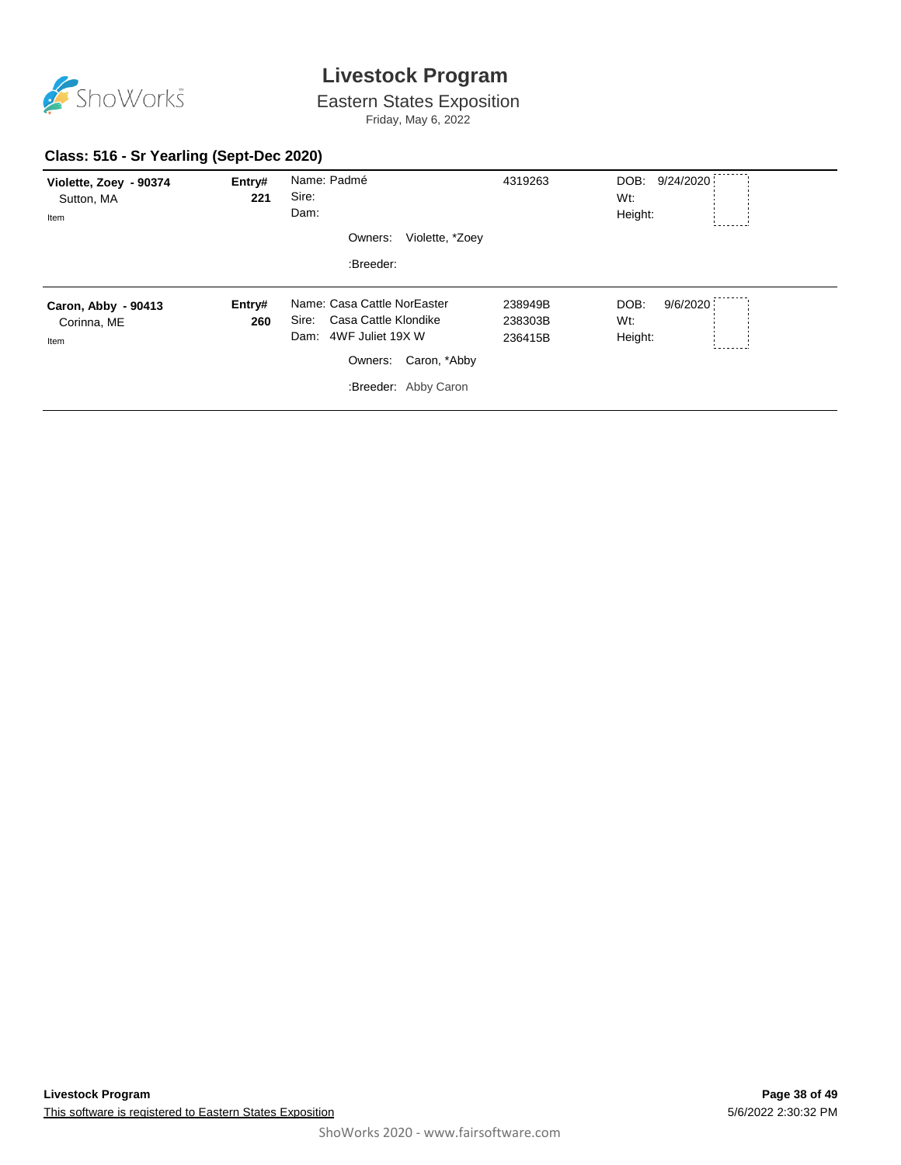

Eastern States Exposition

Friday, May 6, 2022

#### **Class: 516 - Sr Yearling (Sept-Dec 2020)**

| Violette, Zoey - 90374<br>Sutton, MA<br>Item | Entry#<br>221 | Name: Padmé<br>Sire:<br>Dam:<br>Owners:<br>Violette, *Zoey<br>:Breeder:                                                                  | 4319263                       | .<br>DOB: 9/24/2020<br>Wt:<br>Height: |
|----------------------------------------------|---------------|------------------------------------------------------------------------------------------------------------------------------------------|-------------------------------|---------------------------------------|
| Caron, Abby - 90413<br>Corinna, ME<br>Item   | Entry#<br>260 | Name: Casa Cattle NorEaster<br>Casa Cattle Klondike<br>Sire:<br>Dam: 4WF Juliet 19X W<br>Caron, *Abby<br>Owners:<br>:Breeder: Abby Caron | 238949B<br>238303B<br>236415B | DOB:<br>9/6/2020<br>Wt:<br>Height:    |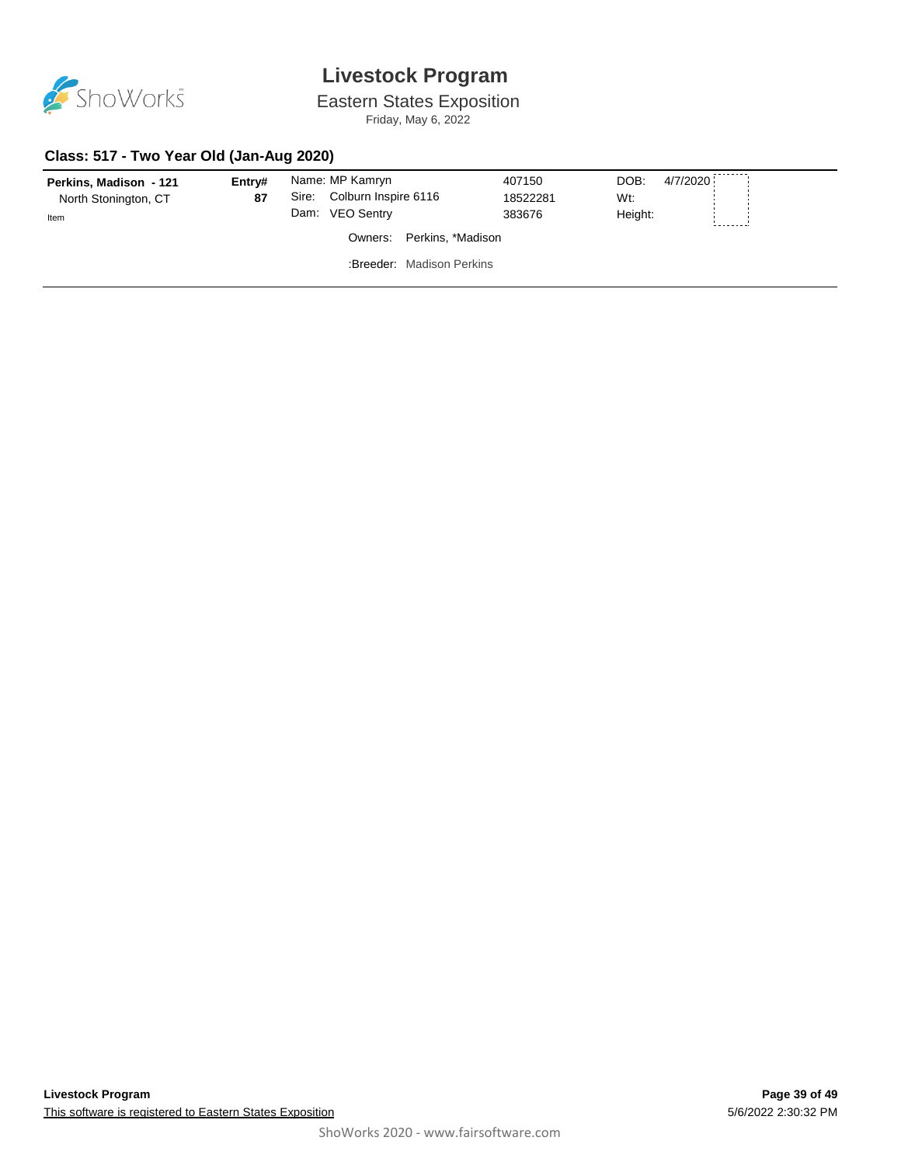

Eastern States Exposition Friday, May 6, 2022

#### **Class: 517 - Two Year Old (Jan-Aug 2020)**

| Perkins, Madison - 121<br>North Stonington, CT<br>Item | Entry#<br>87 | Sire:<br>Dam: | Name: MP Kamryn<br>Colburn Inspire 6116<br><b>VEO Sentry</b> | 407150<br>18522281<br>383676 | 4/7/2020<br>DOB:<br>Wt:<br>Height: |  |
|--------------------------------------------------------|--------------|---------------|--------------------------------------------------------------|------------------------------|------------------------------------|--|
|                                                        |              |               | Owners: Perkins, *Madison                                    |                              |                                    |  |
|                                                        |              |               | :Breeder: Madison Perkins                                    |                              |                                    |  |
|                                                        |              |               |                                                              |                              |                                    |  |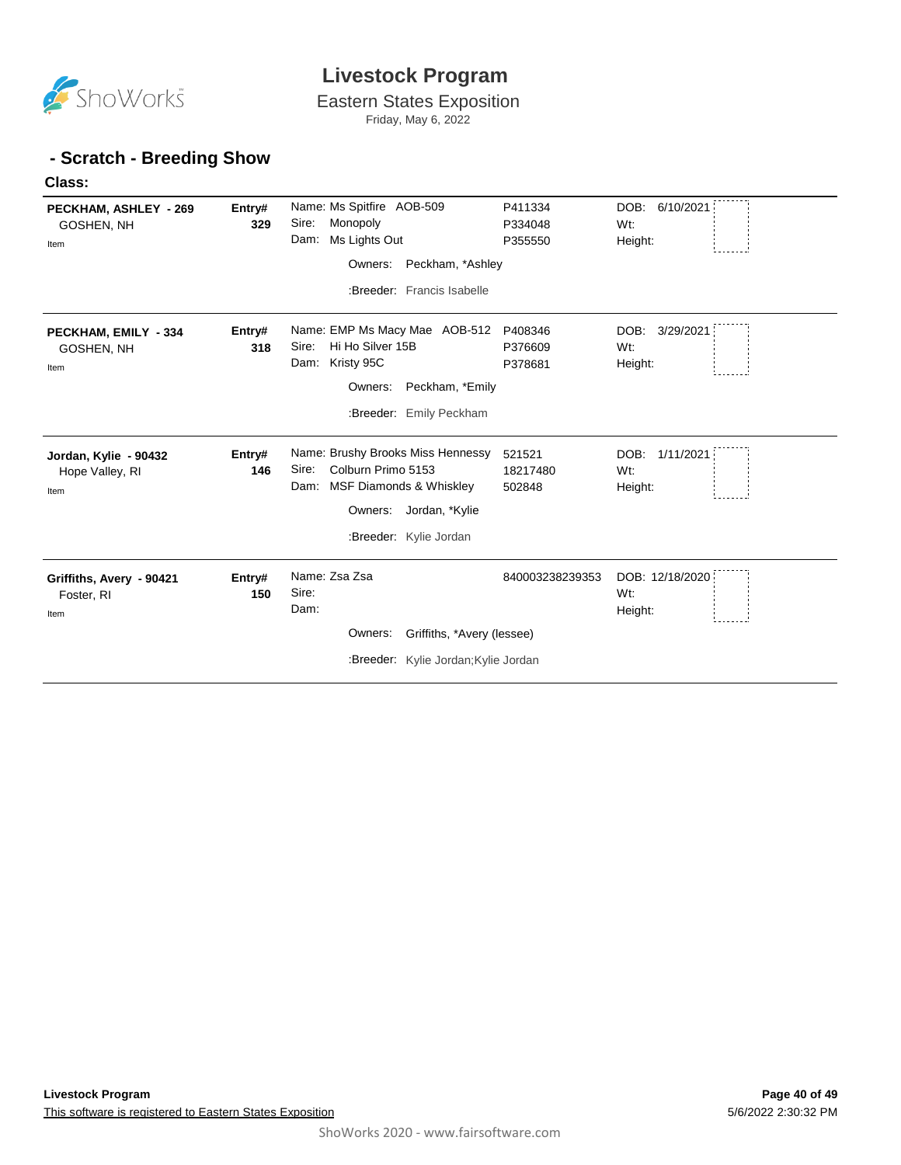

Eastern States Exposition Friday, May 6, 2022

#### **- Scratch - Breeding Show**

**Class:** 

| PECKHAM, ASHLEY - 269<br>GOSHEN, NH<br>Item      | Entry#<br>329 | Name: Ms Spitfire AOB-509<br>Sire:<br>Monopoly<br>Ms Lights Out<br>Dam:<br>Peckham, *Ashley<br>Owners:<br>:Breeder: Francis Isabelle                    | P411334<br>P334048<br>P355550 | DOB: 6/10/2021<br>Wt:<br>Height:                 |
|--------------------------------------------------|---------------|---------------------------------------------------------------------------------------------------------------------------------------------------------|-------------------------------|--------------------------------------------------|
| PECKHAM, EMILY - 334<br>GOSHEN, NH<br>Item       | Entry#<br>318 | Name: EMP Ms Macy Mae AOB-512<br>Hi Ho Silver 15B<br>Sire:<br>Dam: Kristy 95C<br>Owners:<br>Peckham, *Emily<br>:Breeder: Emily Peckham                  | P408346<br>P376609<br>P378681 | DOB:<br>3/29/2021<br>Wt:<br>Height:              |
| Jordan, Kylie - 90432<br>Hope Valley, RI<br>Item | Entry#<br>146 | Name: Brushy Brooks Miss Hennessy<br>Colburn Primo 5153<br>Sire:<br>Dam: MSF Diamonds & Whiskley<br>Jordan, *Kylie<br>Owners:<br>:Breeder: Kylie Jordan | 521521<br>18217480<br>502848  | DOB:<br>1/11/2021<br>W <sub>t</sub> :<br>Height: |
| Griffiths, Avery - 90421<br>Foster, RI<br>Item   | Entry#<br>150 | Name: Zsa Zsa<br>Sire:<br>Dam:<br>Owners:<br>Griffiths, *Avery (lessee)<br>:Breeder: Kylie Jordan; Kylie Jordan                                         | 840003238239353               | DOB: 12/18/2020<br>W <sub>t</sub> :<br>Height:   |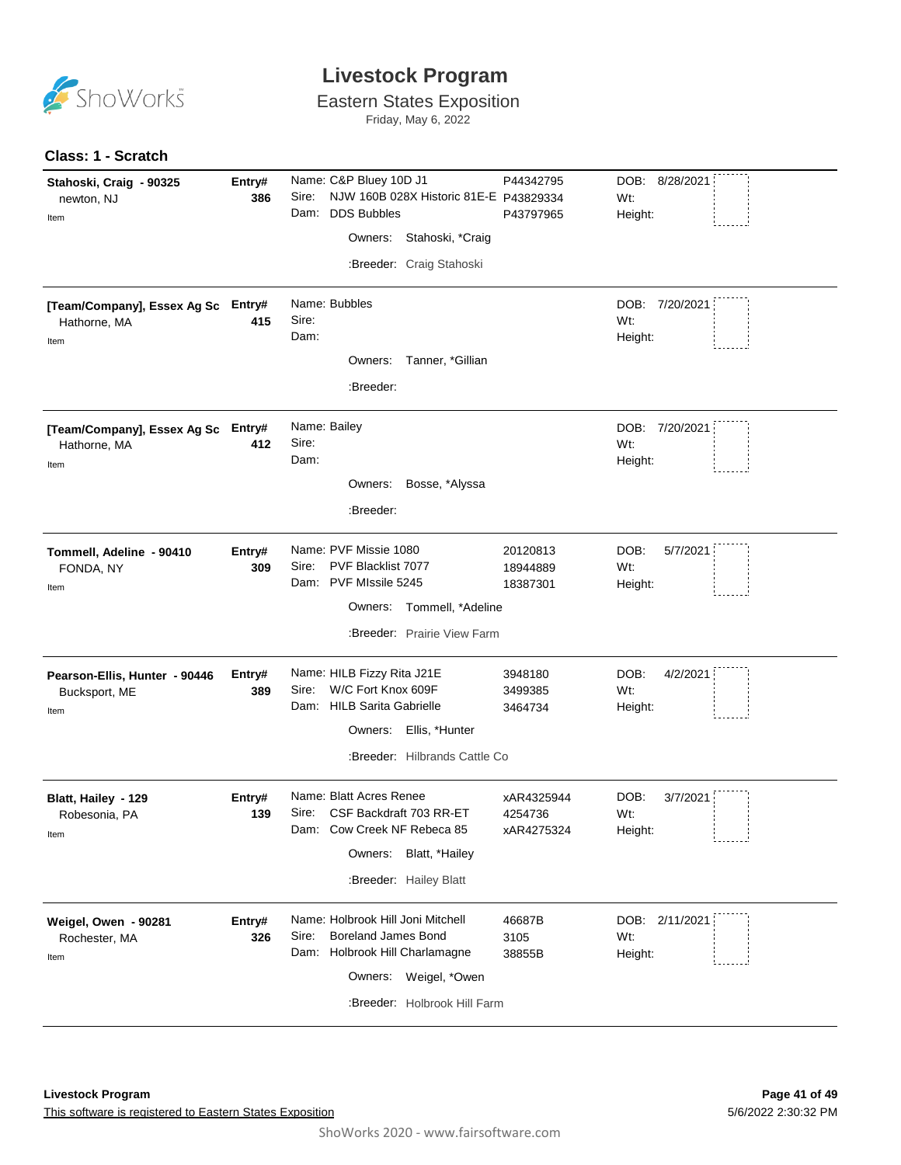

Eastern States Exposition

Friday, May 6, 2022

#### **Class: 1 - Scratch**

| Stahoski, Craig - 90325<br>newton, NJ<br>Item              | Entry#<br>386 | Name: C&P Bluey 10D J1<br>Sire:<br>NJW 160B 028X Historic 81E-E P43829334<br><b>DDS Bubbles</b><br>Dam:<br>Owners: Stahoski, *Craig<br>:Breeder: Craig Stahoski        | P44342795<br>P43797965              | DOB: 8/28/2021<br>Wt:<br>Height:   |
|------------------------------------------------------------|---------------|------------------------------------------------------------------------------------------------------------------------------------------------------------------------|-------------------------------------|------------------------------------|
| [Team/Company], Essex Ag Sc Entry#<br>Hathorne, MA<br>Item | 415           | Name: Bubbles<br>Sire:<br>Dam:<br>Owners:<br>Tanner, *Gillian<br>:Breeder:                                                                                             |                                     | DOB: 7/20/2021<br>Wt:<br>Height:   |
| [Team/Company], Essex Ag Sc Entry#<br>Hathorne, MA<br>Item | 412           | Name: Bailey<br>Sire:<br>Dam:<br>Bosse, *Alyssa<br>Owners:<br>:Breeder:                                                                                                |                                     | DOB: 7/20/2021<br>Wt:<br>Height:   |
| Tommell, Adeline - 90410<br>FONDA, NY<br>Item              | Entry#<br>309 | Name: PVF Missie 1080<br>Sire:<br>PVF Blacklist 7077<br>Dam: PVF MIssile 5245<br>Owners: Tommell, *Adeline<br>:Breeder: Prairie View Farm                              | 20120813<br>18944889<br>18387301    | DOB:<br>5/7/2021<br>Wt:<br>Height: |
| Pearson-Ellis, Hunter - 90446<br>Bucksport, ME<br>Item     | Entry#<br>389 | Name: HILB Fizzy Rita J21E<br>W/C Fort Knox 609F<br>Sire:<br>Dam: HILB Sarita Gabrielle<br>Owners: Ellis, *Hunter<br>:Breeder: Hilbrands Cattle Co                     | 3948180<br>3499385<br>3464734       | DOB:<br>4/2/2021<br>Wt:<br>Height: |
| Blatt, Hailey - 129<br>Robesonia, PA<br>Item               | Entry#<br>139 | Name: Blatt Acres Renee<br>CSF Backdraft 703 RR-ET<br>Sire:<br>Dam: Cow Creek NF Rebeca 85<br>Owners: Blatt, *Hailey<br>:Breeder: Hailey Blatt                         | xAR4325944<br>4254736<br>xAR4275324 | DOB:<br>3/7/2021<br>Wt:<br>Height: |
| Weigel, Owen - 90281<br>Rochester, MA<br>Item              | Entry#<br>326 | Name: Holbrook Hill Joni Mitchell<br><b>Boreland James Bond</b><br>Sire:<br>Holbrook Hill Charlamagne<br>Dam:<br>Owners: Weigel, *Owen<br>:Breeder: Holbrook Hill Farm | 46687B<br>3105<br>38855B            | DOB: 2/11/2021<br>Wt:<br>Height:   |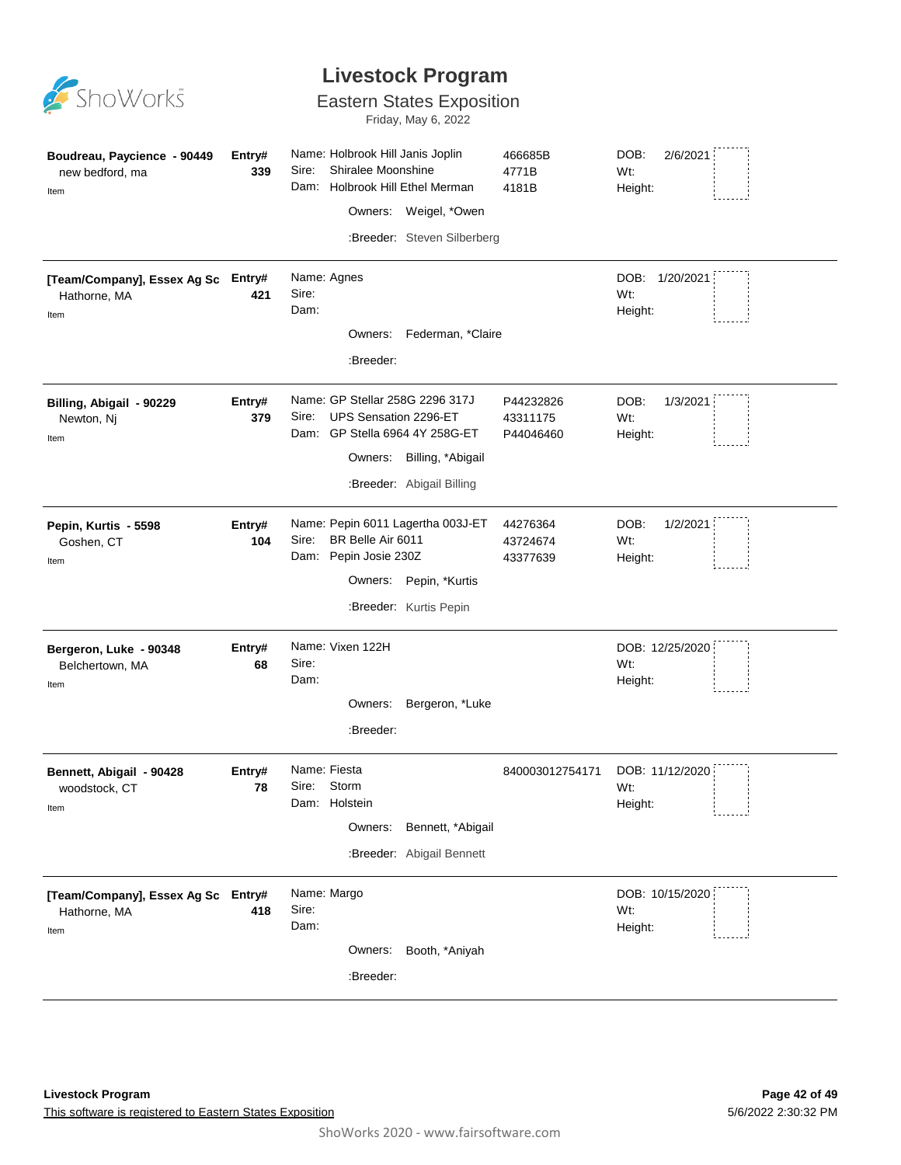

#### Eastern States Exposition

Friday, May 6, 2022

| Boudreau, Paycience - 90449<br>new bedford, ma<br>Item     | Entry#<br>339 | Name: Holbrook Hill Janis Joplin<br>Sire:<br>Shiralee Moonshine<br>Dam:                                        | Holbrook Hill Ethel Merman<br>Owners: Weigel, *Owen<br>:Breeder: Steven Silberberg | 466685B<br>4771B<br>4181B          | DOB:<br>2/6/2021<br>Wt:<br>Height: |  |
|------------------------------------------------------------|---------------|----------------------------------------------------------------------------------------------------------------|------------------------------------------------------------------------------------|------------------------------------|------------------------------------|--|
| [Team/Company], Essex Ag Sc Entry#<br>Hathorne, MA<br>Item | 421           | Name: Agnes<br>Sire:<br>Dam:<br>:Breeder:                                                                      | Owners: Federman, *Claire                                                          |                                    | DOB: 1/20/2021<br>Wt:<br>Height:   |  |
| Billing, Abigail - 90229<br>Newton, Nj<br>Item             | Entry#<br>379 | Name: GP Stellar 258G 2296 317J<br>UPS Sensation 2296-ET<br>Sire:<br>Dam: GP Stella 6964 4Y 258G-ET<br>Owners: | Billing, *Abigail<br>:Breeder: Abigail Billing                                     | P44232826<br>43311175<br>P44046460 | DOB:<br>1/3/2021<br>Wt:<br>Height: |  |
| Pepin, Kurtis - 5598<br>Goshen, CT<br>Item                 | Entry#<br>104 | Name: Pepin 6011 Lagertha 003J-ET<br>Sire:<br>BR Belle Air 6011<br>Dam: Pepin Josie 230Z                       | Owners: Pepin, *Kurtis<br>:Breeder: Kurtis Pepin                                   | 44276364<br>43724674<br>43377639   | DOB:<br>1/2/2021<br>Wt:<br>Height: |  |
| Bergeron, Luke - 90348<br>Belchertown, MA<br>Item          | Entry#<br>68  | Name: Vixen 122H<br>Sire:<br>Dam:<br>Owners:<br>:Breeder:                                                      | Bergeron, *Luke                                                                    |                                    | DOB: 12/25/2020<br>Wt:<br>Height:  |  |
| Bennett, Abigail - 90428<br>woodstock, CT<br>Item          | Entry#<br>78  | Name: Fiesta<br>Sire: Storm<br>Dam: Holstein<br>Owners:                                                        | Bennett, *Abigail<br>:Breeder: Abigail Bennett                                     | 840003012754171                    | DOB: 11/12/2020<br>Wt:<br>Height:  |  |
| [Team/Company], Essex Ag Sc Entry#<br>Hathorne, MA<br>Item | 418           | Name: Margo<br>Sire:<br>Dam:<br>:Breeder:                                                                      | Owners: Booth, *Aniyah                                                             |                                    | DOB: 10/15/2020<br>Wt:<br>Height:  |  |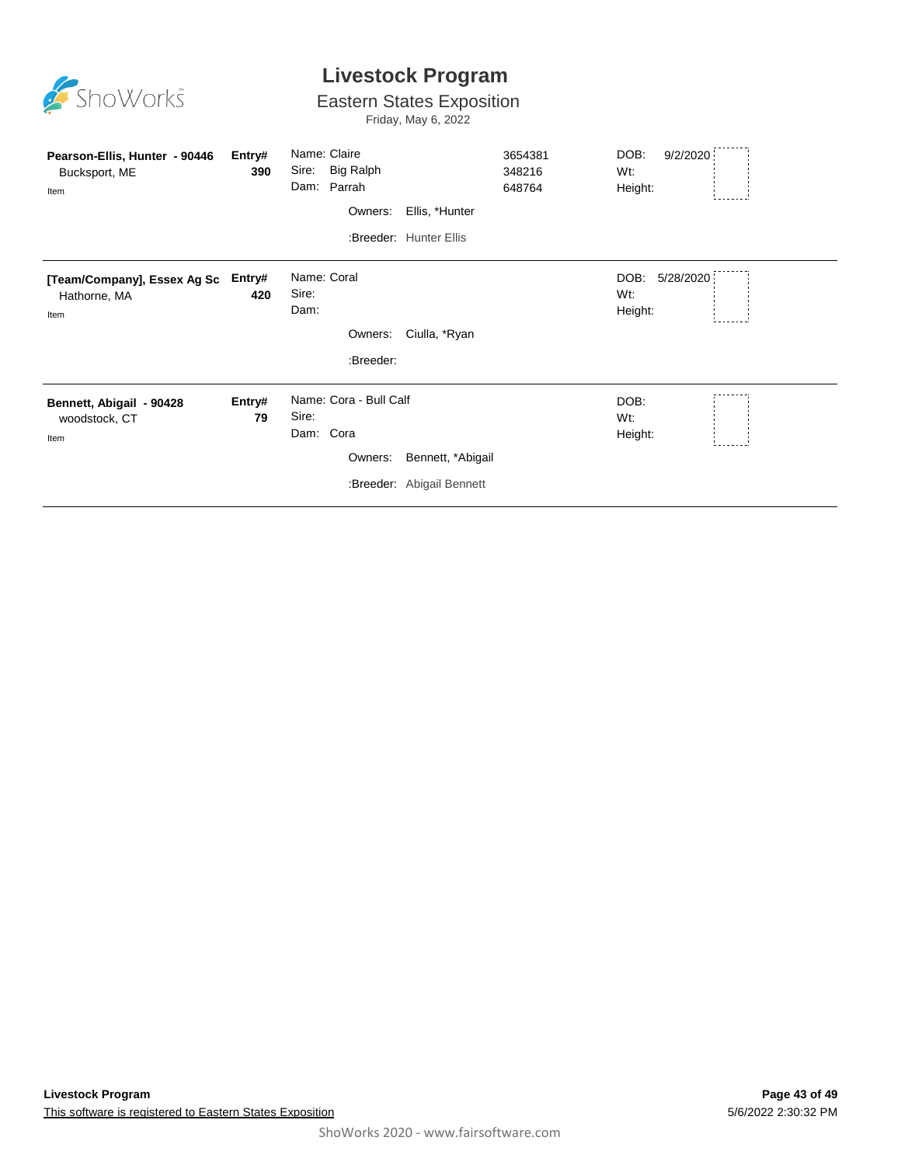

#### Eastern States Exposition

Friday, May 6, 2022

| Pearson-Ellis, Hunter - 90446<br>Bucksport, ME<br>Item | Entry#<br>390 | Name: Claire<br>Big Ralph<br>Sire:<br>Dam: Parrah         | 3654381<br>348216<br>648764 | DOB:<br>9/2/2020<br>Wt:<br>Height:  |  |
|--------------------------------------------------------|---------------|-----------------------------------------------------------|-----------------------------|-------------------------------------|--|
|                                                        |               | Owners:<br>Ellis, *Hunter                                 |                             |                                     |  |
|                                                        |               | :Breeder: Hunter Ellis                                    |                             |                                     |  |
| [Team/Company], Essex Ag Sc<br>Hathorne, MA<br>Item    | Entry#<br>420 | Name: Coral<br>Sire:<br>Dam:<br>Ciulla, *Ryan<br>Owners:  |                             | 5/28/2020<br>DOB:<br>Wt:<br>Height: |  |
|                                                        |               | :Breeder:                                                 |                             |                                     |  |
| Bennett, Abigail - 90428<br>woodstock, CT<br>Item      | Entry#<br>79  | Name: Cora - Bull Calf<br>Sire:<br>Dam: Cora              |                             | DOB:<br>$Wt$ :<br>Height:           |  |
|                                                        |               | Bennett, *Abigail<br>Owners:<br>:Breeder: Abigail Bennett |                             |                                     |  |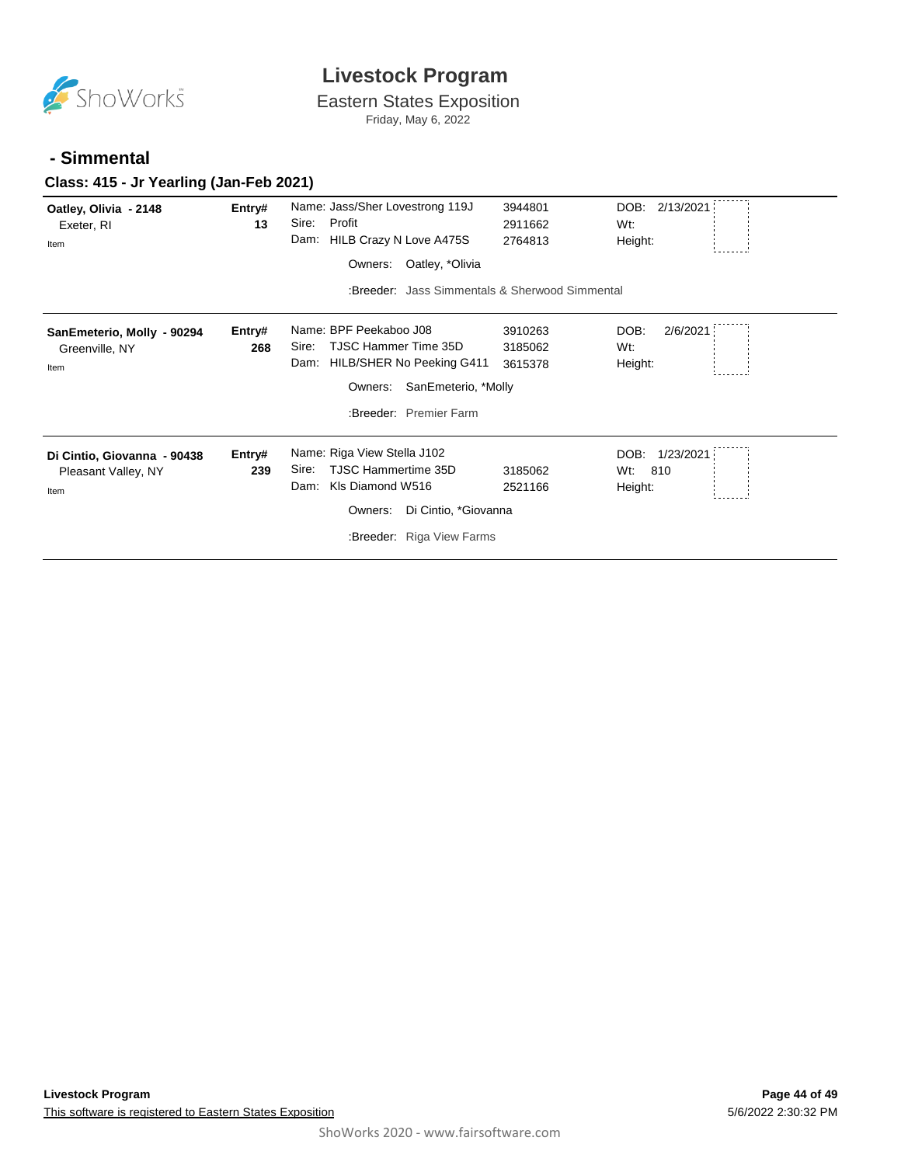

Eastern States Exposition

Friday, May 6, 2022

#### **- Simmental**

#### **Class: 415 - Jr Yearling (Jan-Feb 2021)**

| Oatley, Olivia - 2148<br>Exeter, RI<br>Item                | Entry#<br>13  | Name: Jass/Sher Lovestrong 119J<br>Profit<br>Sire:<br>Dam: HILB Crazy N Love A475S<br>Oatley, *Olivia<br>Owners:<br>:Breeder: Jass Simmentals & Sherwood Simmental | 3944801<br>2911662<br>2764813 | DOB: 2/13/2021<br>Wt:<br>Height:           |
|------------------------------------------------------------|---------------|--------------------------------------------------------------------------------------------------------------------------------------------------------------------|-------------------------------|--------------------------------------------|
| SanEmeterio, Molly - 90294<br>Greenville, NY<br>Item       | Entry#<br>268 | Name: BPF Peekaboo J08<br><b>TJSC Hammer Time 35D</b><br>Sire:<br>HILB/SHER No Peeking G411<br>Dam:<br>SanEmeterio, *Molly<br>Owners:<br>:Breeder: Premier Farm    | 3910263<br>3185062<br>3615378 | DOB:<br>2/6/2021<br>Wt:<br>Height:         |
| Di Cintio, Giovanna - 90438<br>Pleasant Valley, NY<br>Item | Entry#<br>239 | Name: Riga View Stella J102<br><b>TJSC Hammertime 35D</b><br>Sire:<br>KIs Diamond W516<br>Dam:<br>Di Cintio, *Giovanna<br>Owners:<br>:Breeder: Riga View Farms     | 3185062<br>2521166            | DOB:<br>1/23/2021<br>810<br>Wt:<br>Height: |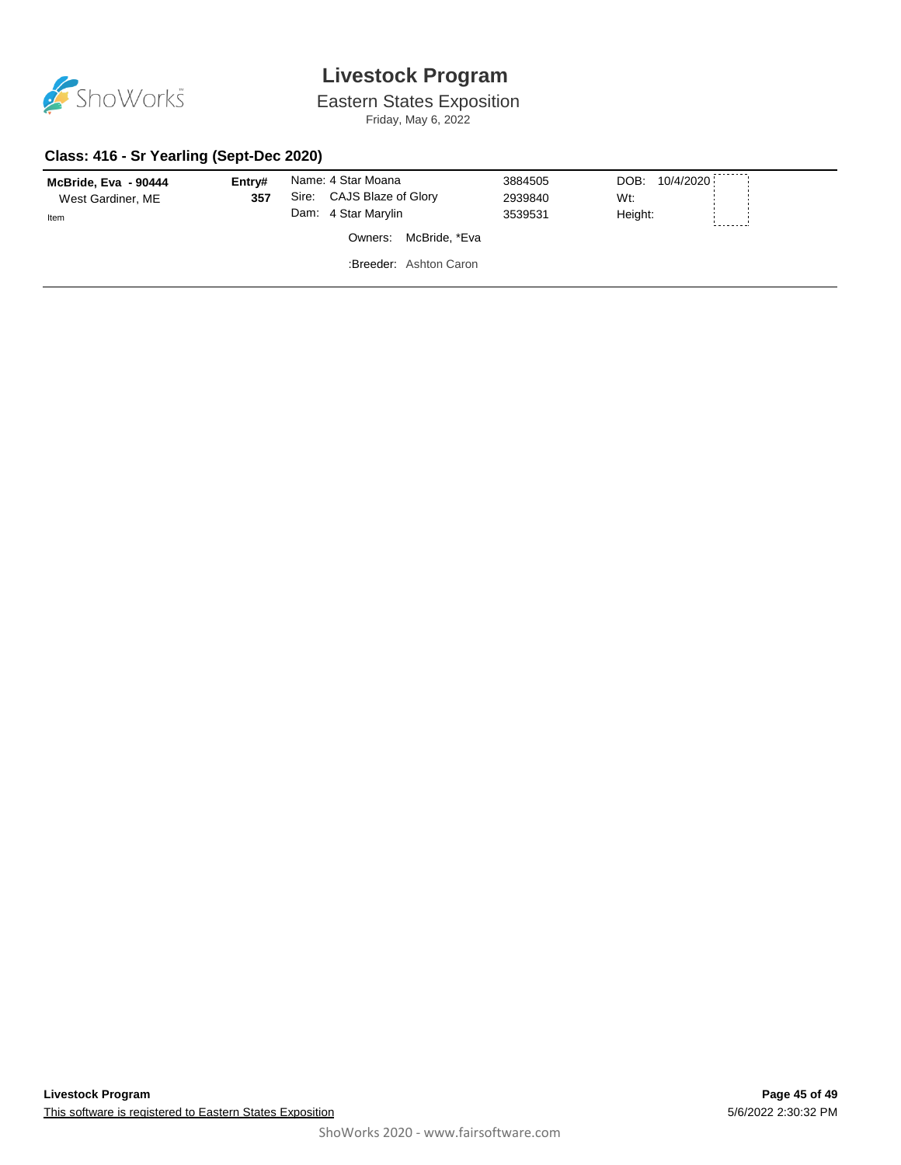

Eastern States Exposition

Friday, May 6, 2022

#### **Class: 416 - Sr Yearling (Sept-Dec 2020)**

| McBride, Eva - 90444<br>West Gardiner, ME<br>Item | Entry#<br>357 | Name: 4 Star Moana<br>Sire: CAJS Blaze of Glory<br>Dam: 4 Star Marylin | 3884505<br>2939840<br>3539531 | 10/4/2020<br>DOB:<br>Wt:<br>Height: |
|---------------------------------------------------|---------------|------------------------------------------------------------------------|-------------------------------|-------------------------------------|
|                                                   |               | McBride, *Eva<br>Owners:                                               |                               |                                     |
|                                                   |               | :Breeder: Ashton Caron                                                 |                               |                                     |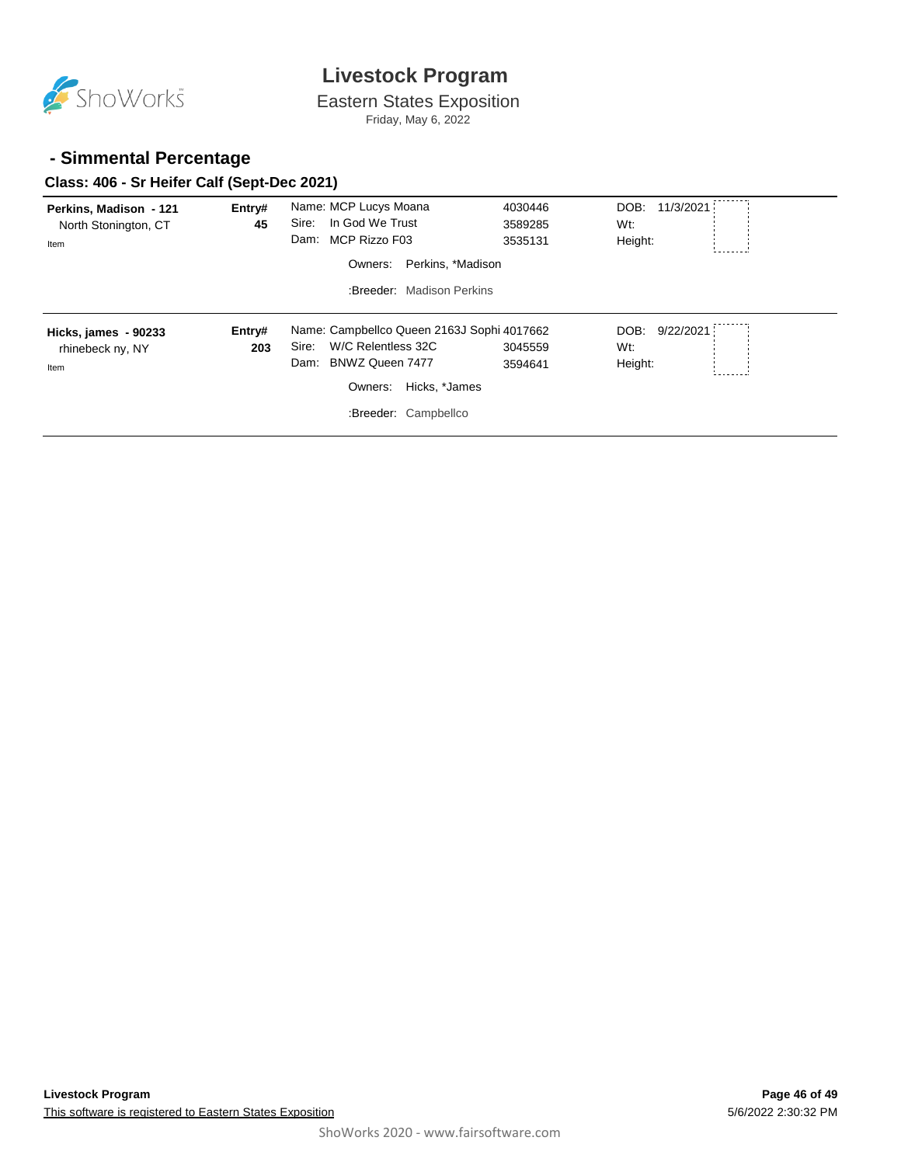

Eastern States Exposition Friday, May 6, 2022

#### **- Simmental Percentage**

#### **Class: 406 - Sr Heifer Calf (Sept-Dec 2021)**

| Perkins, Madison - 121<br>North Stonington, CT<br>Item | Entry#<br>45 | Name: MCP Lucys Moana<br>In God We Trust<br>Sire:<br>MCP Rizzo F03<br>Dam: | 4030446<br>3589285<br>3535131 | DOB:<br>11/3/2021<br>Wt:<br>Height: |  |
|--------------------------------------------------------|--------------|----------------------------------------------------------------------------|-------------------------------|-------------------------------------|--|
|                                                        |              | Perkins, *Madison<br>Owners:<br>:Breeder: Madison Perkins                  |                               |                                     |  |
|                                                        |              |                                                                            |                               |                                     |  |
| Hicks, james - 90233                                   | Entry#       | Name: Campbellco Queen 2163J Sophi 4017662                                 |                               | DOB:<br>9/22/2021                   |  |
| rhinebeck ny, NY                                       | 203          | W/C Relentless 32C<br>Sire:                                                | 3045559                       | Wt:                                 |  |
| Item                                                   |              | BNWZ Queen 7477<br>Dam:                                                    | 3594641                       | Height:                             |  |
|                                                        |              | Hicks, *James<br>Owners:                                                   |                               |                                     |  |
|                                                        |              | :Breeder: Campbellco                                                       |                               |                                     |  |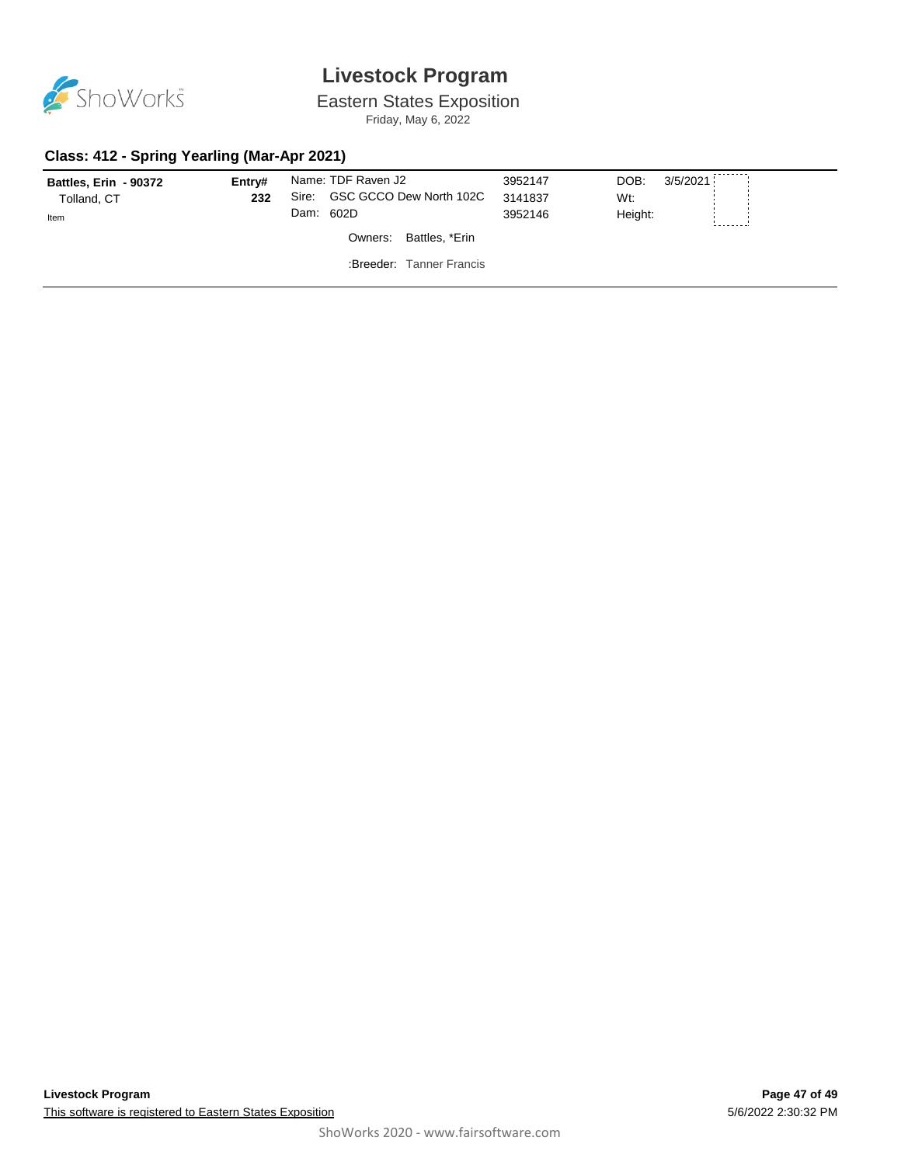

Eastern States Exposition

Friday, May 6, 2022

#### **Class: 412 - Spring Yearling (Mar-Apr 2021)**

| Battles, Erin - 90372<br>Tolland, CT<br>Item | Entry#<br>232 | Sire: | Name: TDF Raven J2<br>GSC GCCO Dew North 102C<br>Dam: 602D | 3952147<br>3141837<br>3952146 | 3/5/2021<br>DOB:<br>Wt:<br>Height: |  |
|----------------------------------------------|---------------|-------|------------------------------------------------------------|-------------------------------|------------------------------------|--|
|                                              |               |       | Battles, *Erin<br>Owners:                                  |                               |                                    |  |
|                                              |               |       | :Breeder: Tanner Francis                                   |                               |                                    |  |
|                                              |               |       |                                                            |                               |                                    |  |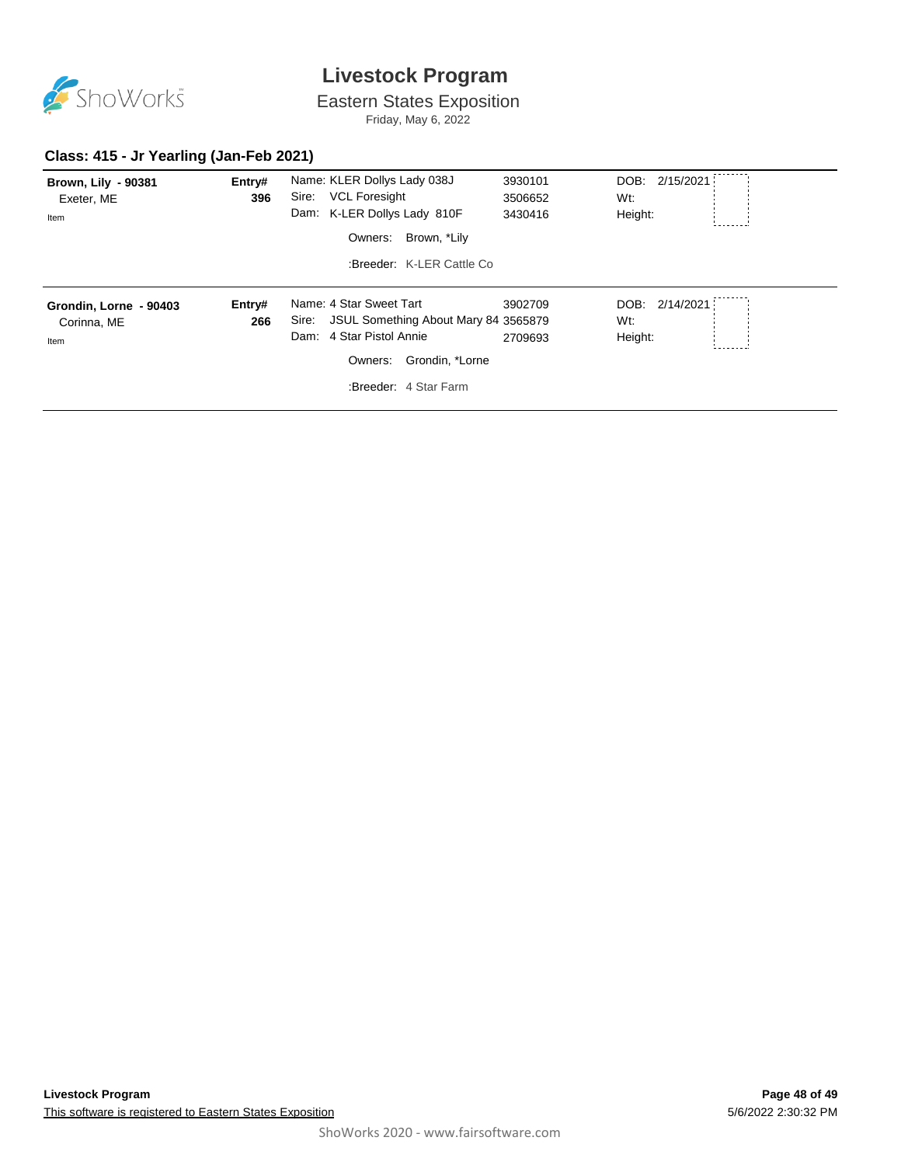

Eastern States Exposition

Friday, May 6, 2022

#### **Class: 415 - Jr Yearling (Jan-Feb 2021)**

| <b>Brown, Lily - 90381</b><br>Exeter, ME<br>Item | Entry#<br>396 | Name: KLER Dollys Lady 038J<br><b>VCL Foresight</b><br>Sire:<br>Dam: K-LER Dollys Lady 810F<br>Brown, *Lily<br>Owners:<br>:Breeder: K-LER Cattle Co.           | 3930101<br>3506652<br>3430416 | DOB: 2/15/2021<br>Wt:<br>Height: |
|--------------------------------------------------|---------------|----------------------------------------------------------------------------------------------------------------------------------------------------------------|-------------------------------|----------------------------------|
| Grondin, Lorne - 90403<br>Corinna, ME<br>Item    | Entry#<br>266 | Name: 4 Star Sweet Tart<br>JSUL Something About Mary 84 3565879<br>Sire:<br>4 Star Pistol Annie<br>Dam:<br>Grondin, *Lorne<br>Owners:<br>:Breeder: 4 Star Farm | 3902709<br>2709693            | DOB: 2/14/2021<br>Wt:<br>Height: |